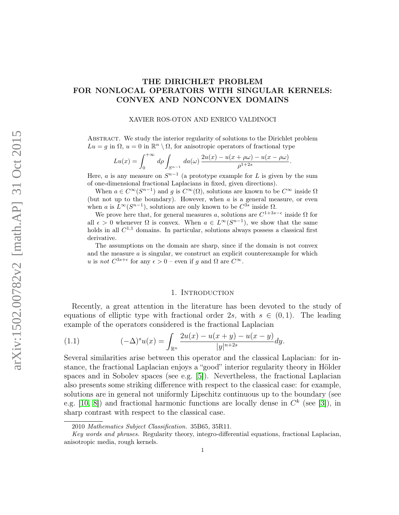# THE DIRICHLET PROBLEM FOR NONLOCAL OPERATORS WITH SINGULAR KERNELS: CONVEX AND NONCONVEX DOMAINS

#### XAVIER ROS-OTON AND ENRICO VALDINOCI

Abstract. We study the interior regularity of solutions to the Dirichlet problem  $Lu = g$  in  $\Omega$ ,  $u = 0$  in  $\mathbb{R}^n \setminus \Omega$ , for anisotropic operators of fractional type

$$
Lu(x) = \int_0^{+\infty} d\rho \int_{S^{n-1}} da(\omega) \frac{2u(x) - u(x + \rho\omega) - u(x - \rho\omega)}{\rho^{1+2s}}.
$$

Here, *a* is any measure on  $S^{n-1}$  (a prototype example for L is given by the sum of one-dimensional fractional Laplacians in fixed, given directions).

When  $a \in C^{\infty}(S^{n-1})$  and g is  $C^{\infty}(\Omega)$ , solutions are known to be  $C^{\infty}$  inside  $\Omega$ (but not up to the boundary). However, when  $a$  is a general measure, or even when a is  $L^{\infty}(S^{n-1})$ , solutions are only known to be  $C^{3s}$  inside  $\Omega$ .

We prove here that, for general measures a, solutions are  $C^{1+3s-\epsilon}$  inside  $\Omega$  for all  $\epsilon > 0$  whenever  $\Omega$  is convex. When  $a \in L^{\infty}(S^{n-1})$ , we show that the same holds in all  $C^{1,1}$  domains. In particular, solutions always possess a classical first derivative.

The assumptions on the domain are sharp, since if the domain is not convex and the measure  $a$  is singular, we construct an explicit counterexample for which u is not  $C^{3s+\epsilon}$  for any  $\epsilon > 0$  – even if g and  $\Omega$  are  $C^{\infty}$ .

#### 1. INTRODUCTION

Recently, a great attention in the literature has been devoted to the study of equations of elliptic type with fractional order 2s, with  $s \in (0,1)$ . The leading example of the operators considered is the fractional Laplacian

<span id="page-0-0"></span>(1.1) 
$$
(-\Delta)^s u(x) = \int_{\mathbb{R}^n} \frac{2u(x) - u(x + y) - u(x - y)}{|y|^{n+2s}} dy.
$$

Several similarities arise between this operator and the classical Laplacian: for instance, the fractional Laplacian enjoys a "good" interior regularity theory in Hölder spaces and in Sobolev spaces (see e.g. [\[5\]](#page-51-0)). Nevertheless, the fractional Laplacian also presents some striking difference with respect to the classical case: for example, solutions are in general not uniformly Lipschitz continuous up to the boundary (see e.g. [\[10,](#page-52-0) [8\]](#page-51-1)) and fractional harmonic functions are locally dense in  $C<sup>k</sup>$  (see [\[3\]](#page-51-2)), in sharp contrast with respect to the classical case.

<sup>2010</sup> Mathematics Subject Classification. 35B65, 35R11.

Key words and phrases. Regularity theory, integro-differential equations, fractional Laplacian, anisotropic media, rough kernels.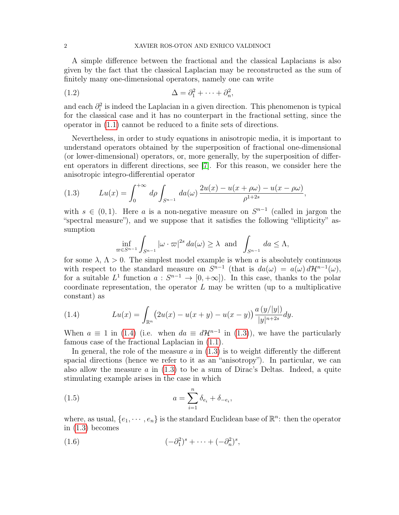A simple difference between the fractional and the classical Laplacians is also given by the fact that the classical Laplacian may be reconstructed as the sum of finitely many one-dimensional operators, namely one can write

<span id="page-1-2"></span>(1.2) 
$$
\Delta = \partial_1^2 + \cdots + \partial_n^2,
$$

and each  $\partial_i^2$  is indeed the Laplacian in a given direction. This phenomenon is typical for the classical case and it has no counterpart in the fractional setting, since the operator in [\(1.1\)](#page-0-0) cannot be reduced to a finite sets of directions.

Nevertheless, in order to study equations in anisotropic media, it is important to understand operators obtained by the superposition of fractional one-dimensional (or lower-dimensional) operators, or, more generally, by the superposition of different operators in different directions, see [\[7\]](#page-51-3). For this reason, we consider here the anisotropic integro-differential operator

<span id="page-1-1"></span>(1.3) 
$$
Lu(x) = \int_0^{+\infty} d\rho \int_{S^{n-1}} da(\omega) \frac{2u(x) - u(x + \rho\omega) - u(x - \rho\omega)}{\rho^{1+2s}},
$$

with  $s \in (0,1)$ . Here a is a non-negative measure on  $S^{n-1}$  (called in jargon the "spectral measure"), and we suppose that it satisfies the following "ellipticity" assumption

$$
\inf_{\varpi \in S^{n-1}} \int_{S^{n-1}} |\omega \cdot \varpi|^{2s} da(\omega) \ge \lambda \text{ and } \int_{S^{n-1}} da \le \Lambda,
$$

for some  $\lambda$ ,  $\Lambda > 0$ . The simplest model example is when a is absolutely continuous with respect to the standard measure on  $S^{n-1}$  (that is  $da(\omega) = a(\omega) d\mathcal{H}^{n-1}(\omega)$ , for a suitable  $L^1$  function  $a: S^{n-1} \to [0, +\infty]$ . In this case, thanks to the polar coordinate representation, the operator  $L$  may be written (up to a multiplicative constant) as

<span id="page-1-0"></span>(1.4) 
$$
Lu(x) = \int_{\mathbb{R}^n} (2u(x) - u(x+y) - u(x-y)) \frac{a(y/|y|)}{|y|^{n+2s}} dy.
$$

When  $a \equiv 1$  in [\(1.4\)](#page-1-0) (i.e. when  $da \equiv d\mathcal{H}^{n-1}$  in [\(1.3\)](#page-1-1)), we have the particularly famous case of the fractional Laplacian in [\(1.1\)](#page-0-0).

In general, the role of the measure  $a$  in  $(1.3)$  is to weight differently the different spacial directions (hence we refer to it as an "anisotropy"). In particular, we can also allow the measure  $\alpha$  in [\(1.3\)](#page-1-1) to be a sum of Dirac's Deltas. Indeed, a quite stimulating example arises in the case in which

<span id="page-1-4"></span>(1.5) 
$$
a = \sum_{i=1}^{n} \delta_{e_i} + \delta_{-e_i},
$$

where, as usual,  $\{e_1, \dots, e_n\}$  is the standard Euclidean base of  $\mathbb{R}^n$ : then the operator in [\(1.3\)](#page-1-1) becomes

<span id="page-1-3"></span>
$$
(1.6) \qquad \qquad (-\partial_1^2)^s + \cdots + (-\partial_n^2)^s,
$$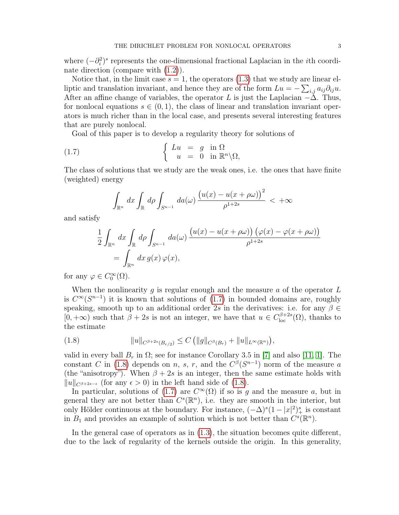where  $(-\partial_i^2)^s$  represents the one-dimensional fractional Laplacian in the *i*th coordinate direction (compare with [\(1.2\)](#page-1-2)).

Notice that, in the limit case  $s = 1$ , the operators [\(1.3\)](#page-1-1) that we study are linear elliptic and translation invariant, and hence they are of the form  $Lu = -\sum_{i,j} a_{ij}\partial_{ij}u$ . After an affine change of variables, the operator L is just the Laplacian  $-\Delta$ . Thus, for nonlocal equations  $s \in (0, 1)$ , the class of linear and translation invariant operators is much richer than in the local case, and presents several interesting features that are purely nonlocal.

Goal of this paper is to develop a regularity theory for solutions of

(1.7) 
$$
\begin{cases} Lu = g \text{ in } \Omega \\ u = 0 \text{ in } \mathbb{R}^n \setminus \Omega, \end{cases}
$$

The class of solutions that we study are the weak ones, i.e. the ones that have finite (weighted) energy

<span id="page-2-0"></span>
$$
\int_{\mathbb{R}^n} dx \int_{\mathbb{R}} d\rho \int_{S^{n-1}} da(\omega) \frac{\left(u(x) - u(x + \rho \omega)\right)^2}{\rho^{1+2s}} < +\infty
$$

and satisfy

$$
\frac{1}{2} \int_{\mathbb{R}^n} dx \int_{\mathbb{R}} d\rho \int_{S^{n-1}} da(\omega) \frac{\left(u(x) - u(x + \rho \omega)\right) \left(\varphi(x) - \varphi(x + \rho \omega)\right)}{\rho^{1+2s}} \\
= \int_{\mathbb{R}^n} dx \, g(x) \, \varphi(x),
$$

for any  $\varphi \in C_0^{\infty}(\Omega)$ .

When the nonlinearity  $g$  is regular enough and the measure  $a$  of the operator  $L$ is  $C^{\infty}(S^{n-1})$  it is known that solutions of  $(1.7)$  in bounded domains are, roughly speaking, smooth up to an additional order 2s in the derivatives: i.e. for any  $\beta \in$  $[0, +\infty)$  such that  $\beta + 2s$  is not an integer, we have that  $u \in C_{\text{loc}}^{\beta+2s}(\Omega)$ , thanks to the estimate

<span id="page-2-1"></span>
$$
(1.8) \t\t\t ||u||_{C^{\beta+2s}(B_{r/2})} \leq C (||g||_{C^{\beta}(B_r)} + ||u||_{L^{\infty}(\mathbb{R}^n)}),
$$

valid in every ball  $B_r$  in  $\Omega$ ; see for instance Corollary 3.5 in [\[7\]](#page-51-3) and also [\[11,](#page-52-1) [1\]](#page-51-4). The constant C in [\(1.8\)](#page-2-1) depends on n, s, r, and the  $C^{\beta}(S^{n-1})$  norm of the measure a (the "anisotropy"). When  $\beta + 2s$  is an integer, then the same estimate holds with  $||u||_{C^{\beta+2s-\epsilon}}$  (for any  $\epsilon > 0$ ) in the left hand side of [\(1.8\)](#page-2-1).

In particular, solutions of [\(1.7\)](#page-2-0) are  $C^{\infty}(\Omega)$  if so is g and the measure a, but in general they are not better than  $C<sup>s</sup>(\mathbb{R}<sup>n</sup>)$ , i.e. they are smooth in the interior, but only Hölder continuous at the boundary. For instance,  $(-\Delta)^s (1-|x|^2)_+^s$  is constant in  $B_1$  and provides an example of solution which is not better than  $C^s(\mathbb{R}^n)$ .

In the general case of operators as in [\(1.3\)](#page-1-1), the situation becomes quite different, due to the lack of regularity of the kernels outside the origin. In this generality,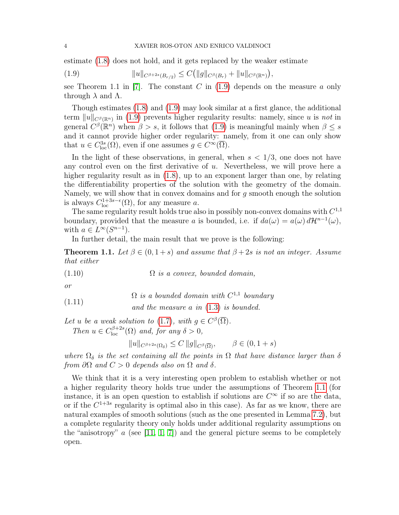estimate [\(1.8\)](#page-2-1) does not hold, and it gets replaced by the weaker estimate

<span id="page-3-0"></span>(1.9) 
$$
||u||_{C^{\beta+2s}(B_{r/2})} \leq C(||g||_{C^{\beta}(B_r)} + ||u||_{C^{\beta}(\mathbb{R}^n)}),
$$

see Theorem 1.1 in [\[7\]](#page-51-3). The constant C in  $(1.9)$  depends on the measure a only through  $\lambda$  and  $\Lambda$ .

Though estimates [\(1.8\)](#page-2-1) and [\(1.9\)](#page-3-0) may look similar at a first glance, the additional term  $||u||_{C^{\beta}(\mathbb{R}^n)}$  in [\(1.9\)](#page-3-0) prevents higher regularity results: namely, since u is not in general  $C^{\beta}(\mathbb{R}^n)$  when  $\beta > s$ , it follows that [\(1.9\)](#page-3-0) is meaningful mainly when  $\beta \leq s$ and it cannot provide higher order regularity: namely, from it one can only show that  $u \in C^{3s}_{loc}(\Omega)$ , even if one assumes  $g \in C^{\infty}(\overline{\Omega})$ .

In the light of these observations, in general, when  $s < 1/3$ , one does not have any control even on the first derivative of u. Nevertheless, we will prove here a higher regularity result as in  $(1.8)$ , up to an exponent larger than one, by relating the differentiability properties of the solution with the geometry of the domain. Namely, we will show that in convex domains and for  $g$  smooth enough the solution is always  $C^{1+3s-\epsilon}_{loc}(\Omega)$ , for any measure a.

The same regularity result holds true also in possibly non-convex domains with  $C^{1,1}$ boundary, provided that the measure a is bounded, i.e. if  $da(\omega) = a(\omega) dH^{n-1}(\omega)$ , with  $a \in L^{\infty}(S^{n-1})$ .

In further detail, the main result that we prove is the following:

<span id="page-3-1"></span>**Theorem 1.1.** Let  $\beta \in (0, 1+s)$  and assume that  $\beta + 2s$  is not an integer. Assume that either

(1.10)  $\Omega$  is a convex, bounded domain,

or

<span id="page-3-3"></span> $\Omega$  is a bounded domain with  $C^{1,1}$  boundary (1.11)

and the measure a in [\(1.3\)](#page-1-1) is bounded.

Let u be a weak solution to [\(1.7\)](#page-2-0), with  $g \in C^{\beta}(\overline{\Omega})$ .

Then  $u \in C_{\text{loc}}^{\beta+2s}(\Omega)$  and, for any  $\delta > 0$ ,

<span id="page-3-2"></span> $||u||_{C^{\beta+2s}(\Omega_s)} \leq C ||g||_{C^{\beta}(\overline{\Omega})}, \qquad \beta \in (0, 1+s)$ 

where  $\Omega_{\delta}$  is the set containing all the points in  $\Omega$  that have distance larger than  $\delta$ from  $\partial\Omega$  and  $C > 0$  depends also on  $\Omega$  and  $\delta$ .

We think that it is a very interesting open problem to establish whether or not a higher regularity theory holds true under the assumptions of Theorem [1.1](#page-3-1) (for instance, it is an open question to establish if solutions are  $C^{\infty}$  if so are the data, or if the  $C^{1+3s}$  regularity is optimal also in this case). As far as we know, there are natural examples of smooth solutions (such as the one presented in Lemma [7.2\)](#page-38-0), but a complete regularity theory only holds under additional regularity assumptions on the "anisotropy"  $a$  (see [\[11,](#page-52-1) [1,](#page-51-4) [7\]](#page-51-3)) and the general picture seems to be completely open.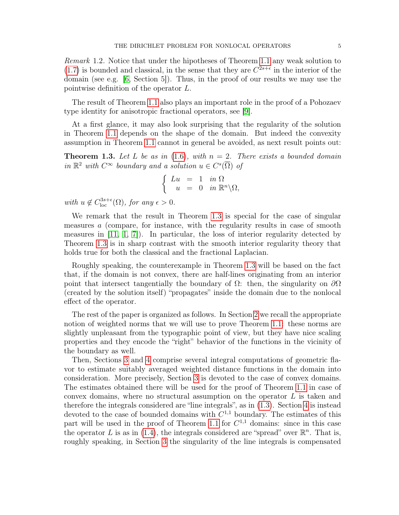The result of Theorem [1.1](#page-3-1) also plays an important role in the proof of a Pohozaev type identity for anisotropic fractional operators, see [\[9\]](#page-51-6).

At a first glance, it may also look surprising that the regularity of the solution in Theorem [1.1](#page-3-1) depends on the shape of the domain. But indeed the convexity assumption in Theorem [1.1](#page-3-1) cannot in general be avoided, as next result points out:

<span id="page-4-0"></span>**Theorem 1.3.** Let L be as in [\(1.6\)](#page-1-3), with  $n = 2$ . There exists a bounded domain in  $\mathbb{R}^2$  with  $C^{\infty}$  boundary and a solution  $u \in C^s(\overline{\Omega})$  of

$$
\begin{cases}\nLu &= 1 & \text{in } \Omega \\
u &= 0 & \text{in } \mathbb{R}^n \backslash \Omega,\n\end{cases}
$$

with  $u \notin C_{\text{loc}}^{3s+\epsilon}(\Omega)$ , for any  $\epsilon > 0$ .

We remark that the result in Theorem [1.3](#page-4-0) is special for the case of singular measures a (compare, for instance, with the regularity results in case of smooth measures in  $[11, 1, 7]$  $[11, 1, 7]$  $[11, 1, 7]$ . In particular, the loss of interior regularity detected by Theorem [1.3](#page-4-0) is in sharp contrast with the smooth interior regularity theory that holds true for both the classical and the fractional Laplacian.

Roughly speaking, the counterexample in Theorem [1.3](#page-4-0) will be based on the fact that, if the domain is not convex, there are half-lines originating from an interior point that intersect tangentially the boundary of  $\Omega$ : then, the singularity on  $\partial\Omega$ (created by the solution itself) "propagates" inside the domain due to the nonlocal effect of the operator.

The rest of the paper is organized as follows. In Section [2](#page-5-0) we recall the appropriate notion of weighted norms that we will use to prove Theorem [1.1:](#page-3-1) these norms are slightly unpleasant from the typographic point of view, but they have nice scaling properties and they encode the "right" behavior of the functions in the vicinity of the boundary as well.

Then, Sections [3](#page-8-0) and [4](#page-13-0) comprise several integral computations of geometric flavor to estimate suitably averaged weighted distance functions in the domain into consideration. More precisely, Section [3](#page-8-0) is devoted to the case of convex domains. The estimates obtained there will be used for the proof of Theorem [1.1](#page-3-1) in case of convex domains, where no structural assumption on the operator  $L$  is taken and therefore the integrals considered are "line integrals", as in [\(1.3\)](#page-1-1). Section [4](#page-13-0) is instead devoted to the case of bounded domains with  $C^{1,1}$  boundary. The estimates of this part will be used in the proof of Theorem [1.1](#page-3-1) for  $C^{1,1}$  domains: since in this case the operator L is as in [\(1.4\)](#page-1-0), the integrals considered are "spread" over  $\mathbb{R}^n$ . That is, roughly speaking, in Section [3](#page-8-0) the singularity of the line integrals is compensated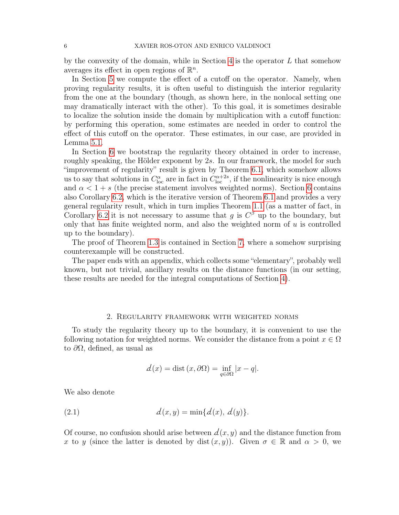by the convexity of the domain, while in Section [4](#page-13-0) is the operator  $L$  that somehow averages its effect in open regions of  $\mathbb{R}^n$ .

In Section [5](#page-17-0) we compute the effect of a cutoff on the operator. Namely, when proving regularity results, it is often useful to distinguish the interior regularity from the one at the boundary (though, as shown here, in the nonlocal setting one may dramatically interact with the other). To this goal, it is sometimes desirable to localize the solution inside the domain by multiplication with a cutoff function: by performing this operation, some estimates are needed in order to control the effect of this cutoff on the operator. These estimates, in our case, are provided in Lemma [5.1.](#page-17-1)

In Section [6](#page-22-0) we bootstrap the regularity theory obtained in order to increase, roughly speaking, the Hölder exponent by 2s. In our framework, the model for such "improvement of regularity" result is given by Theorem [6.1,](#page-23-0) which somehow allows us to say that solutions in  $C_{\text{loc}}^{\alpha}$  are in fact in  $C_{\text{loc}}^{\alpha+2s}$ , if the nonlinearity is nice enough and  $\alpha < 1 + s$  (the precise statement involves weighted norms). Section [6](#page-22-0) contains also Corollary [6.2,](#page-32-0) which is the iterative version of Theorem [6.1](#page-23-0) and provides a very general regularity result, which in turn implies Theorem [1.1](#page-3-1) (as a matter of fact, in Corollary [6.2](#page-32-0) it is not necessary to assume that g is  $C^{\beta}$  up to the boundary, but only that has finite weighted norm, and also the weighted norm of  $u$  is controlled up to the boundary).

The proof of Theorem [1.3](#page-4-0) is contained in Section [7,](#page-35-0) where a somehow surprising counterexample will be constructed.

The paper ends with an appendix, which collects some "elementary", probably well known, but not trivial, ancillary results on the distance functions (in our setting, these results are needed for the integral computations of Section [4\)](#page-13-0).

## 2. Regularity framework with weighted norms

<span id="page-5-0"></span>To study the regularity theory up to the boundary, it is convenient to use the following notation for weighted norms. We consider the distance from a point  $x \in \Omega$ to  $\partial\Omega$ , defined, as usual as

<span id="page-5-1"></span>
$$
\mathcal{d}(x) = \text{dist}\left(x, \partial \Omega\right) = \inf_{q \in \partial \Omega} |x - q|.
$$

We also denote

(2.1) 
$$
d(x, y) = \min\{d(x), d(y)\}.
$$

Of course, no confusion should arise between  $d(x, y)$  and the distance function from x to y (since the latter is denoted by dist  $(x, y)$ ). Given  $\sigma \in \mathbb{R}$  and  $\alpha > 0$ , we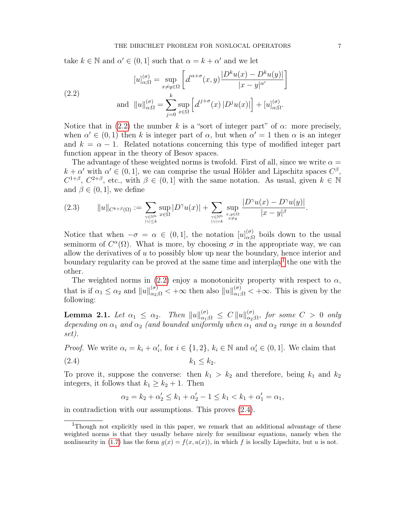take  $k \in \mathbb{N}$  and  $\alpha' \in (0, 1]$  such that  $\alpha = k + \alpha'$  and we let

<span id="page-6-0"></span>(2.2)  
\n
$$
[u]_{\alpha;\Omega}^{(\sigma)} = \sup_{x \neq y \in \Omega} \left[ d^{\alpha+\sigma}(x,y) \frac{|D^k u(x) - D^k u(y)|}{|x - y|^{\alpha'}} \right]
$$
\n
$$
\text{and } ||u||_{\alpha;\Omega}^{(\sigma)} = \sum_{j=0}^k \sup_{x \in \Omega} \left[ d^{j+\sigma}(x) |D^j u(x)| \right] + [u]_{\alpha;\Omega}^{(\sigma)}.
$$

Notice that in [\(2.2\)](#page-6-0) the number k is a "sort of integer part" of  $\alpha$ : more precisely, when  $\alpha' \in (0,1)$  then k is integer part of  $\alpha$ , but when  $\alpha' = 1$  then  $\alpha$  is an integer and  $k = \alpha - 1$ . Related notations concerning this type of modified integer part function appear in the theory of Besov spaces.

The advantage of these weighted norms is twofold. First of all, since we write  $\alpha =$  $k + \alpha'$  with  $\alpha' \in (0, 1]$ , we can comprise the usual Hölder and Lipschitz spaces  $C^{\beta}$ ,  $C^{1+\beta}$ ,  $C^{2+\beta}$ , etc., with  $\beta \in (0,1]$  with the same notation. As usual, given  $k \in \mathbb{N}$ and  $\beta \in (0, 1]$ , we define

<span id="page-6-4"></span>
$$
(2.3) \qquad ||u||_{C^{k+\beta}(\Omega)} := \sum_{\substack{\gamma \in \mathbb{N}^n \\ |\gamma| \leq k}} \sup_{x \in \Omega} |D^{\gamma}u(x)| + \sum_{\substack{\gamma \in \mathbb{N}^n \\ |\gamma| = k}} \sup_{\substack{x,y \in \Omega \\ x \neq y}} \frac{|D^{\gamma}u(x) - D^{\gamma}u(y)|}{|x - y|^{\beta}}.
$$

Notice that when  $-\sigma = \alpha \in (0,1]$ , the notation  $[u]_{\alpha;\Omega}^{(\sigma)}$  boils down to the usual seminorm of  $C^{\alpha}(\Omega)$ . What is more, by choosing  $\sigma$  in the appropriate way, we can allow the derivatives of  $u$  to possibly blow up near the boundary, hence interior and boundary regularity can be proved at the same time and interplay<sup>[1](#page-6-1)</sup> the one with the other.

The weighted norms in [\(2.2\)](#page-6-0) enjoy a monotonicity property with respect to  $\alpha$ , that is if  $\alpha_1 \leq \alpha_2$  and  $||u||_{\alpha_2,\Omega}^{(\sigma)} < +\infty$  then also  $||u||_{\alpha_1,\Omega}^{(\sigma)} < +\infty$ . This is given by the following:

<span id="page-6-3"></span>Lemma 2.1. Let  $\alpha_1 \leq \alpha_2$ . Then  $||u||_{\alpha_1;\Omega}^{(\sigma)} \leq C ||u||_{\alpha_2;\Omega}^{(\sigma)}$ , for some  $C > 0$  only depending on  $\alpha_1$  and  $\alpha_2$  (and bounded uniformly when  $\alpha_1$  and  $\alpha_2$  range in a bounded set).

*Proof.* We write  $\alpha_i = k_i + \alpha'_i$ , for  $i \in \{1, 2\}$ ,  $k_i \in \mathbb{N}$  and  $\alpha'_i \in (0, 1]$ . We claim that

$$
(2.4) \t\t k_1 \leq k_2.
$$

To prove it, suppose the converse: then  $k_1 > k_2$  and therefore, being  $k_1$  and  $k_2$ integers, it follows that  $k_1 \geq k_2 + 1$ . Then

<span id="page-6-2"></span>
$$
\alpha_2 = k_2 + \alpha'_2 \le k_1 + \alpha'_2 - 1 \le k_1 < k_1 + \alpha'_1 = \alpha_1,
$$

in contradiction with our assumptions. This proves [\(2.4\)](#page-6-2).

<span id="page-6-1"></span><sup>&</sup>lt;sup>1</sup>Though not explicitly used in this paper, we remark that an additional advantage of these weighted norms is that they usually behave nicely for semilinear equations, namely when the nonlinearity in [\(1.7\)](#page-2-0) has the form  $g(x) = f(x, u(x))$ , in which f is locally Lipschitz, but u is not.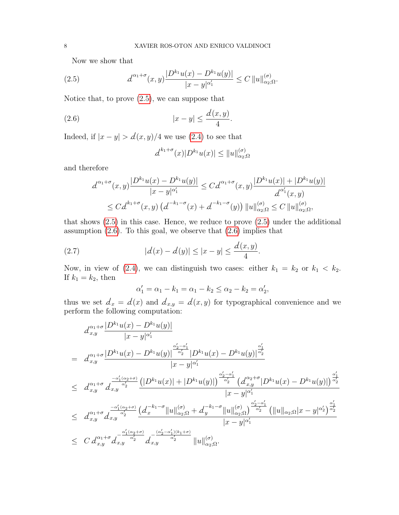<span id="page-7-0"></span>Now we show that

(2.5) 
$$
d^{\alpha_1+\sigma}(x,y)\frac{|D^{k_1}u(x)-D^{k_1}u(y)|}{|x-y|^{\alpha'_1}} \leq C \|u\|_{\alpha_2;\Omega}^{(\sigma)}.
$$

Notice that, to prove  $(2.5)$ , we can suppose that

$$
(2.6) \t\t |x-y| \le \frac{d(x,y)}{4}.
$$

Indeed, if  $|x - y| > d(x, y)/4$  we use [\(2.4\)](#page-6-2) to see that

<span id="page-7-1"></span>
$$
d^{k_1+\sigma}(x)|D^{k_1}u(x)| \leq ||u||_{\alpha_2;\Omega}^{(\sigma)}
$$

and therefore

$$
d^{\alpha_1+\sigma}(x,y) \frac{|D^{k_1}u(x) - D^{k_1}u(y)|}{|x - y|^{\alpha'_1}} \leq C d^{\alpha_1+\sigma}(x,y) \frac{|D^{k_1}u(x)| + |D^{k_1}u(y)|}{d^{\alpha'_1}(x,y)}
$$
  

$$
\leq C d^{k_1+\sigma}(x,y) (d^{-k_1-\sigma}(x) + d^{-k_1-\sigma}(y)) ||u||_{\alpha_2;\Omega}^{(\sigma)} \leq C ||u||_{\alpha_2;\Omega}^{(\sigma)},
$$

that shows [\(2.5\)](#page-7-0) in this case. Hence, we reduce to prove [\(2.5\)](#page-7-0) under the additional assumption  $(2.6)$ . To this goal, we observe that  $(2.6)$  implies that

(2.7) 
$$
|d(x) - d(y)| \le |x - y| \le \frac{d(x, y)}{4}.
$$

Now, in view of [\(2.4\)](#page-6-2), we can distinguish two cases: either  $k_1 = k_2$  or  $k_1 < k_2$ . If  $k_1 = k_2$ , then

$$
\alpha'_1 = \alpha_1 - k_1 = \alpha_1 - k_2 \le \alpha_2 - k_2 = \alpha'_2,
$$

thus we set  $d_x = d(x)$  and  $d_{x,y} = d(x, y)$  for typographical convenience and we perform the following computation:

$$
d_{x,y}^{\alpha_1+\sigma} \frac{|D^{k_1}u(x)-D^{k_1}u(y)|}{|x-y|^{\alpha'_1}}
$$
\n
$$
= d_{x,y}^{\alpha_1+\sigma} \frac{|D^{k_1}u(x)-D^{k_1}u(y)|^{\frac{\alpha'_2-\alpha'_1}{\alpha'_2}}|D^{k_1}u(x)-D^{k_1}u(y)|^{\frac{\alpha'_1}{\alpha'_2}}}{|x-y|^{\alpha'_1}} \\
\leq d_{x,y}^{\alpha_1+\sigma} d_{x,y}^{\frac{-\alpha'_1(\alpha_2+\sigma)}{\alpha'_2}} \frac{\left(|D^{k_1}u(x)|+|D^{k_1}u(y)|\right)^{\frac{\alpha'_2-\alpha'_1}{\alpha'_2}}\left(d_{x,y}^{\alpha_2+\sigma}|D^{k_1}u(x)-D^{k_1}u(y)|\right)^{\frac{\alpha'_1}{\alpha'_2}}}{|x-y|^{\alpha'_1}} \\
\leq d_{x,y}^{\alpha_1+\sigma} d_{x,y}^{\frac{-\alpha'_1(\alpha_2+\sigma)}{\alpha'_2}} \frac{\left(d_{x}^{-k_1-\sigma}||u||_{\alpha_2;\Omega}^{(\sigma)}+d_{y}^{-k_1-\sigma}||u||_{\alpha_2;\Omega}^{(\sigma)}\right)^{\frac{\alpha'_2-\alpha'_1}{\alpha'_2}}\left(||u||_{\alpha_2;\Omega}|x-y|^{\alpha'_2}\right)^{\frac{\alpha'_1}{\alpha'_2}}}{|x-y|^{\alpha'_1}} \\
\leq C d_{x,y}^{\alpha_1+\sigma} d_{x,y}^{-\frac{\alpha'_1(\alpha_2+\sigma)}{\alpha'_2}} d_{x,y}^{-\frac{(\alpha'_2-\alpha'_1)(k_1+\sigma)}{\alpha'_2}} ||u||_{\alpha_2;\Omega}^{(\sigma)}.
$$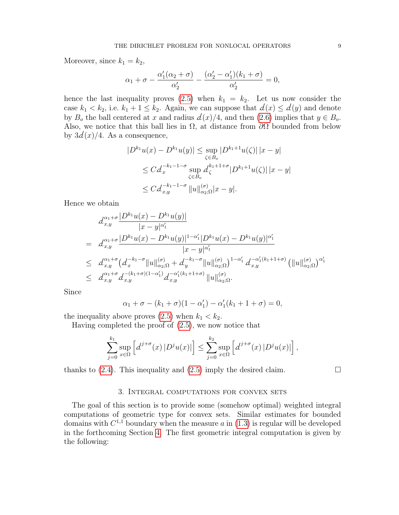Moreover, since  $k_1 = k_2$ ,

$$
\alpha_1 + \sigma - \frac{\alpha'_1(\alpha_2 + \sigma)}{\alpha'_2} - \frac{(\alpha'_2 - \alpha'_1)(k_1 + \sigma)}{\alpha'_2} = 0,
$$

hence the last inequality proves [\(2.5\)](#page-7-0) when  $k_1 = k_2$ . Let us now consider the case  $k_1 < k_2$ , i.e.  $k_1 + 1 \leq k_2$ . Again, we can suppose that  $d(x) \leq d(y)$  and denote by  $B_o$  the ball centered at x and radius  $d(x)/4$ , and then [\(2.6\)](#page-7-1) implies that  $y \in B_o$ . Also, we notice that this ball lies in  $\Omega$ , at distance from  $\partial\Omega$  bounded from below by  $3d(x)/4$ . As a consequence,

$$
|D^{k_1}u(x) - D^{k_1}u(y)| \le \sup_{\zeta \in B_o} |D^{k_1+1}u(\zeta)| |x - y|
$$
  
\n
$$
\le C d_x^{-k_1-1-\sigma} \sup_{\zeta \in B_o} d_{\zeta}^{k_1+1+\sigma} |D^{k_1+1}u(\zeta)| |x - y|
$$
  
\n
$$
\le C d_{x,y}^{-k_1-1-\sigma} ||u||_{\alpha_2;\Omega}^{(\sigma)} |x - y|.
$$

Hence we obtain

$$
d_{x,y}^{\alpha_1+\sigma} \frac{|D^{k_1}u(x)-D^{k_1}u(y)|}{|x-y|^{\alpha'_1}}
$$
  
\n
$$
= d_{x,y}^{\alpha_1+\sigma} \frac{|D^{k_1}u(x)-D^{k_1}u(y)|^{1-\alpha'_1}|D^{k_1}u(x)-D^{k_1}u(y)|^{\alpha'_1}}{|x-y|^{\alpha'_1}}
$$
  
\n
$$
\leq d_{x,y}^{\alpha_1+\sigma} (d_{x}^{-k_1-\sigma}||u||_{\alpha_2;\Omega}^{(\sigma)} + d_{y}^{-k_1-\sigma}||u||_{\alpha_2;\Omega}^{(\sigma)})^{1-\alpha'_1} d_{x,y}^{-\alpha'_1(k_1+1+\sigma)} (||u||_{\alpha_2;\Omega}^{(\sigma)})^{\alpha'_1}
$$
  
\n
$$
\leq d_{x,y}^{\alpha_1+\sigma} d_{x,y}^{-(k_1+\sigma)(1-\alpha'_1)} d_{x,y}^{-\alpha'_1(k_1+1+\sigma)} ||u||_{\alpha_2;\Omega}^{(\sigma)}.
$$

Since

$$
\alpha_1 + \sigma - (k_1 + \sigma)(1 - \alpha'_1) - \alpha'_1(k_1 + 1 + \sigma) = 0,
$$

the inequality above proves  $(2.5)$  when  $k_1 < k_2$ .

Having completed the proof of [\(2.5\)](#page-7-0), we now notice that

$$
\sum_{j=0}^{k_1} \sup_{x \in \Omega} \left[ d^{j+\sigma}(x) \left| D^j u(x) \right| \right] \le \sum_{j=0}^{k_2} \sup_{x \in \Omega} \left[ d^{j+\sigma}(x) \left| D^j u(x) \right| \right],
$$

thanks to  $(2.4)$ . This inequality and  $(2.5)$  imply the desired claim.

### 3. Integral computations for convex sets

<span id="page-8-0"></span>The goal of this section is to provide some (somehow optimal) weighted integral computations of geometric type for convex sets. Similar estimates for bounded domains with  $C^{1,1}$  boundary when the measure a in  $(1.3)$  is regular will be developed in the forthcoming Section [4.](#page-13-0) The first geometric integral computation is given by the following: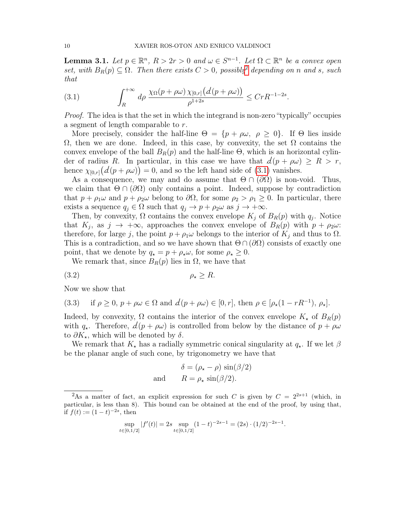<span id="page-9-4"></span>**Lemma 3.1.** Let  $p \in \mathbb{R}^n$ ,  $R > 2r > 0$  and  $\omega \in S^{n-1}$ . Let  $\Omega \subset \mathbb{R}^n$  be a convex open set, with  $B_R(p) \subseteq \Omega$ . Then there exists  $C > 0$ , possibly depending on n and s, such that

<span id="page-9-1"></span>(3.1) 
$$
\int_{R}^{+\infty} d\rho \frac{\chi_{\Omega}(p+\rho\omega)\chi_{[0,r]}(d(p+\rho\omega))}{\rho^{1+2s}} \leq C r R^{-1-2s}.
$$

Proof. The idea is that the set in which the integrand is non-zero "typically" occupies a segment of length comparable to r.

More precisely, consider the half-line  $\Theta = \{p + \rho \omega, \rho \geq 0\}$ . If  $\Theta$  lies inside  $Ω$ , then we are done. Indeed, in this case, by convexity, the set  $Ω$  contains the convex envelope of the ball  $B_R(p)$  and the half-line  $\Theta$ , which is an horizontal cylinder of radius R. In particular, in this case we have that  $d(p + \rho \omega) \ge R > r$ , hence  $\chi_{[0,r]}(d(p + \rho \omega)) = 0$ , and so the left hand side of [\(3.1\)](#page-9-1) vanishes.

As a consequence, we may and do assume that  $\Theta \cap (\partial \Omega)$  is non-void. Thus, we claim that  $\Theta \cap (\partial \Omega)$  only contains a point. Indeed, suppose by contradiction that  $p + \rho_1 \omega$  and  $p + \rho_2 \omega$  belong to  $\partial \Omega$ , for some  $\rho_2 > \rho_1 \geq 0$ . In particular, there exists a sequence  $q_j \in \Omega$  such that  $q_j \to p + \rho_2 \omega$  as  $j \to +\infty$ .

Then, by convexity,  $\Omega$  contains the convex envelope  $K_j$  of  $B_R(p)$  with  $q_j$ . Notice that  $K_j$ , as  $j \to +\infty$ , approaches the convex envelope of  $B_R(p)$  with  $p + \rho_2 \omega$ : therefore, for large j, the point  $p + \rho_1 \omega$  belongs to the interior of  $K_j$  and thus to  $\Omega$ . This is a contradiction, and so we have shown that  $\Theta \cap (\partial \Omega)$  consists of exactly one point, that we denote by  $q_{\star} = p + \rho_{\star}\omega$ , for some  $\rho_{\star} \geq 0$ .

We remark that, since  $B_R(p)$  lies in  $\Omega$ , we have that

$$
(3.2) \t\t \rho_{\star} \ge R.
$$

Now we show that

<span id="page-9-2"></span>(3.3) if 
$$
\rho \ge 0
$$
,  $p + \rho \omega \in \Omega$  and  $d(p + \rho \omega) \in [0, r]$ , then  $\rho \in [\rho_*(1 - rR^{-1}), \rho_*]$ .

Indeed, by convexity,  $\Omega$  contains the interior of the convex envelope  $K_{\star}$  of  $B_R(p)$ with  $q_{\star}$ . Therefore,  $d(p + \rho \omega)$  is controlled from below by the distance of  $p + \rho \omega$ to  $\partial K_{\star}$ , which will be denoted by  $\delta$ .

We remark that  $K_{\star}$  has a radially symmetric conical singularity at  $q_{\star}$ . If we let  $\beta$ be the planar angle of such cone, by trigonometry we have that

<span id="page-9-3"></span>
$$
\delta = (\rho_{\star} - \rho) \sin(\beta/2)
$$
  
and 
$$
R = \rho_{\star} \sin(\beta/2).
$$

$$
\sup_{t \in [0,1/2]} |f'(t)| = 2s \sup_{t \in [0,1/2]} (1-t)^{-2s-1} = (2s) \cdot (1/2)^{-2s-1}.
$$

<span id="page-9-0"></span><sup>&</sup>lt;sup>2</sup>As a matter of fact, an explicit expression for such C is given by  $C = 2^{2s+1}$  (which, in particular, is less than 8). This bound can be obtained at the end of the proof, by using that, if  $f(t) := (1 - t)^{-2s}$ , then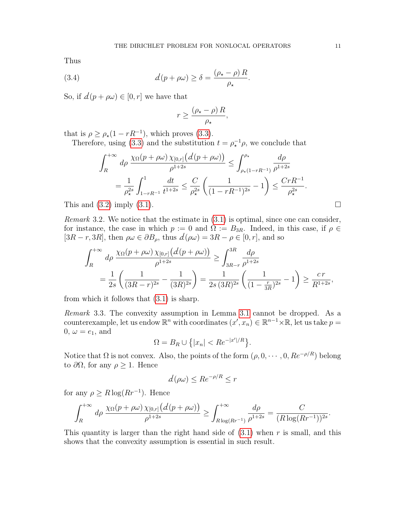Thus

(3.4) 
$$
d(p + \rho \omega) \geq \delta = \frac{(\rho_{\star} - \rho) R}{\rho_{\star}}.
$$

So, if  $d(p + \rho\omega) \in [0, r]$  we have that

<span id="page-10-0"></span>
$$
r \ge \frac{(\rho_\star - \rho) R}{\rho_\star},
$$

that is  $\rho \ge \rho_{\star}(1 - rR^{-1})$ , which proves [\(3.3\)](#page-9-2).

Therefore, using [\(3.3\)](#page-9-2) and the substitution  $t = \rho_\star^{-1} \rho$ , we conclude that

$$
\int_{R}^{+\infty} d\rho \frac{\chi_{\Omega}(p+\rho\omega)\chi_{[0,r]}(d(p+\rho\omega))}{\rho^{1+2s}} \leq \int_{\rho_{\star}(1-rR^{-1})}^{\rho_{\star}} \frac{d\rho}{\rho^{1+2s}} \n= \frac{1}{\rho_{\star}^{2s}} \int_{1-rR^{-1}}^{1} \frac{dt}{t^{1+2s}} \leq \frac{C}{\rho_{\star}^{2s}} \left(\frac{1}{(1-rR^{-1})^{2s}} - 1\right) \leq \frac{CrR^{-1}}{\rho_{\star}^{2s}}.
$$

This and  $(3.2)$  imply  $(3.1)$ .

Remark 3.2. We notice that the estimate in [\(3.1\)](#page-9-1) is optimal, since one can consider, for instance, the case in which  $p := 0$  and  $\Omega := B_{3R}$ . Indeed, in this case, if  $\rho \in$  $[3R - r, 3R]$ , then  $\rho\omega \in \partial B_\rho$ , thus  $d(\rho\omega) = 3R - \rho \in [0, r]$ , and so

$$
\int_{R}^{+\infty} d\rho \frac{\chi_{\Omega}(p+\rho\omega)\chi_{[0,r]}(d(p+\rho\omega))}{\rho^{1+2s}} \ge \int_{3R-r}^{3R} \frac{d\rho}{\rho^{1+2s}}
$$

$$
= \frac{1}{2s} \left( \frac{1}{(3R-r)^{2s}} - \frac{1}{(3R)^{2s}} \right) = \frac{1}{2s(3R)^{2s}} \left( \frac{1}{(1-\frac{r}{3R})^{2s}} - 1 \right) \ge \frac{cr}{R^{1+2s}},
$$

from which it follows that [\(3.1\)](#page-9-1) is sharp.

Remark 3.3. The convexity assumption in Lemma [3.1](#page-9-4) cannot be dropped. As a counterexample, let us endow  $\mathbb{R}^n$  with coordinates  $(x', x_n) \in \mathbb{R}^{n-1} \times \mathbb{R}$ , let us take  $p =$  $0, \omega = e_1$ , and

$$
\Omega = B_R \cup \left\{ |x_n| < Re^{-|x'|/R} \right\}.
$$

Notice that  $\Omega$  is not convex. Also, the points of the form  $(\rho, 0, \dots, 0, Re^{-\rho/R})$  belong to  $\partial\Omega$ , for any  $\rho$  ≥ 1. Hence

$$
d(\rho \omega) \leq Re^{-\rho/R} \leq r
$$

for any  $\rho \geq R \log(Rr^{-1})$ . Hence

$$
\int_{R}^{+\infty} d\rho \frac{\chi_{\Omega}(p+\rho\omega)\chi_{[0,r]}(d(p+\rho\omega))}{\rho^{1+2s}} \geq \int_{R\log(Rr^{-1})}^{+\infty} \frac{d\rho}{\rho^{1+2s}} = \frac{C}{(R\log(Rr^{-1}))^{2s}}.
$$

This quantity is larger than the right hand side of  $(3.1)$  when r is small, and this shows that the convexity assumption is essential in such result.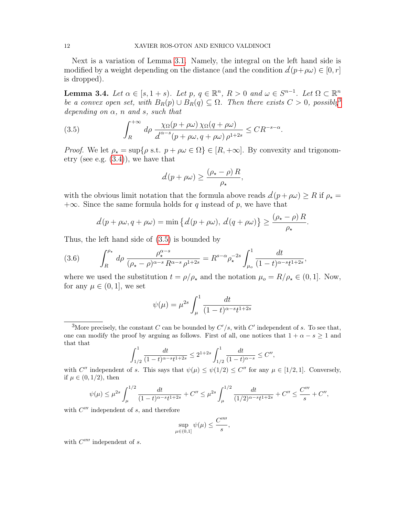Next is a variation of Lemma [3.1.](#page-9-4) Namely, the integral on the left hand side is modified by a weight depending on the distance (and the condition  $d(p+\rho\omega) \in [0, r]$ is dropped).

<span id="page-11-3"></span>**Lemma 3.4.** Let  $\alpha \in [s, 1+s)$ . Let  $p, q \in \mathbb{R}^n$ ,  $R > 0$  and  $\omega \in S^{n-1}$ . Let  $\Omega \subset \mathbb{R}^n$ be a convex open set, with  $B_R(p) \cup B_R(q) \subseteq \Omega$ . Then there exists  $C > 0$ , possibly<sup>[3](#page-11-0)</sup> depending on  $\alpha$ , n and s, such that

<span id="page-11-1"></span>(3.5) 
$$
\int_{R}^{+\infty} d\rho \frac{\chi_{\Omega}(p+\rho\omega)\,\chi_{\Omega}(q+\rho\omega)}{\Delta^{\alpha-s}(p+\rho\omega,q+\rho\omega)\,\rho^{1+2s}} \leq CR^{-s-\alpha}.
$$

*Proof.* We let  $\rho_{\star} = \sup \{ \rho \text{ s.t. } p + \rho \omega \in \Omega \} \in [R, +\infty]$ . By convexity and trigonometry (see e.g. [\(3.4\)](#page-10-0)), we have that

$$
d(p + \rho \omega) \ge \frac{(\rho_{\star} - \rho) R}{\rho_{\star}},
$$

with the obvious limit notation that the formula above reads  $d(p + \rho \omega) \ge R$  if  $\rho_* =$  $+\infty$ . Since the same formula holds for q instead of p, we have that

$$
d(p + \rho \omega, q + \rho \omega) = \min \left\{ d(p + \rho \omega), d(q + \rho \omega) \right\} \ge \frac{(\rho_{\star} - \rho) R}{\rho_{\star}}.
$$

Thus, the left hand side of [\(3.5\)](#page-11-1) is bounded by

<span id="page-11-2"></span>(3.6) 
$$
\int_{R}^{\rho_{\star}} d\rho \, \frac{\rho_{\star}^{\alpha-s}}{(\rho_{\star}-\rho)^{\alpha-s} \, R^{\alpha-s} \, \rho^{1+2s}} = R^{s-\alpha} \rho_{\star}^{-2s} \int_{\mu_{o}}^{1} \frac{dt}{(1-t)^{\alpha-s} t^{1+2s}},
$$

where we used the substitution  $t = \rho/\rho_{\star}$  and the notation  $\mu_o = R/\rho_{\star} \in (0, 1]$ . Now, for any  $\mu \in (0,1]$ , we set

$$
\psi(\mu) = \mu^{2s} \int_{\mu}^{1} \frac{dt}{(1-t)^{\alpha-s}t^{1+2s}}
$$

<span id="page-11-0"></span><sup>3</sup>More precisely, the constant C can be bounded by  $C'/s$ , with C' independent of s. To see that, one can modify the proof by arguing as follows. First of all, one notices that  $1 + \alpha - s \ge 1$  and that that

$$
\int_{1/2}^1 \frac{dt}{(1-t)^{\alpha-s}t^{1+2s}} \le 2^{1+2s} \int_{1/2}^1 \frac{dt}{(1-t)^{\alpha-s}} \le C'',
$$

with C'' independent of s. This says that  $\psi(\mu) \leq \psi(1/2) \leq C''$  for any  $\mu \in [1/2, 1]$ . Conversely, if  $\mu \in (0, 1/2)$ , then

$$
\psi(\mu) \le \mu^{2s} \int_{\mu}^{1/2} \frac{dt}{(1-t)^{\alpha-s}t^{1+2s}} + C'' \le \mu^{2s} \int_{\mu}^{1/2} \frac{dt}{(1/2)^{\alpha-s}t^{1+2s}} + C'' \le \frac{C'''}{s} + C'',
$$

with  $C'''$  independent of s, and therefore

$$
\sup_{\mu \in (0,1]} \psi(\mu) \le \frac{C''''}{s},
$$

with  $C^{\prime\prime\prime\prime}$  independent of s.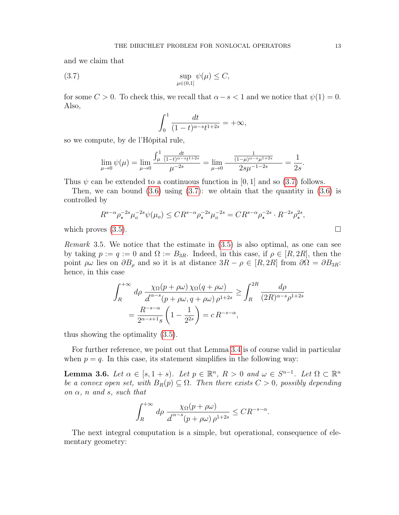and we claim that

$$
\sup_{\mu \in (0,1]} \psi(\mu) \le C,
$$

for some  $C > 0$ . To check this, we recall that  $\alpha - s < 1$  and we notice that  $\psi(1) = 0$ . Also,

<span id="page-12-0"></span>
$$
\int_0^1 \frac{dt}{(1-t)^{\alpha-s}t^{1+2s}} = +\infty,
$$

so we compute, by de l'Hôpital rule,

$$
\lim_{\mu \to 0} \psi(\mu) = \lim_{\mu \to 0} \frac{\int_{\mu}^{1} \frac{dt}{(1-t)^{\alpha - s} t^{1+2s}}}{\mu^{-2s}} = \lim_{\mu \to 0} \frac{\frac{1}{(1-\mu)^{\alpha - s} \mu^{1+2s}}}{2s \mu^{-1-2s}} = \frac{1}{2s}.
$$

Thus  $\psi$  can be extended to a continuous function in [0, 1] and so [\(3.7\)](#page-12-0) follows.

Then, we can bound  $(3.6)$  using  $(3.7)$ : we obtain that the quantity in  $(3.6)$  is controlled by

$$
R^{s-\alpha} \rho_{\star}^{-2s} \mu_o^{-2s} \psi(\mu_o) \leq CR^{s-\alpha} \rho_{\star}^{-2s} \mu_o^{-2s} = CR^{s-\alpha} \rho_{\star}^{-2s} \cdot R^{-2s} \rho_{\star}^{2s},
$$
  
which proves (3.5).

Remark 3.5. We notice that the estimate in [\(3.5\)](#page-11-1) is also optimal, as one can see by taking  $p := q := 0$  and  $\Omega := B_{3R}$ . Indeed, in this case, if  $\rho \in [R, 2R]$ , then the point  $\rho\omega$  lies on  $\partial B_\rho$  and so it is at distance  $3R - \rho \in [R, 2R]$  from  $\partial\Omega = \partial B_{3R}$ : hence, in this case

$$
\int_{R}^{+\infty} d\rho \frac{\chi_{\Omega}(p+\rho\omega)\,\chi_{\Omega}(q+\rho\omega)}{\int_{R}^{\alpha-s}(p+\rho\omega,q+\rho\omega)\,\rho^{1+2s}} \ge \int_{R}^{2R} \frac{d\rho}{(2R)^{\alpha-s}\rho^{1+2s}}
$$

$$
= \frac{R^{-s-\alpha}}{2^{\alpha-s+1}s} \left(1 - \frac{1}{2^{2s}}\right) = c R^{-s-\alpha},
$$

thus showing the optimality [\(3.5\)](#page-11-1).

For further reference, we point out that Lemma [3.4](#page-11-3) is of course valid in particular when  $p = q$ . In this case, its statement simplifies in the following way:

<span id="page-12-1"></span>**Lemma 3.6.** Let  $\alpha \in [s, 1+s)$ . Let  $p \in \mathbb{R}^n$ ,  $R > 0$  and  $\omega \in S^{n-1}$ . Let  $\Omega \subset \mathbb{R}^n$ be a convex open set, with  $B_R(p) \subseteq \Omega$ . Then there exists  $C > 0$ , possibly depending on  $\alpha$ , n and s, such that

$$
\int_{R}^{+\infty} d\rho \frac{\chi_{\Omega}(p+\rho\omega)}{\Delta^{\alpha-s}(p+\rho\omega)\,\rho^{1+2s}} \leq CR^{-s-\alpha}.
$$

The next integral computation is a simple, but operational, consequence of elementary geometry: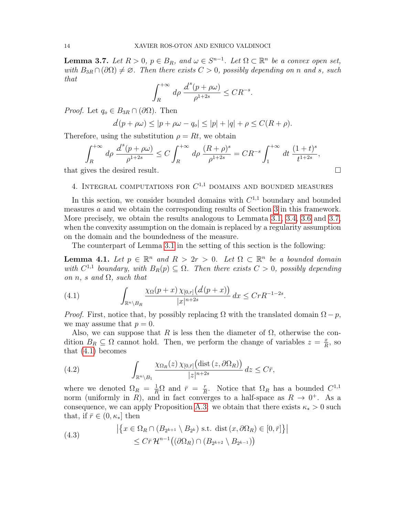<span id="page-13-1"></span>**Lemma 3.7.** Let  $R > 0$ ,  $p \in B_R$ , and  $\omega \in S^{n-1}$ . Let  $\Omega \subset \mathbb{R}^n$  be a convex open set, with  $B_{3R} \cap (\partial \Omega) \neq \emptyset$ . Then there exists  $C > 0$ , possibly depending on n and s, such that

$$
\int_{R}^{+\infty} d\rho \, \frac{d^{s}(p+\rho\omega)}{\rho^{1+2s}} \leq CR^{-s}.
$$

*Proof.* Let  $q_o \in B_{3R} \cap (\partial \Omega)$ . Then

$$
\mathcal{d}(p + \rho \omega) \le |p + \rho \omega - q_o| \le |p| + |q| + \rho \le C(R + \rho).
$$

Therefore, using the substitution  $\rho = Rt$ , we obtain

$$
\int_{R}^{+\infty} d\rho \, \frac{d^{s}(p+\rho\omega)}{\rho^{1+2s}} \le C \int_{R}^{+\infty} d\rho \, \frac{(R+\rho)^{s}}{\rho^{1+2s}} = CR^{-s} \int_{1}^{+\infty} dt \, \frac{(1+t)^{s}}{t^{1+2s}},
$$
\nIt is the desired result

that gives the desired result.

<span id="page-13-0"></span>4. INTEGRAL COMPUTATIONS FOR  $C^{1,1}$  DOMAINS AND BOUNDED MEASURES

In this section, we consider bounded domains with  $C^{1,1}$  boundary and bounded measures a and we obtain the corresponding results of Section [3](#page-8-0) in this framework. More precisely, we obtain the results analogous to Lemmata [3.1,](#page-9-4) [3.4,](#page-11-3) [3.6](#page-12-1) and [3.7,](#page-13-1) when the convexity assumption on the domain is replaced by a regularity assumption on the domain and the boundedness of the measure.

The counterpart of Lemma [3.1](#page-9-4) in the setting of this section is the following:

<span id="page-13-5"></span>**Lemma 4.1.** Let  $p \in \mathbb{R}^n$  and  $R > 2r > 0$ . Let  $\Omega \subset \mathbb{R}^n$  be a bounded domain with  $C^{1,1}$  boundary, with  $B_R(p) \subseteq \Omega$ . Then there exists  $C > 0$ , possibly depending on n, s and  $\Omega$ , such that

<span id="page-13-2"></span>(4.1) 
$$
\int_{\mathbb{R}^n \setminus B_R} \frac{\chi_{\Omega}(p+x) \chi_{[0,r]}(d(p+x))}{|x|^{n+2s}} dx \leq C r R^{-1-2s}.
$$

*Proof.* First, notice that, by possibly replacing  $\Omega$  with the translated domain  $\Omega - p$ , we may assume that  $p = 0$ .

Also, we can suppose that R is less then the diameter of  $\Omega$ , otherwise the condition  $B_R \subseteq \Omega$  cannot hold. Then, we perform the change of variables  $z = \frac{x}{B}$  $\frac{x}{R}$ , so that [\(4.1\)](#page-13-2) becomes

<span id="page-13-4"></span>(4.2) 
$$
\int_{\mathbb{R}^n \setminus B_1} \frac{\chi_{\Omega_R}(z) \,\chi_{[0,\bar{r}]}(\text{dist}(z,\partial \Omega_R))}{|z|^{n+2s}} \, dz \leq C\bar{r},
$$

where we denoted  $\Omega_R = \frac{1}{R}\Omega$  and  $\bar{r} = \frac{r}{R}$  $\frac{r}{R}$ . Notice that  $\Omega_R$  has a bounded  $C^{1,1}$ norm (uniformly in R), and in fact converges to a half-space as  $R \to 0^+$ . As a consequence, we can apply Proposition [A.3:](#page-47-0) we obtain that there exists  $\kappa_* > 0$  such that, if  $\bar{r} \in (0, \kappa_*]$  then

<span id="page-13-3"></span>(4.3) 
$$
\left| \left\{ x \in \Omega_R \cap (B_{2^{k+1}} \setminus B_{2^k}) \text{ s.t. } \text{dist}(x, \partial \Omega_R) \in [0, \bar{r}] \right\} \right|
$$

$$
\leq C\bar{r} \mathcal{H}^{n-1}((\partial \Omega_R) \cap (B_{2^{k+2}} \setminus B_{2^{k-1}}))
$$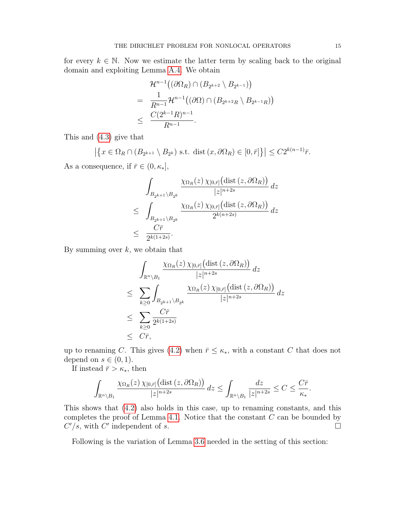for every  $k \in \mathbb{N}$ . Now we estimate the latter term by scaling back to the original domain and exploiting Lemma [A.4.](#page-49-0) We obtain

$$
\mathcal{H}^{n-1}((\partial \Omega_R) \cap (B_{2^{k+2}} \setminus B_{2^{k-1}}))
$$
  
= 
$$
\frac{1}{R^{n-1}} \mathcal{H}^{n-1}((\partial \Omega) \cap (B_{2^{k+2}R} \setminus B_{2^{k-1}R}))
$$
  

$$
\leq \frac{C(2^{k-1}R)^{n-1}}{R^{n-1}}.
$$

This and [\(4.3\)](#page-13-3) give that

$$
\left| \left\{ x \in \Omega_R \cap (B_{2^{k+1}} \setminus B_{2^k}) \text{ s.t. } \text{dist}(x, \partial \Omega_R) \in [0, \bar{r}]\right\} \right| \le C2^{k(n-1)}\bar{r}.
$$

As a consequence, if  $\bar{r} \in (0, \kappa_*],$ 

$$
\int_{B_{2^{k+1}} \setminus B_{2^k}} \frac{\chi_{\Omega_R}(z) \, \chi_{[0,\bar r]}(\text{dist}(z, \partial \Omega_R))}{|z|^{n+2s}} \, dz
$$
\n
$$
\leq \int_{B_{2^{k+1}} \setminus B_{2^k}} \frac{\chi_{\Omega_R}(z) \, \chi_{[0,\bar r]}(\text{dist}(z, \partial \Omega_R))}{2^{k(n+2s)}} \, dz
$$
\n
$$
\leq \frac{C\bar{r}}{2^{k(1+2s)}}.
$$

By summing over  $k$ , we obtain that

$$
\int_{\mathbb{R}^n \setminus B_1} \frac{\chi_{\Omega_R}(z) \chi_{[0,\bar{r}]}(\text{dist}(z, \partial \Omega_R))}{|z|^{n+2s}} dz
$$
\n
$$
\leq \sum_{k \geq 0} \int_{B_{2^{k+1}} \setminus B_{2^k}} \frac{\chi_{\Omega_R}(z) \chi_{[0,\bar{r}]}(\text{dist}(z, \partial \Omega_R))}{|z|^{n+2s}} dz
$$
\n
$$
\leq \sum_{k \geq 0} \frac{C\bar{r}}{2^{k(1+2s)}}
$$
\n
$$
\leq C\bar{r},
$$

up to renaming C. This gives [\(4.2\)](#page-13-4) when  $\bar{r} \leq \kappa_*$ , with a constant C that does not depend on  $s \in (0,1)$ .

If instead  $\bar{r} > \kappa_*$ , then

$$
\int_{\mathbb{R}^n \setminus B_1} \frac{\chi_{\Omega_R}(z) \, \chi_{[0,\overline{r}]} \big( \text{dist} \, (z, \partial \Omega_R) \big)}{|z|^{n+2s}} \, dz \le \int_{\mathbb{R}^n \setminus B_1} \frac{dz}{|z|^{n+2s}} \le C \le \frac{C\overline{r}}{\kappa_*}.
$$

This shows that [\(4.2\)](#page-13-4) also holds in this case, up to renaming constants, and this completes the proof of Lemma [4.1.](#page-13-5) Notice that the constant  $C$  can be bounded by  $C'/s$ , with  $C'$  independent of s.

Following is the variation of Lemma [3.6](#page-12-1) needed in the setting of this section: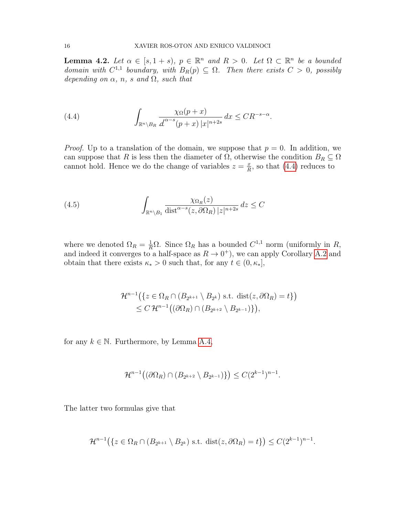<span id="page-15-2"></span>**Lemma 4.2.** Let  $\alpha \in [s, 1+s)$ ,  $p \in \mathbb{R}^n$  and  $R > 0$ . Let  $\Omega \subset \mathbb{R}^n$  be a bounded domain with  $C^{1,1}$  boundary, with  $B_R(p) \subseteq \Omega$ . Then there exists  $C > 0$ , possibly depending on  $\alpha$ , n, s and  $\Omega$ , such that

<span id="page-15-0"></span>(4.4) 
$$
\int_{\mathbb{R}^n \setminus B_R} \frac{\chi_{\Omega}(p+x)}{d^{\alpha-s}(p+x) |x|^{n+2s}} dx \leq CR^{-s-\alpha}.
$$

*Proof.* Up to a translation of the domain, we suppose that  $p = 0$ . In addition, we can suppose that R is less then the diameter of  $\Omega$ , otherwise the condition  $B_R \subseteq \Omega$ cannot hold. Hence we do the change of variables  $z = \frac{x}{R}$  $\frac{x}{R}$ , so that [\(4.4\)](#page-15-0) reduces to

<span id="page-15-1"></span>(4.5) 
$$
\int_{\mathbb{R}^n \setminus B_1} \frac{\chi_{\Omega_R}(z)}{\text{dist}^{\alpha-s}(z, \partial \Omega_R) |z|^{n+2s}} dz \leq C
$$

where we denoted  $\Omega_R = \frac{1}{R}\Omega$ . Since  $\Omega_R$  has a bounded  $C^{1,1}$  norm (uniformly in R, and indeed it converges to a half-space as  $R \to 0^+$ , we can apply Corollary [A.2](#page-45-0) and obtain that there exists  $\kappa_* > 0$  such that, for any  $t \in (0, \kappa_*]$ ,

$$
\mathcal{H}^{n-1}(\lbrace z \in \Omega_R \cap (B_{2^{k+1}} \setminus B_{2^k}) \text{ s.t. } \text{dist}(z, \partial \Omega_R) = t \rbrace)
$$
  
 
$$
\leq C \mathcal{H}^{n-1}((\partial \Omega_R) \cap (B_{2^{k+2}} \setminus B_{2^{k-1}}))
$$

for any  $k \in \mathbb{N}$ . Furthermore, by Lemma [A.4,](#page-49-0)

$$
\mathcal{H}^{n-1}((\partial \Omega_R) \cap (B_{2^{k+2}} \setminus B_{2^{k-1}})) \leq C(2^{k-1})^{n-1}.
$$

The latter two formulas give that

$$
\mathcal{H}^{n-1}(\{z \in \Omega_R \cap (B_{2^{k+1}} \setminus B_{2^k}) \text{ s.t. } \text{dist}(z, \partial \Omega_R) = t\}) \le C(2^{k-1})^{n-1}.
$$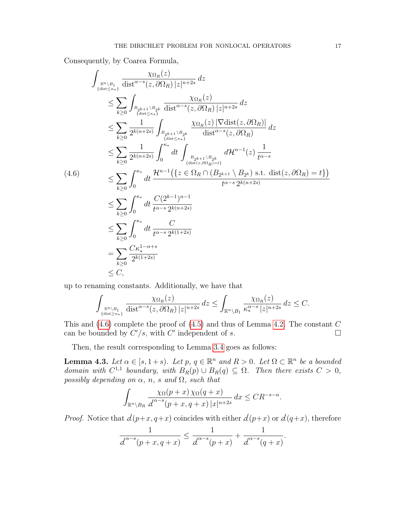Consequently, by Coarea Formula,

<span id="page-16-0"></span>
$$
\int_{\frac{R^{n}\setminus B_{1}}{\{dist\leq \kappa*\}}}\frac{\chi_{\Omega_{R}}(z)}{\text{dist}^{\alpha-s}(z,\partial\Omega_{R})|z|^{n+2s}}dz
$$
\n
$$
\leq \sum_{k\geq 0} \int_{\frac{B_{2k+1}\setminus B_{2k}}{\{dist\leq \kappa*\}}} \frac{\chi_{\Omega_{R}}(z)}{\text{dist}^{\alpha-s}(z,\partial\Omega_{R})|z|^{n+2s}}dz
$$
\n
$$
\leq \sum_{k\geq 0} \frac{1}{2^{k(n+2s)}} \int_{\frac{B_{2k+1}\setminus B_{2k}}{\{dist\leq \kappa*\}}} \frac{\chi_{\Omega_{R}}(z)|\nabla \text{dist}(z,\partial\Omega_{R})|}{\text{dist}^{\alpha-s}(z,\partial\Omega_{R})}dz
$$
\n
$$
\leq \sum_{k\geq 0} \frac{1}{2^{k(n+2s)}} \int_{0}^{\kappa*} dt \int_{\frac{B_{2k+1}\setminus B_{2k}}{\{dist(z,\partial\Omega_{R})=t\}}} d\mathcal{H}^{n-1}(z) \frac{1}{t^{\alpha-s}}
$$
\n
$$
\leq \sum_{k\geq 0} \int_{0}^{\kappa*} dt \frac{\mathcal{H}^{n-1}(\{z \in \Omega_{R} \cap (B_{2k+1} \setminus B_{2k}) \text{ s.t. } \text{dist}(z,\partial\Omega_{R})=t\})}{t^{\alpha-s} 2^{k(n+2s)}}
$$
\n
$$
\leq \sum_{k\geq 0} \int_{0}^{\kappa*} dt \frac{C(2^{k-1})^{n-1}}{t^{\alpha-s} 2^{k(n+2s)}}
$$
\n
$$
\leq \sum_{k\geq 0} \int_{0}^{\kappa*} dt \frac{C}{t^{\alpha-s} 2^{k(1+2s)}}
$$
\n
$$
\leq C,
$$

up to renaming constants. Additionally, we have that

$$
\int_{\mathbb{R}^n \setminus B_1 \atop \{\text{dist} \ge \kappa_*\}} \frac{\chi_{\Omega_R}(z)}{\text{dist}^{\alpha - s}(z, \partial \Omega_R) \, |z|^{n+2s}} \, dz \le \int_{\mathbb{R}^n \setminus B_1} \frac{\chi_{\Omega_R}(z)}{\kappa_*^{\alpha - s} \, |z|^{n+2s}} \, dz \le C.
$$

This and  $(4.6)$  complete the proof of  $(4.5)$  and thus of Lemma [4.2.](#page-15-2) The constant C can be bounded by  $C'/s$ , with  $C'$  independent of s.

Then, the result corresponding to Lemma [3.4](#page-11-3) goes as follows:

<span id="page-16-1"></span>**Lemma 4.3.** Let  $\alpha \in [s, 1+s)$ . Let  $p, q \in \mathbb{R}^n$  and  $R > 0$ . Let  $\Omega \subset \mathbb{R}^n$  be a bounded domain with  $C^{1,1}$  boundary, with  $B_R(p) \cup B_R(q) \subseteq \Omega$ . Then there exists  $C > 0$ , possibly depending on  $\alpha$ , n, s and  $\Omega$ , such that

$$
\int_{\mathbb{R}^n \setminus B_R} \frac{\chi_{\Omega}(p+x) \chi_{\Omega}(q+x)}{d^{\alpha-s}(p+x, q+x) |x|^{n+2s}} dx \leq CR^{-s-\alpha}.
$$

*Proof.* Notice that  $d(p+x, q+x)$  coincides with either  $d(p+x)$  or  $d(q+x)$ , therefore

$$
\frac{1}{d^{\alpha-s}(p+x,q+x)} \le \frac{1}{d^{\alpha-s}(p+x)} + \frac{1}{d^{\alpha-s}(q+x)}.
$$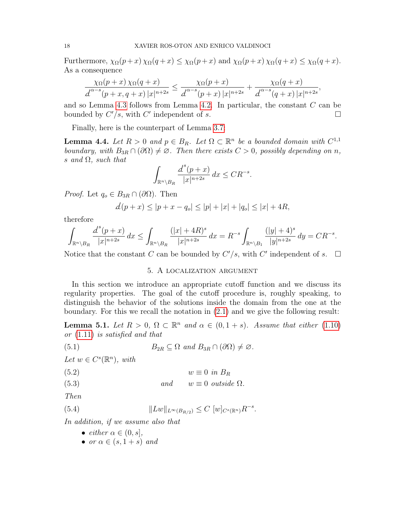Furthermore,  $\chi_{\Omega}(p+x)\chi_{\Omega}(q+x) \leq \chi_{\Omega}(p+x)$  and  $\chi_{\Omega}(p+x)\chi_{\Omega}(q+x) \leq \chi_{\Omega}(q+x)$ . As a consequence

$$
\frac{\chi_{\Omega}(p+x)\,\chi_{\Omega}(q+x)}{d^{\alpha-s}(p+x,q+x)\,|x|^{n+2s}} \le \frac{\chi_{\Omega}(p+x)}{d^{\alpha-s}(p+x)\,|x|^{n+2s}} + \frac{\chi_{\Omega}(q+x)}{d^{\alpha-s}(q+x)\,|x|^{n+2s}},
$$

and so Lemma [4.3](#page-16-1) follows from Lemma [4.2.](#page-15-2) In particular, the constant C can be bounded by  $C'/s$ , with C' independent of s.

Finally, here is the counterpart of Lemma [3.7:](#page-13-1)

<span id="page-17-2"></span>**Lemma 4.4.** Let  $R > 0$  and  $p \in B_R$ . Let  $\Omega \subset \mathbb{R}^n$  be a bounded domain with  $C^{1,1}$ boundary, with  $B_{3R} \cap (\partial \Omega) \neq \emptyset$ . Then there exists  $C > 0$ , possibly depending on n, s and  $\Omega$ , such that

$$
\int_{\mathbb{R}^n \setminus B_R} \frac{d^s(p+x)}{|x|^{n+2s}} dx \le C R^{-s}.
$$

*Proof.* Let  $q_o \in B_{3R} \cap (\partial \Omega)$ . Then

$$
\mathcal{d}(p+x) \le |p+x - q_o| \le |p| + |x| + |q_o| \le |x| + 4R,
$$

therefore

$$
\int_{\mathbb{R}^n \backslash B_R} \frac{d^s(p + x)}{|x|^{n+2s}} \, dx \le \int_{\mathbb{R}^n \backslash B_R} \frac{(|x|+4R)^s}{|x|^{n+2s}} \, dx = R^{-s} \int_{\mathbb{R}^n \backslash B_1} \frac{(|y|+4)^s}{|y|^{n+2s}} \, dy = CR^{-s}.
$$

Notice that the constant C can be bounded by  $C'/s$ , with C' independent of s.  $\square$ 

### <span id="page-17-5"></span>5. A localization argument

<span id="page-17-0"></span>In this section we introduce an appropriate cutoff function and we discuss its regularity properties. The goal of the cutoff procedure is, roughly speaking, to distinguish the behavior of the solutions inside the domain from the one at the boundary. For this we recall the notation in [\(2.1\)](#page-5-1) and we give the following result:

<span id="page-17-1"></span>**Lemma 5.1.** Let  $R > 0$ ,  $\Omega \subset \mathbb{R}^n$  and  $\alpha \in (0, 1 + s)$ . Assume that either [\(1.10\)](#page-3-2) or [\(1.11\)](#page-3-3) is satisfied and that

(5.1) 
$$
B_{2R} \subseteq \Omega \text{ and } B_{3R} \cap (\partial \Omega) \neq \varnothing.
$$

Let  $w \in C^{s}(\mathbb{R}^n)$ , with

$$
(5.2) \t\t w \equiv 0 \t\tin B_R
$$

(5.3) and 
$$
u \equiv 0
$$
 outside  $\Omega$ .

Then

(5.4) 
$$
||Lw||_{L^{\infty}(B_{R/2})} \leq C [w]_{C^{s}(\mathbb{R}^{n})} R^{-s}.
$$

In addition, if we assume also that

- <span id="page-17-4"></span><span id="page-17-3"></span>• either  $\alpha \in (0, s]$ ,
- or  $\alpha \in (s, 1+s)$  and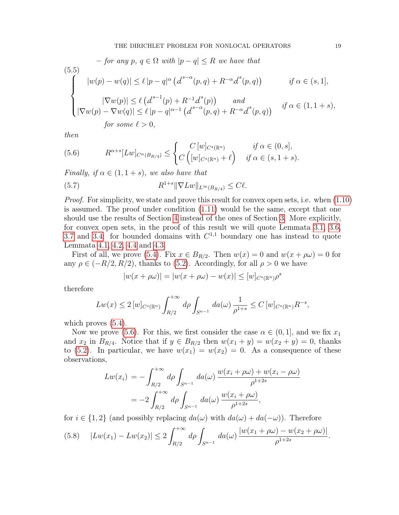<span id="page-18-2"></span>
$$
- \text{ for any } p, q \in \Omega \text{ with } |p - q| \le R \text{ we have that}
$$
\n
$$
(5.5)
$$
\n
$$
|w(p) - w(q)| \le \ell |p - q|^{\alpha} (d^{s-\alpha}(p, q) + R^{-\alpha} d^{s}(p, q)) \qquad \text{if } \alpha \in (s, 1],
$$
\n
$$
|\nabla w(p)| \le \ell (d^{s-1}(p) + R^{-1} d^{s}(p)) \qquad \text{and}
$$
\n
$$
|\nabla w(p) - \nabla w(q)| \le \ell |p - q|^{\alpha - 1} (d^{s-\alpha}(p, q) + R^{-\alpha} d^{s}(p, q)) \qquad \text{if } \alpha \in (1, 1 + s),
$$
\n
$$
\text{for some } \ell > 0,
$$

then

<span id="page-18-0"></span>(5.6) 
$$
R^{\alpha+s}[Lw]_{C^{\alpha}(B_{R/4})} \leq \begin{cases} C[w]_{C^s(\mathbb{R}^n)} & \text{if } \alpha \in (0,s], \\ C([w]_{C^s(\mathbb{R}^n)} + \ell) & \text{if } \alpha \in (s,1+s). \end{cases}
$$

Finally, if  $\alpha \in (1, 1+s)$ , we also have that

<span id="page-18-3"></span>(5.7) 
$$
R^{1+s} \|\nabla Lw\|_{L^{\infty}(B_{R/4})} \leq C\ell.
$$

Proof. For simplicity, we state and prove this result for convex open sets, i.e. when  $(1.10)$ is assumed. The proof under condition [\(1.11\)](#page-3-3) would be the same, except that one should use the results of Section [4](#page-13-0) instead of the ones of Section [3.](#page-8-0) More explicitly, for convex open sets, in the proof of this result we will quote Lemmata [3.1,](#page-9-4) [3.6,](#page-12-1) [3.7](#page-13-1) and [3.4:](#page-11-3) for bounded domains with  $C^{1,1}$  boundary one has instead to quote Lemmata [4.1,](#page-13-5) [4.2,](#page-15-2) [4.4](#page-17-2) and [4.3.](#page-16-1)

First of all, we prove [\(5.4\)](#page-17-3). Fix  $x \in B_{R/2}$ . Then  $w(x) = 0$  and  $w(x + \rho \omega) = 0$  for any  $\rho \in (-R/2, R/2)$ , thanks to [\(5.2\)](#page-17-4). Accordingly, for all  $\rho > 0$  we have

$$
|w(x + \rho \omega)| = |w(x + \rho \omega) - w(x)| \le [w]_{C^{s}(\mathbb{R}^n)} \rho^s
$$

therefore

$$
Lw(x) \le 2 [w]_{C^{s}(\mathbb{R}^n)} \int_{R/2}^{+\infty} d\rho \int_{S^{n-1}} da(\omega) \frac{1}{\rho^{1+s}} \le C [w]_{C^{s}(\mathbb{R}^n)} R^{-s},
$$

which proves  $(5.4)$ .

Now we prove [\(5.6\)](#page-18-0). For this, we first consider the case  $\alpha \in (0,1]$ , and we fix  $x_1$ and  $x_2$  in  $B_{R/4}$ . Notice that if  $y \in B_{R/2}$  then  $w(x_1 + y) = w(x_2 + y) = 0$ , thanks to [\(5.2\)](#page-17-4). In particular, we have  $w(x_1) = w(x_2) = 0$ . As a consequence of these observations,

$$
Lw(x_i) = -\int_{R/2}^{+\infty} d\rho \int_{S^{n-1}} da(\omega) \frac{w(x_i + \rho \omega) + w(x_i - \rho \omega)}{\rho^{1+2s}}
$$
  
=  $-2 \int_{R/2}^{+\infty} d\rho \int_{S^{n-1}} da(\omega) \frac{w(x_i + \rho \omega)}{\rho^{1+2s}},$ 

for  $i \in \{1,2\}$  (and possibly replacing  $da(\omega)$  with  $da(\omega) + da(-\omega)$ ). Therefore

<span id="page-18-1"></span>
$$
(5.8) \quad |Lw(x_1) - Lw(x_2)| \le 2 \int_{R/2}^{+\infty} d\rho \int_{S^{n-1}} da(\omega) \frac{|w(x_1 + \rho\omega) - w(x_2 + \rho\omega)|}{\rho^{1+2s}}.
$$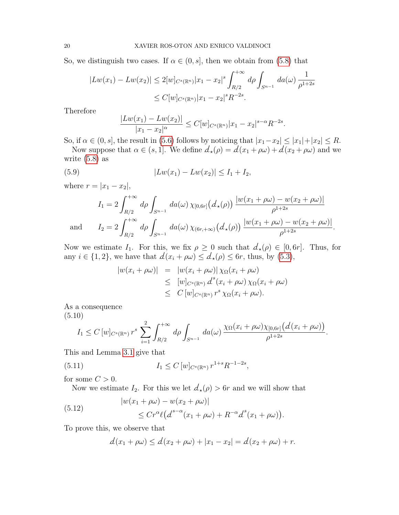So, we distinguish two cases. If  $\alpha \in (0, s]$ , then we obtain from [\(5.8\)](#page-18-1) that

$$
|Lw(x_1) - Lw(x_2)| \le 2[w]_{C^s(\mathbb{R}^n)} |x_1 - x_2|^s \int_{R/2}^{+\infty} d\rho \int_{S^{n-1}} da(\omega) \frac{1}{\rho^{1+2s}}
$$
  
 
$$
\le C[w]_{C^s(\mathbb{R}^n)} |x_1 - x_2|^s R^{-2s}.
$$

Therefore

<span id="page-19-1"></span>
$$
\frac{|Lw(x_1) - Lw(x_2)|}{|x_1 - x_2|^{\alpha}} \le C[w]_{C^{s}(\mathbb{R}^n)} |x_1 - x_2|^{s-\alpha} R^{-2s}.
$$

So, if  $\alpha \in (0, s]$ , the result in [\(5.6\)](#page-18-0) follows by noticing that  $|x_1-x_2| \le |x_1|+|x_2| \le R$ .

Now suppose that  $\alpha \in (s, 1]$ . We define  $d_{\star}(\rho) = d(x_1 + \rho \omega) + d(x_2 + \rho \omega)$  and we write [\(5.8\)](#page-18-1) as

(5.9) 
$$
|Lw(x_1) - Lw(x_2)| \le I_1 + I_2,
$$

where  $r = |x_1 - x_2|$ ,

$$
I_1 = 2 \int_{R/2}^{+\infty} d\rho \int_{S^{n-1}} da(\omega) \chi_{[0,6r]}(d_*(\rho)) \frac{|w(x_1 + \rho \omega) - w(x_2 + \rho \omega)|}{\rho^{1+2s}}
$$
  
and 
$$
I_2 = 2 \int_{R/2}^{+\infty} d\rho \int_{S^{n-1}} da(\omega) \chi_{(6r, +\infty)}(d_*(\rho)) \frac{|w(x_1 + \rho \omega) - w(x_2 + \rho \omega)|}{\rho^{1+2s}}.
$$

Now we estimate  $I_1$ . For this, we fix  $\rho \geq 0$  such that  $d_{\star}(\rho) \in [0, 6r]$ . Thus, for any  $i \in \{1, 2\}$ , we have that  $d(x_i + \rho \omega) \leq d_{\star}(\rho) \leq 6r$ , thus, by [\(5.3\)](#page-17-4),

$$
|w(x_i + \rho \omega)| = |w(x_i + \rho \omega)| \chi_{\Omega}(x_i + \rho \omega)
$$
  
\n
$$
\leq [w]_{C^s(\mathbb{R}^n)} \Delta^s(x_i + \rho \omega) \chi_{\Omega}(x_i + \rho \omega)
$$
  
\n
$$
\leq C [w]_{C^s(\mathbb{R}^n)} r^s \chi_{\Omega}(x_i + \rho \omega).
$$

As a consequence (5.10)

<span id="page-19-2"></span>
$$
I_1 \leq C \left[ w \right]_{C^s(\mathbb{R}^n)} r^s \sum_{i=1}^2 \int_{R/2}^{+\infty} d\rho \int_{S^{n-1}} da(\omega) \frac{\chi_{\Omega}(x_i + \rho \omega) \chi_{[0,6r]}(d(x_i + \rho \omega))}{\rho^{1+2s}}.
$$

This and Lemma [3.1](#page-9-4) give that

(5.11) 
$$
I_1 \leq C \, [w]_{C^s(\mathbb{R}^n)} r^{1+s} R^{-1-2s},
$$

for some  $C > 0$ .

Now we estimate  $I_2$ . For this we let  $d_{\star}(\rho) > 6r$  and we will show that

<span id="page-19-0"></span>(5.12) 
$$
\begin{aligned} |w(x_1 + \rho \omega) - w(x_2 + \rho \omega)| \\ &\leq C r^{\alpha} \ell \big( d^{s-\alpha} (x_1 + \rho \omega) + R^{-\alpha} d^s (x_1 + \rho \omega) \big) \end{aligned}
$$

To prove this, we observe that

$$
d(x_1 + \rho \omega) \le d(x_2 + \rho \omega) + |x_1 - x_2| = d(x_2 + \rho \omega) + r.
$$

.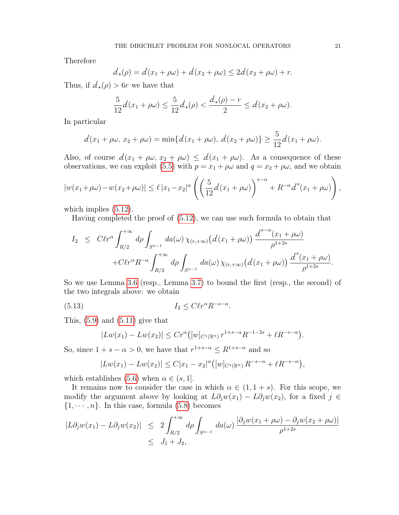Therefore

$$
d_{\star}(\rho) = d(x_1 + \rho\omega) + d(x_2 + \rho\omega) \le 2d(x_2 + \rho\omega) + r.
$$

Thus, if  $d_{\star}(\rho) > 6r$  we have that

$$
\frac{5}{12}d(x_1+\rho\omega)\leq \frac{5}{12}d_{\star}(\rho)<\frac{d_{\star}(\rho)-r}{2}\leq d(x_2+\rho\omega).
$$

In particular

$$
d(x_1 + \rho \omega, x_2 + \rho \omega) = \min\{d(x_1 + \rho \omega), d(x_2 + \rho \omega)\} \ge \frac{5}{12}d(x_1 + \rho \omega).
$$

Also, of course  $d(x_1 + \rho\omega, x_2 + \rho\omega) \leq d(x_1 + \rho\omega)$ . As a consequence of these observations, we can exploit [\(5.5\)](#page-18-2) with  $p = x_1 + \rho \omega$  and  $q = x_2 + \rho \omega$ , and we obtain

$$
|w(x_1+\rho\omega)-w(x_2+\rho\omega)| \leq \ell |x_1-x_2|^{\alpha} \left( \left(\frac{5}{12}d(x_1+\rho\omega)\right)^{s-\alpha} + R^{-\alpha}d^s(x_1+\rho\omega)\right),
$$

which implies  $(5.12)$ .

Having completed the proof of [\(5.12\)](#page-19-0), we can use such formula to obtain that

$$
I_2 \leq C \ell r^{\alpha} \int_{R/2}^{+\infty} d\rho \int_{S^{n-1}} da(\omega) \chi_{(r,+\infty)}(d(x_1+\rho\omega)) \frac{d^{s-\alpha}(x_1+\rho\omega)}{\rho^{1+2s}} + C \ell r^{\alpha} R^{-\alpha} \int_{R/2}^{+\infty} d\rho \int_{S^{n-1}} da(\omega) \chi_{(r,+\infty)}(d(x_1+\rho\omega)) \frac{d^{s}(x_1+\rho\omega)}{\rho^{1+2s}}.
$$

So we use Lemma [3.6](#page-12-1) (resp., Lemma [3.7\)](#page-13-1) to bound the first (resp., the second) of the two integrals above: we obtain

$$
(5.13)\t\t I_2 \leq C \ell r^{\alpha} R^{-s-\alpha}.
$$

This,  $(5.9)$  and  $(5.11)$  give that

<span id="page-20-0"></span>
$$
|Lw(x_1) - Lw(x_2)| \le Cr^{\alpha}([w]_{C^s(\mathbb{R}^n)} r^{1+s-\alpha} R^{-1-2s} + \ell R^{-s-\alpha}).
$$

So, since  $1 + s - \alpha > 0$ , we have that  $r^{1+s-\alpha} \leq R^{1+s-\alpha}$  and so

$$
|Lw(x_1) - Lw(x_2)| \le C|x_1 - x_2|^{\alpha} (w|_{C^s(\mathbb{R}^n)} R^{-s-\alpha} + \ell R^{-s-\alpha}),
$$

which establishes [\(5.6\)](#page-18-0) when  $\alpha \in (s, 1]$ .

It remains now to consider the case in which  $\alpha \in (1, 1+s)$ . For this scope, we modify the argument above by looking at  $L\partial_j w(x_1) - L\partial_j w(x_2)$ , for a fixed  $j \in$  $\{1, \dots, n\}$ . In this case, formula [\(5.8\)](#page-18-1) becomes

$$
|L\partial_j w(x_1) - L\partial_j w(x_2)| \le 2 \int_{R/2}^{+\infty} d\rho \int_{S^{n-1}} da(\omega) \frac{|\partial_j w(x_1 + \rho \omega) - \partial_j w(x_2 + \rho \omega)|}{\rho^{1+2s}}
$$
  
  $\le J_1 + J_2,$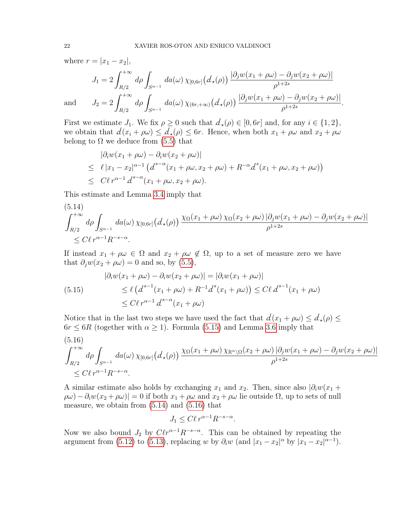where  $r = |x_1 - x_2|$ ,

$$
J_1 = 2 \int_{R/2}^{+\infty} d\rho \int_{S^{n-1}} da(\omega) \chi_{[0,6r]}(d_*(\rho)) \frac{|\partial_j w(x_1 + \rho \omega) - \partial_j w(x_2 + \rho \omega)|}{\rho^{1+2s}}
$$
  
and 
$$
J_2 = 2 \int_{R/2}^{+\infty} d\rho \int_{S^{n-1}} da(\omega) \chi_{(6r, +\infty)}(d_*(\rho)) \frac{|\partial_j w(x_1 + \rho \omega) - \partial_j w(x_2 + \rho \omega)|}{\rho^{1+2s}}.
$$

First we estimate  $J_1$ . We fix  $\rho \geq 0$  such that  $d_{\star}(\rho) \in [0, 6r]$  and, for any  $i \in \{1, 2\}$ , we obtain that  $d(x_i + \rho \omega) \leq d_{\star}(\rho) \leq 6r$ . Hence, when both  $x_1 + \rho \omega$  and  $x_2 + \rho \omega$ belong to  $\Omega$  we deduce from [\(5.5\)](#page-18-2) that

$$
\begin{aligned} |\partial_i w(x_1 + \rho \omega) - \partial_i w(x_2 + \rho \omega)| \\ &\leq \ell |x_1 - x_2|^{\alpha - 1} \left( d^{s - \alpha}(x_1 + \rho \omega, x_2 + \rho \omega) + R^{-\alpha} d^s(x_1 + \rho \omega, x_2 + \rho \omega) \right) \\ &\leq C \ell r^{\alpha - 1} d^{s - \alpha}(x_1 + \rho \omega, x_2 + \rho \omega). \end{aligned}
$$

This estimate and Lemma [3.4](#page-11-3) imply that

<span id="page-21-1"></span>
$$
(5.14)
$$
\n
$$
\int_{R/2}^{+\infty} d\rho \int_{S^{n-1}} da(\omega) \chi_{[0,6r]}(d_{\star}(\rho)) \frac{\chi_{\Omega}(x_1 + \rho \omega) \chi_{\Omega}(x_2 + \rho \omega) |\partial_j w(x_1 + \rho \omega) - \partial_j w(x_2 + \rho \omega)|}{\rho^{1+2s}}
$$
\n
$$
\leq C \ell r^{\alpha - 1} R^{-s - \alpha}.
$$

If instead  $x_1 + \rho \omega \in \Omega$  and  $x_2 + \rho \omega \notin \Omega$ , up to a set of measure zero we have that  $\partial_j w(x_2 + \rho \omega) = 0$  and so, by [\(5.5\)](#page-18-2),

<span id="page-21-0"></span>(5.15) 
$$
|\partial_i w(x_1 + \rho \omega) - \partial_i w(x_2 + \rho \omega)| = |\partial_i w(x_1 + \rho \omega)|
$$

$$
\leq \ell \left( d^{s-1}(x_1 + \rho \omega) + R^{-1} d^s(x_1 + \rho \omega) \right) \leq C \ell d^{s-1}(x_1 + \rho \omega)
$$

$$
\leq C \ell r^{\alpha - 1} d^{s - \alpha}(x_1 + \rho \omega)
$$

Notice that in the last two steps we have used the fact that  $d(x_1 + \rho \omega) \leq d_{\star}(\rho) \leq$  $6r \leq 6R$  (together with  $\alpha \geq 1$ ). Formula [\(5.15\)](#page-21-0) and Lemma [3.6](#page-12-1) imply that

<span id="page-21-2"></span>
$$
(5.16)
$$
\n
$$
\int_{R/2}^{+\infty} d\rho \int_{S^{n-1}} da(\omega) \chi_{[0,6r]}(d_{\star}(\rho)) \frac{\chi_{\Omega}(x_1 + \rho \omega) \chi_{\mathbb{R}^n \setminus \Omega}(x_2 + \rho \omega) |\partial_j w(x_1 + \rho \omega) - \partial_j w(x_2 + \rho \omega)|}{\rho^{1+2s}}
$$
\n
$$
\leq C \ell r^{\alpha - 1} R^{-s - \alpha}.
$$

A similar estimate also holds by exchanging  $x_1$  and  $x_2$ . Then, since also  $|\partial_i w(x_1 +$  $[\rho\omega] - \partial_i w(x_2 + \rho\omega)] = 0$  if both  $x_1 + \rho\omega$  and  $x_2 + \rho\omega$  lie outside  $\Omega$ , up to sets of null measure, we obtain from  $(5.14)$  and  $(5.16)$  that

$$
J_1 \le C\ell r^{\alpha - 1} R^{-s - \alpha}.
$$

Now we also bound  $J_2$  by  $C\ell r^{\alpha-1}R^{-s-\alpha}$ . This can be obtained by repeating the argument from [\(5.12\)](#page-19-0) to [\(5.13\)](#page-20-0), replacing w by  $\partial_i w$  (and  $|x_1 - x_2|^{\alpha}$  by  $|x_1 - x_2|^{\alpha-1}$ ).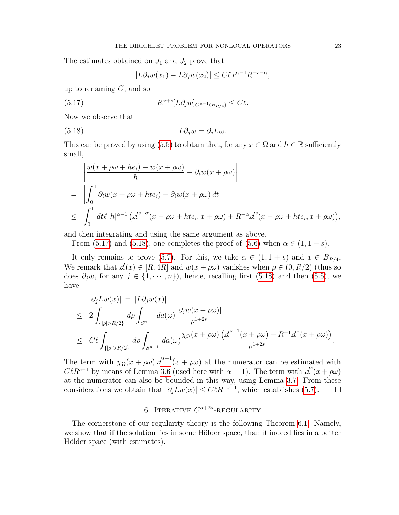The estimates obtained on  $J_1$  and  $J_2$  prove that

<span id="page-22-2"></span><span id="page-22-1"></span>
$$
|L\partial_j w(x_1) - L\partial_j w(x_2)| \le C\ell r^{\alpha - 1} R^{-s - \alpha},
$$

up to renaming  $C$ , and so

(5.17) 
$$
R^{\alpha+s}[L\partial_j w]_{C^{\alpha-1}(B_{R/4})} \leq C\ell.
$$

Now we observe that

(5.18) 
$$
L\partial_j w = \partial_j L w.
$$

This can be proved by using [\(5.5\)](#page-18-2) to obtain that, for any  $x \in \Omega$  and  $h \in \mathbb{R}$  sufficiently small,

$$
\begin{aligned}\n&\left|\frac{w(x+\rho\omega+he_i)-w(x+\rho\omega)}{h}-\partial_i w(x+\rho\omega)\right| \\
&= \left|\int_0^1 \partial_i w(x+\rho\omega+hte_i)-\partial_i w(x+\rho\omega)\,dt\right| \\
&\leq \int_0^1 dt \, (|h|^{\alpha-1}\left(d^{s-\alpha}(x+\rho\omega+hte_i,x+\rho\omega)+R^{-\alpha}d^s(x+\rho\omega+hte_i,x+\rho\omega)\right),\n\end{aligned}
$$

and then integrating and using the same argument as above.

From [\(5.17\)](#page-22-1) and [\(5.18\)](#page-22-2), one completes the proof of [\(5.6\)](#page-18-0) when  $\alpha \in (1, 1 + s)$ .

It only remains to prove [\(5.7\)](#page-18-3). For this, we take  $\alpha \in (1, 1+s)$  and  $x \in B_{R/4}$ . We remark that  $d(x) \in [R, 4R]$  and  $w(x + \rho\omega)$  vanishes when  $\rho \in (0, R/2)$  (thus so does  $\partial_i w$ , for any  $j \in \{1, \dots, n\}$ , hence, recalling first [\(5.18\)](#page-22-2) and then [\(5.5\)](#page-18-2), we have

$$
\begin{aligned}\n|\partial_j L w(x)| &= |L \partial_j w(x)| \\
&\leq 2 \int_{\{|\rho| > R/2\}} d\rho \int_{S^{n-1}} da(\omega) \frac{|\partial_j w(x + \rho \omega)|}{\rho^{1+2s}} \\
&\leq C \ell \int_{\{|\rho| > R/2\}} d\rho \int_{S^{n-1}} da(\omega) \frac{\chi_{\Omega}(x + \rho \omega) \left(d^{s-1}(x + \rho \omega) + R^{-1}d^s(x + \rho \omega)\right)}{\rho^{1+2s}}.\n\end{aligned}
$$

The term with  $\chi_{\Omega}(x + \rho \omega) d^{s-1}(x + \rho \omega)$  at the numerator can be estimated with  $C\ell R^{s-1}$  by means of Lemma [3.6](#page-12-1) (used here with  $\alpha = 1$ ). The term with  $d^{s}(x + \rho \omega)$ at the numerator can also be bounded in this way, using Lemma [3.7.](#page-13-1) From these considerations we obtain that  $|\partial_j L w(x)| \leq C \ell R^{-s-1}$ , which establishes [\(5.7\)](#page-18-3).  $\Box$ 

# 6. ITERATIVE  $C^{\alpha+2s}$ -REGULARITY

<span id="page-22-0"></span>The cornerstone of our regularity theory is the following Theorem [6.1.](#page-23-0) Namely, we show that if the solution lies in some Hölder space, than it indeed lies in a better Hölder space (with estimates).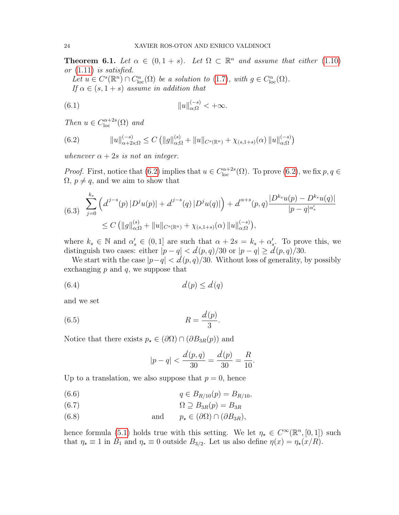<span id="page-23-0"></span>**Theorem 6.1.** Let  $\alpha \in (0, 1 + s)$ . Let  $\Omega \subset \mathbb{R}^n$  and assume that either [\(1.10\)](#page-3-2) or [\(1.11\)](#page-3-3) is satisfied.

<span id="page-23-2"></span>Let  $u \in C^{s}(\mathbb{R}^{n}) \cap C_{\text{loc}}^{\alpha}(\Omega)$  be a solution to  $(1.7)$ , with  $g \in C_{\text{loc}}^{\alpha}(\Omega)$ . If  $\alpha \in (s, 1+s)$  assume in addition that

(6.1) 
$$
||u||_{\alpha;\Omega}^{(-s)} < +\infty.
$$

Then  $u \in C^{\alpha+2s}_{\text{loc}}(\Omega)$  and

<span id="page-23-1"></span>(6.2) 
$$
||u||_{\alpha+2s;\Omega}^{(-s)} \leq C (||g||_{\alpha;\Omega}^{(s)} + ||u||_{C^{s}(\mathbb{R}^n)} + \chi_{(s,1+s)}(\alpha) ||u||_{\alpha;\Omega}^{(-s)})
$$

whenever  $\alpha + 2s$  is not an integer.

*Proof.* First, notice that [\(6.2\)](#page-23-1) implies that  $u \in C_{\text{loc}}^{\alpha+2s}(\Omega)$ . To prove (6.2), we fix  $p, q \in$  $\Omega$ ,  $p \neq q$ , and we aim to show that

<span id="page-23-6"></span>
$$
(6.3) \sum_{j=0}^{k_s} \left( d^{j-s}(p) |D^j u(p)| + d^{j-s}(q) |D^j u(q)| \right) + d^{\alpha+s}(p,q) \frac{|D^{k_s} u(p) - D^{k_s} u(q)|}{|p - q|^{\alpha'_s}}
$$
  
 
$$
\leq C \left( \|g\|_{\alpha;\Omega}^{(s)} + \|u\|_{C^s(\mathbb{R}^n)} + \chi_{(s,1+s)}(\alpha) \|u\|_{\alpha;\Omega}^{(-s)} \right),
$$

where  $k_s \in \mathbb{N}$  and  $\alpha_s' \in (0,1]$  are such that  $\alpha + 2s = k_s + \alpha_s'$ . To prove this, we distinguish two cases: either  $|p - q| < d(p, q)/30$  or  $|p - q| \ge d(p, q)/30$ .

We start with the case  $|p-q| < d(p, q)/30$ . Without loss of generality, by possibly exchanging  $p$  and  $q$ , we suppose that

$$
(6.4) \t d(p) \le d(q)
$$

and we set

$$
(6.5) \t\t R = \frac{d(p)}{3}.
$$

Notice that there exists  $p_{\star} \in (\partial \Omega) \cap (\partial B_{3R}(p))$  and

<span id="page-23-5"></span><span id="page-23-4"></span><span id="page-23-3"></span>
$$
|p - q| < \frac{d(p, q)}{30} = \frac{d(p)}{30} = \frac{R}{10}.
$$

Up to a translation, we also suppose that  $p = 0$ , hence

$$
(6.6) \t\t q \in B_{R/10}(p) = B_{R/10},
$$

(6.7) 
$$
q \subseteq B_{R/10}(p) \qquad B_{R/10}(6.7)
$$

$$
\Omega \supseteq B_{3R}(p) = B_{3R}
$$

(6.8) and 
$$
p_{\star} \in (\partial \Omega) \cap (\partial B_{3R}),
$$

hence formula [\(5.1\)](#page-17-5) holds true with this setting. We let  $\eta_* \in C^{\infty}(\mathbb{R}^n, [0,1])$  such that  $\eta_{\star} \equiv 1$  in  $B_1$  and  $\eta_{\star} \equiv 0$  outside  $B_{3/2}$ . Let us also define  $\eta(x) = \eta_{\star}(x/R)$ .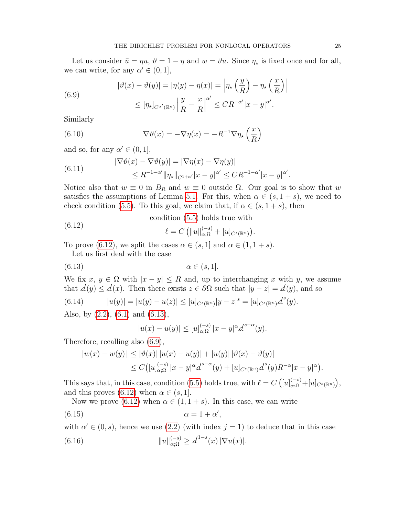Let us consider  $\bar{u} = \eta u$ ,  $\vartheta = 1 - \eta$  and  $w = \vartheta u$ . Since  $\eta_*$  is fixed once and for all, we can write, for any  $\alpha' \in (0, 1]$ ,

<span id="page-24-2"></span>(6.9)  

$$
|\vartheta(x) - \vartheta(y)| = |\eta(y) - \eta(x)| = \left|\eta_\star \left(\frac{y}{R}\right) - \eta_\star \left(\frac{x}{R}\right)\right|
$$

$$
\leq [\eta_\star]_{C^{\alpha'}(\mathbb{R}^n)} \left|\frac{y}{R} - \frac{x}{R}\right|^{\alpha'} \leq C R^{-\alpha'} |x - y|^{\alpha'}.
$$

Similarly

<span id="page-24-3"></span>(6.10) 
$$
\nabla \vartheta(x) = -\nabla \eta(x) = -R^{-1} \nabla \eta_{\star} \left(\frac{x}{R}\right)
$$

and so, for any  $\alpha' \in (0, 1]$ ,

<span id="page-24-6"></span>(6.11) 
$$
|\nabla \vartheta(x) - \nabla \vartheta(y)| = |\nabla \eta(x) - \nabla \eta(y)|
$$

$$
\leq R^{-1-\alpha'} \|\eta_{\star}\|_{C^{1+\alpha'}} |x-y|^{\alpha'} \leq CR^{-1-\alpha'} |x-y|^{\alpha'}.
$$

Notice also that  $w \equiv 0$  in  $B_R$  and  $w \equiv 0$  outside  $\Omega$ . Our goal is to show that w satisfies the assumptions of Lemma [5.1.](#page-17-1) For this, when  $\alpha \in (s, 1+s)$ , we need to check condition [\(5.5\)](#page-18-2). To this goal, we claim that, if  $\alpha \in (s, 1+s)$ , then

<span id="page-24-1"></span>condition [\(5.5\)](#page-18-2) holds true with

<span id="page-24-0"></span>(6.12) 
$$
\ell = C \left( \|u\|_{\alpha; \Omega}^{(-s)} + [u]_{C^s(\mathbb{R}^n)} \right).
$$

To prove [\(6.12\)](#page-24-0), we split the cases  $\alpha \in (s, 1]$  and  $\alpha \in (1, 1+s)$ .

Let us first deal with the case

$$
(6.13) \qquad \qquad \alpha \in (s, 1].
$$

We fix  $x, y \in \Omega$  with  $|x - y| \leq R$  and, up to interchanging x with y, we assume that  $d(y) \leq d(x)$ . Then there exists  $z \in \partial \Omega$  such that  $|y - z| = d(y)$ , and so

(6.14) 
$$
|u(y)| = |u(y) - u(z)| \leq [u]_{C^{s}(\mathbb{R}^{n})}|y - z|^{s} = [u]_{C^{s}(\mathbb{R}^{n})}d^{s}(y).
$$

Also, by [\(2.2\)](#page-6-0), [\(6.1\)](#page-23-2) and [\(6.13\)](#page-24-1),

<span id="page-24-5"></span><span id="page-24-4"></span>
$$
|u(x) - u(y)| \leq [u]_{\alpha;\Omega}^{(-s)} |x - y|^{\alpha} d^{s-\alpha}(y).
$$

Therefore, recalling also [\(6.9\)](#page-24-2),

$$
|w(x) - w(y)| \le |\vartheta(x)| |u(x) - u(y)| + |u(y)| |\vartheta(x) - \vartheta(y)|
$$
  
\n
$$
\le C([u]_{\alpha,\Omega}^{(-s)} |x - y|^{\alpha} d^{s-\alpha}(y) + [u]_{C^{s}(\mathbb{R}^n)} d^{s}(y) R^{-\alpha} |x - y|^{\alpha}).
$$

This says that, in this case, condition [\(5.5\)](#page-18-2) holds true, with  $\ell = C([u]_{\alpha;\Omega}^{(-s)} + [u]_{C^s(\mathbb{R}^n)}),$ and this proves [\(6.12\)](#page-24-0) when  $\alpha \in (s, 1]$ .

Now we prove [\(6.12\)](#page-24-0) when  $\alpha \in (1, 1+s)$ . In this case, we can write

$$
(6.15) \qquad \qquad \alpha = 1 + \alpha',
$$

<span id="page-24-7"></span>with  $\alpha' \in (0, s)$ , hence we use  $(2.2)$  (with index  $j = 1$ ) to deduce that in this case  $(6.16)$  $\int_{\alpha;\Omega}^{(-s)} \geq d^{1-s}(x) |\nabla u(x)|.$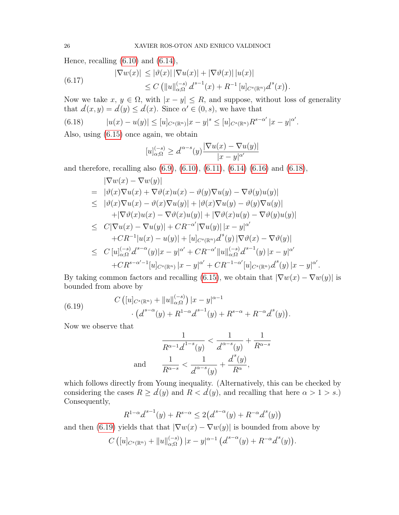Hence, recalling  $(6.10)$  and  $(6.14)$ ,

<span id="page-25-2"></span>(6.17) 
$$
|\nabla w(x)| \leq |\vartheta(x)| |\nabla u(x)| + |\nabla \vartheta(x)| |u(x)| \leq C (||u||_{\alpha;\Omega}^{(-s)} d^{s-1}(x) + R^{-1} [u]_{C^s(\mathbb{R}^n)} d^s(x)).
$$

Now we take  $x, y \in \Omega$ , with  $|x - y| \leq R$ , and suppose, without loss of generality that  $d(x, y) = d(y) \leq d(x)$ . Since  $\alpha' \in (0, s)$ , we have that

<span id="page-25-0"></span>(6.18) 
$$
|u(x) - u(y)| \leq [u]_{C^{s}(\mathbb{R}^{n})}|x - y|^{s} \leq [u]_{C^{s}(\mathbb{R}^{n})} R^{s - \alpha'} |x - y|^{\alpha'}.
$$

Also, using [\(6.15\)](#page-24-5) once again, we obtain

$$
[u]_{\alpha;\Omega}^{(-s)} \ge d^{\alpha-s}(y) \frac{|\nabla u(x) - \nabla u(y)|}{|x - y|^{\alpha'}}
$$

and therefore, recalling also [\(6.9\)](#page-24-2), [\(6.10\)](#page-24-3), [\(6.11\)](#page-24-6), [\(6.14\)](#page-24-4) [\(6.16\)](#page-24-7) and [\(6.18\)](#page-25-0),

$$
\begin{split}\n|\nabla w(x) - \nabla w(y)| \\
&= |\vartheta(x)\nabla u(x) + \nabla\vartheta(x)u(x) - \vartheta(y)\nabla u(y) - \nabla\vartheta(y)u(y)| \\
&\leq |\vartheta(x)\nabla u(x) - \vartheta(x)\nabla u(y)| + |\vartheta(x)\nabla u(y) - \vartheta(y)\nabla u(y)| \\
&\quad + |\nabla\vartheta(x)u(x) - \nabla\vartheta(x)u(y)| + |\nabla\vartheta(x)u(y) - \nabla\vartheta(y)u(y)| \\
&\leq C|\nabla u(x) - \nabla u(y)| + CR^{-\alpha'}|\nabla u(y)||x - y|^{\alpha'} \\
&\quad + CR^{-1}|u(x) - u(y)| + [u]_{C^s(\mathbb{R}^n)}\underline{d}^s(y)|\nabla\vartheta(x) - \nabla\vartheta(y)| \\
&\leq C[u]_{\alpha;\Omega}^{(-s)}\underline{d}^{s-\alpha}(y)|x - y|^{\alpha'} + CR^{-\alpha'}||u||_{\alpha;\Omega}^{(-s)}\underline{d}^{s-1}(y)|x - y|^{\alpha'} \\
&\quad + CR^{s-\alpha'-1}[u]_{C^s(\mathbb{R}^n)}|x - y|^{\alpha'} + CR^{-1-\alpha'}[u]_{C^s(\mathbb{R}^n)}\underline{d}^s(y)|x - y|^{\alpha'}.\n\end{split}
$$

By taking common factors and recalling [\(6.15\)](#page-24-5), we obtain that  $|\nabla w(x) - \nabla w(y)|$  is bounded from above by

<span id="page-25-1"></span>(6.19) 
$$
C\left([u]_{C^s(\mathbb{R}^n)} + \|u\|_{\alpha;\Omega}^{(-s)}\right)|x-y|^{\alpha-1} \cdot \left(d^{s-\alpha}(y) + R^{1-\alpha}d^{s-1}(y) + R^{s-\alpha} + R^{-\alpha}d^s(y)\right).
$$

Now we observe that

$$
\frac{1}{R^{\alpha-1}d^{1-s}(y)} < \frac{1}{d^{\alpha-s}(y)} + \frac{1}{R^{\alpha-s}}
$$
\nand

\n
$$
\frac{1}{R^{\alpha-s}} < \frac{1}{d^{\alpha-s}(y)} + \frac{d^s(y)}{R^\alpha},
$$

which follows directly from Young inequality. (Alternatively, this can be checked by considering the cases  $R \geq d(y)$  and  $R < d(y)$ , and recalling that here  $\alpha > 1 > s$ .) Consequently,

$$
R^{1-\alpha} d^{s-1}(y) + R^{s-\alpha} \le 2(d^{s-\alpha}(y) + R^{-\alpha} d^s(y))
$$

and then [\(6.19\)](#page-25-1) yields that that  $|\nabla w(x) - \nabla w(y)|$  is bounded from above by

$$
C\left([u]_{C^{s}(\mathbb{R}^n)} + \|u\|_{\alpha;\Omega}^{(-s)}\right)|x-y|^{\alpha-1}\left(d^{s-\alpha}(y) + R^{-\alpha}d^s(y)\right).
$$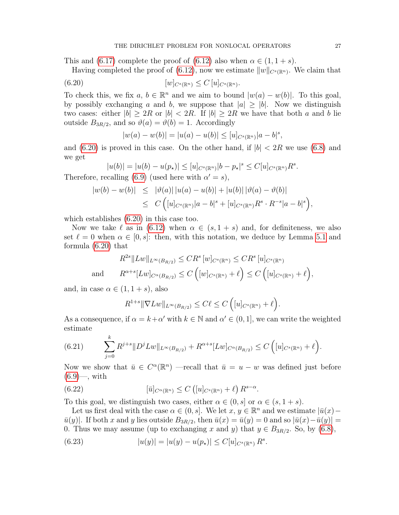This and [\(6.17\)](#page-25-2) complete the proof of [\(6.12\)](#page-24-0) also when  $\alpha \in (1, 1+s)$ .

Having completed the proof of [\(6.12\)](#page-24-0), now we estimate  $||w||_{C^{s}(\mathbb{R}^{n})}$ . We claim that

(6.20) 
$$
[w]_{C^s(\mathbb{R}^n)} \leq C [u]_{C^s(\mathbb{R}^n)}.
$$

To check this, we fix  $a, b \in \mathbb{R}^n$  and we aim to bound  $|w(a) - w(b)|$ . To this goal, by possibly exchanging a and b, we suppose that  $|a| \ge |b|$ . Now we distinguish two cases: either  $|b| \geq 2R$  or  $|b| < 2R$ . If  $|b| \geq 2R$  we have that both a and b lie outside  $B_{3R/2}$ , and so  $\vartheta(a) = \vartheta(b) = 1$ . Accordingly

<span id="page-26-0"></span>
$$
|w(a) - w(b)| = |u(a) - u(b)| \le [u]_{C^{s}(\mathbb{R}^n)} |a - b|^{s},
$$

and  $(6.20)$  is proved in this case. On the other hand, if  $|b| < 2R$  we use  $(6.8)$  and we get

$$
|u(b)| = |u(b) - u(p_\star)| \leq [u]_{C^s(\mathbb{R}^n)} |b - p_\star|^s \leq C[u]_{C^s(\mathbb{R}^n)} R^s.
$$

Therefore, recalling [\(6.9\)](#page-24-2) (used here with  $\alpha' = s$ ),

$$
|w(b) - w(b)| \leq | \vartheta(a) | |u(a) - u(b)| + |u(b)| | \vartheta(a) - \vartheta(b) |
$$
  

$$
\leq C \left( [u]_{C^{s}(\mathbb{R}^{n})} |a - b|^{s} + [u]_{C^{s}(\mathbb{R}^{n})} R^{s} \cdot R^{-s} |a - b|^{s} \right),
$$

which establishes [\(6.20\)](#page-26-0) in this case too.

Now we take  $\ell$  as in [\(6.12\)](#page-24-0) when  $\alpha \in (s, 1+s)$  and, for definiteness, we also set  $\ell = 0$  when  $\alpha \in [0, s]$ : then, with this notation, we deduce by Lemma [5.1](#page-17-1) and formula [\(6.20\)](#page-26-0) that

$$
R^{2s} \| Lw \|_{L^{\infty}(B_{R/2})} \leq CR^{s} [w]_{C^{s}(\mathbb{R}^{n})} \leq CR^{s} [u]_{C^{s}(\mathbb{R}^{n})}
$$
  
and 
$$
R^{\alpha+s}[Lw]_{C^{\alpha}(B_{R/2})} \leq C ([w]_{C^{s}(\mathbb{R}^{n})} + \ell) \leq C ([u]_{C^{s}(\mathbb{R}^{n})} + \ell),
$$

and, in case  $\alpha \in (1, 1+s)$ , also

$$
R^{1+s} \|\nabla Lw\|_{L^{\infty}(B_{R/2})} \leq C\ell \leq C \left( [u]_{C^{s}(\mathbb{R}^n)} + \ell \right).
$$

As a consequence, if  $\alpha = k + \alpha'$  with  $k \in \mathbb{N}$  and  $\alpha' \in (0, 1]$ , we can write the weighted estimate

<span id="page-26-3"></span>(6.21) 
$$
\sum_{j=0}^k R^{j+s} \|D^j L w\|_{L^\infty(B_{R/2})} + R^{\alpha+s} [L w]_{C^\alpha(B_{R/2})} \leq C \left( [u]_{C^s(\mathbb{R}^n)} + \ell \right).
$$

Now we show that  $\bar{u} \in C^{\alpha}(\mathbb{R}^n)$  —recall that  $\bar{u} = u - w$  was defined just before  $(6.9)$ —, with

<span id="page-26-1"></span>(6.22) 
$$
[\bar{u}]_{C^{\alpha}(\mathbb{R}^n)} \leq C\left([u]_{C^s(\mathbb{R}^n)} + \ell\right)R^{s-\alpha}.
$$

To this goal, we distinguish two cases, either  $\alpha \in (0, s]$  or  $\alpha \in (s, 1+s)$ .

Let us first deal with the case  $\alpha \in (0, s]$ . We let  $x, y \in \mathbb{R}^n$  and we estimate  $|\bar{u}(x) \bar{u}(y)$ . If both x and y lies outside  $B_{3R/2}$ , then  $\bar{u}(x) = \bar{u}(y) = 0$  and so  $|\bar{u}(x) - \bar{u}(y)| = 0$ 0. Thus we may assume (up to exchanging x and y) that  $y \in B_{3R/2}$ . So, by [\(6.8\)](#page-23-3),

<span id="page-26-2"></span>(6.23) 
$$
|u(y)| = |u(y) - u(p_{\star})| \leq C[u]_{C^{s}(\mathbb{R}^{n})} R^{s}.
$$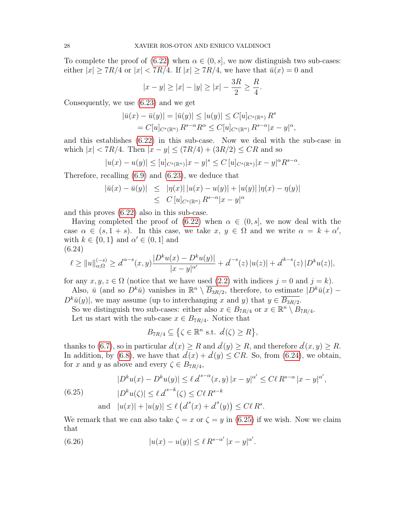To complete the proof of [\(6.22\)](#page-26-1) when  $\alpha \in (0, s]$ , we now distinguish two sub-cases: either  $|x| \geq 7R/4$  or  $|x| < 7R/4$ . If  $|x| \geq 7R/4$ , we have that  $\bar{u}(x) = 0$  and

$$
|x - y| \ge |x| - |y| \ge |x| - \frac{3R}{2} \ge \frac{R}{4}.
$$

Consequently, we use [\(6.23\)](#page-26-2) and we get

$$
|\bar{u}(x) - \bar{u}(y)| = |\bar{u}(y)| \le |u(y)| \le C[u]_{C^{s}(\mathbb{R}^n)} R^{s}
$$
  
=  $C[u]_{C^{s}(\mathbb{R}^n)} R^{s-\alpha} R^{\alpha} \le C[u]_{C^{s}(\mathbb{R}^n)} R^{s-\alpha} |x-y|^{\alpha},$ 

and this establishes [\(6.22\)](#page-26-1) in this sub-case. Now we deal with the sub-case in which  $|x| < 7R/4$ . Then  $|x - y| \le (7R/4) + (3R/2) \le CR$  and so

$$
|u(x) - u(y)| \le [u]_{C^{s}(\mathbb{R}^n)} |x - y|^s \le C [u]_{C^{s}(\mathbb{R}^n)} |x - y|^{\alpha} R^{s - \alpha}.
$$

Therefore, recalling [\(6.9\)](#page-24-2) and [\(6.23\)](#page-26-2), we deduce that

$$
|\bar{u}(x) - \bar{u}(y)| \leq |\eta(x)| |u(x) - u(y)| + |u(y)| |\eta(x) - \eta(y)|
$$
  
\n
$$
\leq C [u]_{C^{s}(\mathbb{R}^n)} R^{s-\alpha} |x - y|^{\alpha}
$$

and this proves [\(6.22\)](#page-26-1) also in this sub-case.

Having completed the proof of [\(6.22\)](#page-26-1) when  $\alpha \in (0, s]$ , we now deal with the case  $\alpha \in (s, 1+s)$ . In this case, we take  $x, y \in \Omega$  and we write  $\alpha = k + \alpha'$ , with  $k \in \{0, 1\}$  and  $\alpha' \in (0, 1]$  and (6.24)

<span id="page-27-0"></span>
$$
\ell \geq ||u||_{\alpha;\Omega}^{(-s)} \geq d^{\alpha-s}(x,y) \frac{|D^k u(x) - D^k u(y)|}{|x - y|^{\alpha'}} + d^{-s}(z) |u(z)| + d^{k-s}(z) |D^k u(z)|,
$$

for any  $x, y, z \in \Omega$  (notice that we have used [\(2.2\)](#page-6-0) with indices  $j = 0$  and  $j = k$ ).

Also,  $\bar{u}$  (and so  $D^k\bar{u}$ ) vanishes in  $\mathbb{R}^n \setminus \overline{B_{3R/2}}$ , therefore, to estimate  $|D^k\bar{u}(x) D^k\bar{u}(y)$ , we may assume (up to interchanging x and y) that  $y \in \overline{B_{3R/2}}$ .

So we distinguish two sub-cases: either also  $x \in B_{7R/4}$  or  $x \in \mathbb{R}^n \setminus B_{7R/4}$ .

Let us start with the sub-case  $x \in B_{7R/4}$ . Notice that

$$
B_{7R/4} \subseteq \left\{ \zeta \in \mathbb{R}^n \text{ s.t. } d(\zeta) \ge R \right\},\
$$

thanks to [\(6.7\)](#page-23-3), so in particular  $d(x) \geq R$  and  $d(y) \geq R$ , and therefore  $d(x, y) \geq R$ . In addition, by [\(6.8\)](#page-23-3), we have that  $d(x) + d(y) \leq CR$ . So, from [\(6.24\)](#page-27-0), we obtain, for x and y as above and every  $\zeta \in B_{7R/4}$ ,

<span id="page-27-1"></span>(6.25) 
$$
|D^{k}u(x) - D^{k}u(y)| \leq \ell d^{s-\alpha}(x, y) |x - y|^{\alpha'} \leq C\ell R^{s-\alpha} |x - y|^{\alpha'},
$$
  
\n
$$
|D^{k}u(\zeta)| \leq \ell d^{s-k}(\zeta) \leq C\ell R^{s-k}
$$
  
\nand 
$$
|u(x)| + |u(y)| \leq \ell (d^{s}(x) + d^{s}(y)) \leq C\ell R^{s}.
$$

We remark that we can also take  $\zeta = x$  or  $\zeta = y$  in [\(6.25\)](#page-27-1) if we wish. Now we claim that

<span id="page-27-2"></span>(6.26) 
$$
|u(x) - u(y)| \le \ell R^{s - \alpha'} |x - y|^{\alpha'}.
$$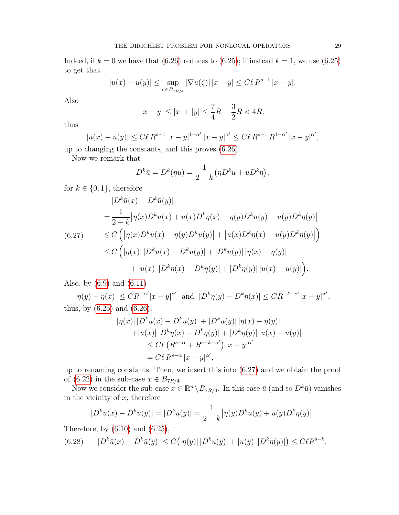Indeed, if  $k = 0$  we have that [\(6.26\)](#page-27-2) reduces to [\(6.25\)](#page-27-1); if instead  $k = 1$ , we use (6.25) to get that

$$
|u(x) - u(y)| \le \sup_{\zeta \in B_{7R/4}} |\nabla u(\zeta)| \, |x - y| \le C\ell R^{s-1} \, |x - y|.
$$

Also

$$
|x - y| \le |x| + |y| \le \frac{7}{4}R + \frac{3}{2}R < 4R,
$$

thus

$$
|u(x) - u(y)| \le C\ell R^{s-1} |x - y|^{1 - \alpha'} |x - y|^{\alpha'} \le C\ell R^{s-1} R^{1 - \alpha'} |x - y|^{\alpha'},
$$

up to changing the constants, and this proves [\(6.26\)](#page-27-2).

Now we remark that

$$
D^k \bar{u} = D^k(\eta u) = \frac{1}{2-k} \left( \eta D^k u + u D^k \eta \right),
$$

for  $k \in \{0, 1\}$ , therefore

<span id="page-28-0"></span>
$$
|D^{k}\bar{u}(x) - D^{k}\bar{u}(y)|
$$
  
\n
$$
= \frac{1}{2-k} |\eta(x)D^{k}u(x) + u(x)D^{k}\eta(x) - \eta(y)D^{k}u(y) - u(y)D^{k}\eta(y)|
$$
  
\n(6.27) 
$$
\leq C \left( |\eta(x)D^{k}u(x) - \eta(y)D^{k}u(y)| + |u(x)D^{k}\eta(x) - u(y)D^{k}\eta(y)| \right)
$$
  
\n
$$
\leq C \left( |\eta(x)| |D^{k}u(x) - D^{k}u(y)| + |D^{k}u(y)| |\eta(x) - \eta(y)| \right)
$$
  
\n
$$
+ |u(x)| |D^{k}\eta(x) - D^{k}\eta(y)| + |D^{k}\eta(y)| |u(x) - u(y)| \right).
$$

Also, by [\(6.9\)](#page-24-2) and [\(6.11\)](#page-24-6)

 $|\eta(y) - \eta(x)| \leq CR^{-\alpha'}|x - y|^{\alpha'}$  and  $|D^k \eta(y) - D^k \eta(x)| \leq CR^{-k-\alpha'}|x - y|^{\alpha'},$ thus, by  $(6.25)$  and  $(6.26)$ ,

$$
|\eta(x)| |D^k u(x) - D^k u(y)| + |D^k u(y)| |\eta(x) - \eta(y)|
$$
  
+|u(x)| |D^k \eta(x) - D^k \eta(y)| + |D^k \eta(y)| |u(x) - u(y)|  

$$
\leq C\ell (R^{s-\alpha} + R^{s-k-\alpha'}) |x - y|^{\alpha'}
$$
  
= C\ell R^{s-\alpha} |x - y|^{\alpha'},

up to renaming constants. Then, we insert this into [\(6.27\)](#page-28-0) and we obtain the proof of [\(6.22\)](#page-26-1) in the sub-case  $x \in B_{7R/4}$ .

Now we consider the sub-case  $x \in \mathbb{R}^n \setminus B_{7R/4}$ . In this case  $\bar{u}$  (and so  $D^k \bar{u}$ ) vanishes in the vicinity of  $x$ , therefore

<span id="page-28-1"></span>
$$
|D^k \bar{u}(x) - D^k \bar{u}(y)| = |D^k \bar{u}(y)| = \frac{1}{2 - k} |\eta(y)D^k u(y) + u(y)D^k \eta(y)|.
$$

Therefore, by  $(6.10)$  and  $(6.25)$ ,

$$
(6.28) \qquad |D^k \bar{u}(x) - D^k \bar{u}(y)| \le C(|\eta(y)| |D^k u(y)| + |u(y)| |D^k \eta(y)|) \le C\ell R^{s-k}.
$$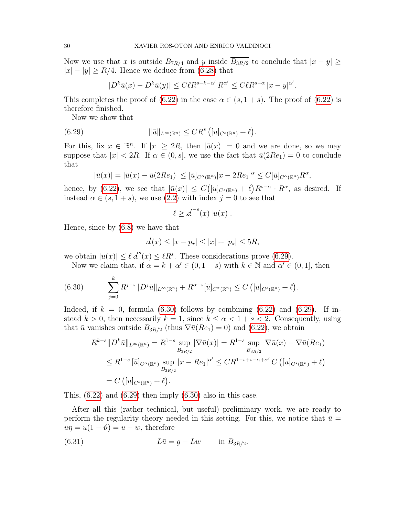Now we use that x is outside  $B_{7R/4}$  and y inside  $B_{3R/2}$  to conclude that  $|x-y| \ge$  $|x| - |y| \ge R/4$ . Hence we deduce from [\(6.28\)](#page-28-1) that

<span id="page-29-0"></span>
$$
|D^k\bar{u}(x) - D^k\bar{u}(y)| \le C\ell R^{s-k-\alpha'} R^{\alpha'} \le C\ell R^{s-\alpha} |x-y|^{\alpha'}.
$$

This completes the proof of [\(6.22\)](#page-26-1) in the case  $\alpha \in (s, 1+s)$ . The proof of (6.22) is therefore finished.

Now we show that

(6.29) 
$$
\|\bar{u}\|_{L^{\infty}(\mathbb{R}^n)} \leq CR^s \left( [u]_{C^s(\mathbb{R}^n)} + \ell \right)
$$

For this, fix  $x \in \mathbb{R}^n$ . If  $|x| \geq 2R$ , then  $|\bar{u}(x)| = 0$  and we are done, so we may suppose that  $|x| < 2R$ . If  $\alpha \in (0, s]$ , we use the fact that  $\bar{u}(2Re_1) = 0$  to conclude that

.

.

$$
|\bar{u}(x)| = |\bar{u}(x) - \bar{u}(2Re_1)| \leq |\bar{u}|_{C^{\alpha}(\mathbb{R}^n)} |x - 2Re_1|^{\alpha} \leq C|\bar{u}|_{C^{\alpha}(\mathbb{R}^n)} R^{\alpha},
$$

hence, by [\(6.22\)](#page-26-1), we see that  $|\bar{u}(x)| \leq C([u]_{C^{s}(\mathbb{R}^n)} + \ell)R^{s-\alpha} \cdot R^{\alpha}$ , as desired. If instead  $\alpha \in (s, 1+s)$ , we use [\(2.2\)](#page-6-0) with index  $j = 0$  to see that

$$
\ell \ge d^{-s}(x) |u(x)|.
$$

Hence, since by [\(6.8\)](#page-23-3) we have that

$$
\mathcal{d}(x) \le |x - p_{\star}| \le |x| + |p_{\star}| \le 5R,
$$

we obtain  $|u(x)| \le \ell d^s(x) \le \ell R^s$ . These considerations prove [\(6.29\)](#page-29-0).

Now we claim that, if  $\alpha = k + \alpha' \in (0, 1 + s)$  with  $k \in \mathbb{N}$  and  $\alpha' \in (0, 1]$ , then

<span id="page-29-1"></span>(6.30) 
$$
\sum_{j=0}^{k} R^{j-s} \| D^{j} \bar{u} \|_{L^{\infty}(\mathbb{R}^{n})} + R^{\alpha-s} [\bar{u}]_{C^{\alpha}(\mathbb{R}^{n})} \leq C \left( [u]_{C^{s}(\mathbb{R}^{n})} + \ell \right)
$$

Indeed, if  $k = 0$ , formula [\(6.30\)](#page-29-1) follows by combining [\(6.22\)](#page-26-1) and [\(6.29\)](#page-29-0). If instead  $k > 0$ , then necessarily  $k = 1$ , since  $k \leq \alpha < 1 + s < 2$ . Consequently, using that  $\bar{u}$  vanishes outside  $B_{3R/2}$  (thus  $\nabla \bar{u}(Re_1) = 0$ ) and [\(6.22\)](#page-26-1), we obtain

$$
R^{k-s}||D^k\bar{u}||_{L^{\infty}(\mathbb{R}^n)} = R^{1-s} \sup_{B_{3R/2}} |\nabla \bar{u}(x)| = R^{1-s} \sup_{B_{3R/2}} |\nabla \bar{u}(x) - \nabla \bar{u}(Re_1)|
$$
  
\n
$$
\leq R^{1-s} [\bar{u}]_{C^{\alpha}(\mathbb{R}^n)} \sup_{B_{3R/2}} |x - Re_1|^{\alpha'} \leq C R^{1-s+s-\alpha+\alpha'} C ([u]_{C^s(\mathbb{R}^n)} + \ell)
$$
  
\n
$$
= C ([u]_{C^s(\mathbb{R}^n)} + \ell).
$$

This,  $(6.22)$  and  $(6.29)$  then imply  $(6.30)$  also in this case.

After all this (rather technical, but useful) preliminary work, we are ready to perform the regularity theory needed in this setting. For this, we notice that  $\bar{u} =$  $u\eta = u(1-\vartheta) = u - w$ , therefore

<span id="page-29-2"></span>(6.31) 
$$
L\bar{u} = g - Lw \quad \text{in } B_{3R/2}.
$$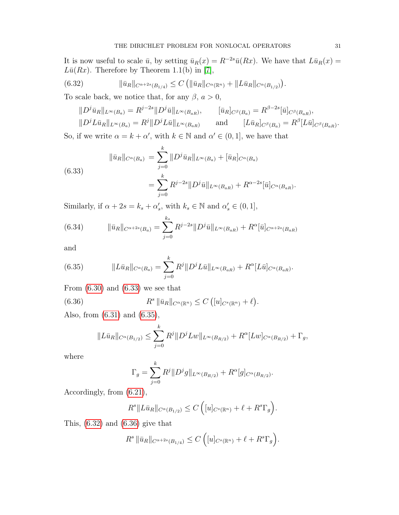It is now useful to scale  $\bar{u}$ , by setting  $\bar{u}_R(x) = R^{-2s}\bar{u}(Rx)$ . We have that  $L\bar{u}_R(x) =$  $L\bar{u}(Rx)$ . Therefore by Theorem 1.1(b) in [\[7\]](#page-51-3),

(6.32) 
$$
\|\bar{u}_R\|_{C^{\alpha+2s}(B_{1/4})} \leq C \left( \|\bar{u}_R\|_{C^{\alpha}(\mathbb{R}^n)} + \|L\bar{u}_R\|_{C^{\alpha}(B_{1/2})} \right).
$$

To scale back, we notice that, for any  $\beta$ ,  $a > 0$ ,

<span id="page-30-2"></span>
$$
||D^{j}\bar{u}_{R}||_{L^{\infty}(B_{a})} = R^{j-2s}||D^{j}\bar{u}||_{L^{\infty}(B_{aR})}, \qquad [\bar{u}_{R}]_{C^{\beta}(B_{a})} = R^{\beta-2s}[\bar{u}]_{C^{\beta}(B_{aR})},
$$
  

$$
||D^{j}L\bar{u}_{R}||_{L^{\infty}(B_{a})} = R^{j}||D^{j}L\bar{u}||_{L^{\infty}(B_{aR})} \qquad \text{and} \qquad [L\bar{u}_{R}]_{C^{\beta}(B_{a})} = R^{\beta}[L\bar{u}]_{C^{\beta}(B_{aR})}.
$$

So, if we write  $\alpha = k + \alpha'$ , with  $k \in \mathbb{N}$  and  $\alpha' \in (0, 1]$ , we have that

<span id="page-30-0"></span>(6.33)  
\n
$$
\|\bar{u}_R\|_{C^{\alpha}(B_a)} = \sum_{j=0}^k \|D^j \bar{u}_R\|_{L^{\infty}(B_a)} + [\bar{u}_R]_{C^{\alpha}(B_a)}
$$
\n
$$
= \sum_{j=0}^k R^{j-2s} \|D^j \bar{u}\|_{L^{\infty}(B_{aR})} + R^{\alpha-2s} [\bar{u}]_{C^{\alpha}(B_{aR})}.
$$

Similarly, if  $\alpha + 2s = k_s + \alpha'_s$ , with  $k_s \in \mathbb{N}$  and  $\alpha'_s \in (0, 1]$ ,

<span id="page-30-4"></span>(6.34) 
$$
\|\bar{u}_R\|_{C^{\alpha+2s}(B_a)} = \sum_{j=0}^{k_s} R^{j-2s} \|D^j \bar{u}\|_{L^{\infty}(B_{aR})} + R^{\alpha}[\bar{u}]_{C^{\alpha+2s}(B_{aR})}
$$

and

<span id="page-30-1"></span>(6.35) 
$$
||L\bar{u}_R||_{C^{\alpha}(B_a)} = \sum_{j=0}^k R^j ||D^j L\bar{u}||_{L^{\infty}(B_{aR})} + R^{\alpha}[L\bar{u}]_{C^{\alpha}(B_{aR})}.
$$

From  $(6.30)$  and  $(6.33)$  we see that

(6.36) 
$$
R^s \|\bar{u}_R\|_{C^{\alpha}(\mathbb{R}^n)} \leq C \left( [u]_{C^s(\mathbb{R}^n)} + \ell \right).
$$

Also, from [\(6.31\)](#page-29-2) and [\(6.35\)](#page-30-1),

<span id="page-30-3"></span>
$$
||L\bar{u}_R||_{C^{\alpha}(B_{1/2})} \leq \sum_{j=0}^k R^j ||D^j L w||_{L^{\infty}(B_{R/2})} + R^{\alpha}[L w]_{C^{\alpha}(B_{R/2})} + \Gamma_g,
$$

where

$$
\Gamma_g = \sum_{j=0}^k R^j \|D^j g\|_{L^\infty(B_{R/2})} + R^\alpha[g]_{C^\alpha(B_{R/2})}.
$$

Accordingly, from [\(6.21\)](#page-26-3),

$$
R^s \|L\bar{u}_R\|_{C^{\alpha}(B_{1/2})} \leq C \left( [u]_{C^s(\mathbb{R}^n)} + \ell + R^s \Gamma_g \right).
$$

This,  $(6.32)$  and  $(6.36)$  give that

$$
R^{s} \|\bar{u}_{R}\|_{C^{\alpha+2s}(B_{1/4})} \leq C \left( [u]_{C^{s}(\mathbb{R}^{n})} + \ell + R^{s} \Gamma_{g} \right).
$$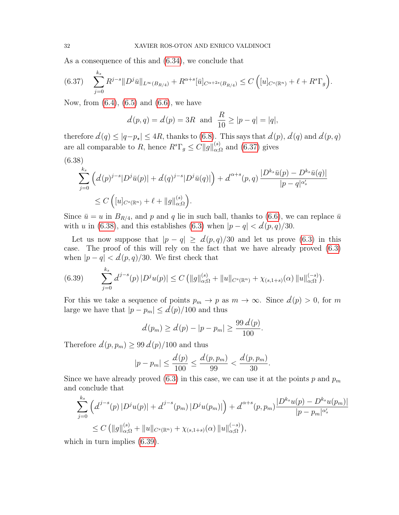As a consequence of this and [\(6.34\)](#page-30-4), we conclude that

<span id="page-31-0"></span>
$$
(6.37) \quad \sum_{j=0}^{k_s} R^{j-s} \| D^j \bar{u} \|_{L^{\infty}(B_{R/4})} + R^{\alpha+s} [\bar{u}]_{C^{\alpha+2s}(B_{R/4})} \leq C \left( [u]_{C^s(\mathbb{R}^n)} + \ell + R^s \Gamma_g \right).
$$

Now, from [\(6.4\)](#page-23-4), [\(6.5\)](#page-23-5) and [\(6.6\)](#page-23-3), we have

$$
d(p,q) = d(p) = 3R
$$
 and  $\frac{R}{10} \ge |p-q| = |q|$ ,

therefore  $d(q) \leq |q-p_{\star}| \leq 4R$ , thanks to [\(6.8\)](#page-23-3). This says that  $d(p)$ ,  $d(q)$  and  $d(p, q)$ are all comparable to R, hence  $R^s \Gamma_g \leq C ||g||_{\alpha;\Omega}^{(s)}$  and  $(6.37)$  gives

<span id="page-31-1"></span>
$$
(6.38)
$$
  

$$
\sum_{j=0}^{k_s} \left( d(p)^{j-s} |D^j \bar{u}(p)| + d(q)^{j-s} |D^j \bar{u}(q)| \right) + d^{\alpha+s}(p,q) \frac{|D^{k_s} \bar{u}(p) - D^{k_s} \bar{u}(q)|}{|p-q|^{\alpha'_s}}
$$
  

$$
\leq C \left( [u]_{C^s(\mathbb{R}^n)} + \ell + ||g||_{\alpha;\Omega}^{(s)} \right).
$$

Since  $\bar{u} = u$  in  $B_{R/4}$ , and p and q lie in such ball, thanks to [\(6.6\)](#page-23-3), we can replace  $\bar{u}$ with u in [\(6.38\)](#page-31-1), and this establishes [\(6.3\)](#page-23-6) when  $|p - q| < d(p, q)/30$ .

Let us now suppose that  $|p - q| \ge d(p, q)/30$  and let us prove [\(6.3\)](#page-23-6) in this case. The proof of this will rely on the fact that we have already proved [\(6.3\)](#page-23-6) when  $|p - q| < d(p, q)/30$ . We first check that

<span id="page-31-2"></span>
$$
(6.39) \qquad \sum_{j=0}^{k_s} d^{j-s}(p) \, |D^j u(p)| \le C \, \big( \|g\|_{\alpha;\Omega}^{(s)} + \|u\|_{C^s(\mathbb{R}^n)} + \chi_{(s,1+s)}(\alpha) \, \|u\|_{\alpha;\Omega}^{(-s)} \big).
$$

For this we take a sequence of points  $p_m \to p$  as  $m \to \infty$ . Since  $d(p) > 0$ , for m large we have that  $|p - p_m| \le d(p)/100$  and thus

$$
\mathcal{d}(p_m) \ge \mathcal{d}(p) - |p - p_m| \ge \frac{99 \, \mathcal{d}(p)}{100}.
$$

Therefore  $d(p, p_m) \geq 99 d(p)/100$  and thus

$$
|p - p_m| \le \frac{d(p)}{100} \le \frac{d(p, p_m)}{99} < \frac{d(p, p_m)}{30}.
$$

Since we have already proved [\(6.3\)](#page-23-6) in this case, we can use it at the points p and  $p_m$ and conclude that

$$
\sum_{j=0}^{k_s} \left( d^{j-s}(p) |D^j u(p)| + d^{j-s}(p_m) |D^j u(p_m)| \right) + d^{\alpha+s}(p, p_m) \frac{|D^{k_s} u(p) - D^{k_s} u(p_m)|}{|p - p_m|^{\alpha'_s}}
$$
  
 
$$
\leq C \left( \|g\|_{\alpha; \Omega}^{(s)} + \|u\|_{C^s(\mathbb{R}^n)} + \chi_{(s, 1+s)}(\alpha) \|u\|_{\alpha; \Omega}^{(-s)} \right),
$$

which in turn implies  $(6.39)$ .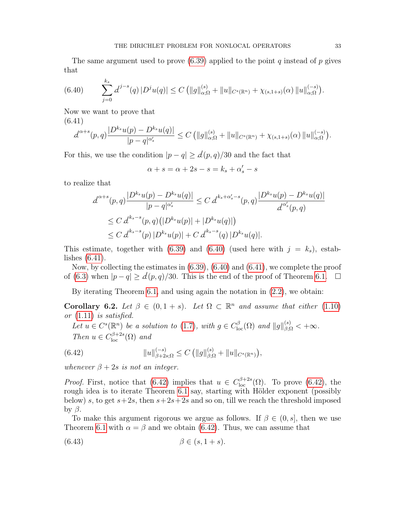The same argument used to prove  $(6.39)$  applied to the point q instead of p gives that

<span id="page-32-1"></span>
$$
(6.40) \qquad \sum_{j=0}^{k_s} d^{j-s}(q) \, |D^j u(q)| \le C \, \big( \|g\|_{\alpha;\Omega}^{(s)} + \|u\|_{C^s(\mathbb{R}^n)} + \chi_{(s,1+s)}(\alpha) \, \|u\|_{\alpha;\Omega}^{(-s)} \big).
$$

Now we want to prove that

<span id="page-32-2"></span>(6.41)  $d^{\alpha+s}(p,q)$  $|D^{k_s}u(p)-D^{k_s}u(q)|$  $\frac{|p| - |D^{-s}u(q)|}{|p - q|^{\alpha'_s}} \leq C \left( \|g\|_{\alpha; \Omega}^{(s)} + \|u\|_{C^s(\mathbb{R}^n)} + \chi_{(s, 1+s)}(\alpha) \|u\|_{\alpha; \Omega}^{(-s)} \right).$ 

For this, we use the condition  $|p - q| \ge d(p, q)/30$  and the fact that

$$
\alpha + s = \alpha + 2s - s = k_s + \alpha'_s - s
$$

to realize that

$$
d^{\alpha+s}(p,q) \frac{|D^{k_s}u(p) - D^{k_s}u(q)|}{|p-q|^{\alpha'_s}} \le C d^{k_s+\alpha'_s-s}(p,q) \frac{|D^{k_s}u(p) - D^{k_s}u(q)|}{d^{\alpha'_s}(p,q)}
$$
  
\n
$$
\le C d^{k_s-s}(p,q) (|D^{k_s}u(p)| + |D^{k_s}u(q)|)
$$
  
\n
$$
\le C d^{k_s-s}(p) |D^{k_s}u(p)| + C d^{k_s-s}(q) |D^{k_s}u(q)|.
$$

This estimate, together with  $(6.39)$  and  $(6.40)$  (used here with  $j = k_s$ ), establishes [\(6.41\)](#page-32-2).

Now, by collecting the estimates in [\(6.39\)](#page-31-2), [\(6.40\)](#page-32-1) and [\(6.41\)](#page-32-2), we complete the proof of [\(6.3\)](#page-23-6) when  $|p - q| \geq d(p, q)/30$ . This is the end of the proof of Theorem [6.1.](#page-23-0) □

By iterating Theorem [6.1,](#page-23-0) and using again the notation in [\(2.2\)](#page-6-0), we obtain:

<span id="page-32-0"></span>Corollary 6.2. Let  $\beta \in (0, 1+s)$ . Let  $\Omega \subset \mathbb{R}^n$  and assume that either [\(1.10\)](#page-3-2) or  $(1.11)$  is satisfied.

<span id="page-32-3"></span>Let  $u \in C^{s}(\mathbb{R}^{n})$  be a solution to [\(1.7\)](#page-2-0), with  $g \in C_{\text{loc}}^{\beta}(\Omega)$  and  $||g||_{\beta,\Omega}^{(s)} < +\infty$ . Then  $u \in C_{\text{loc}}^{\beta+2s}(\Omega)$  and

(6.42) 
$$
||u||_{\beta+2s;\Omega}^{(-s)} \leq C (||g||_{\beta;\Omega}^{(s)} + ||u||_{C^{s}(\mathbb{R}^n)}),
$$

whenever  $\beta + 2s$  is not an integer.

*Proof.* First, notice that [\(6.42\)](#page-32-3) implies that  $u \in C_{\text{loc}}^{\beta+2s}(\Omega)$ . To prove (6.42), the rough idea is to iterate Theorem [6.1](#page-23-0) say, starting with Hölder exponent (possibly below) s, to get  $s+2s$ , then  $s+2s+2s$  and so on, till we reach the threshold imposed by  $\beta$ .

To make this argument rigorous we argue as follows. If  $\beta \in (0, s]$ , then we use Theorem [6.1](#page-23-0) with  $\alpha = \beta$  and we obtain [\(6.42\)](#page-32-3). Thus, we can assume that

<span id="page-32-4"></span>
$$
(6.43) \qquad \beta \in (s, 1+s).
$$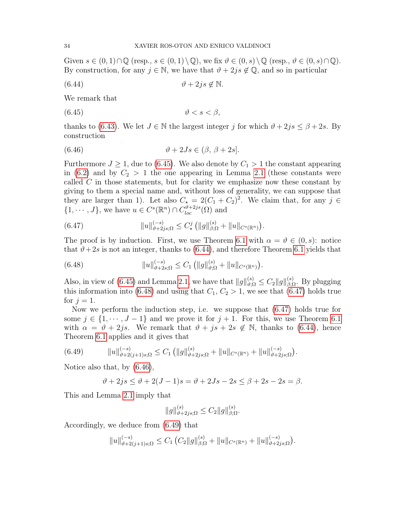Given  $s \in (0,1) \cap \mathbb{Q}$  (resp.,  $s \in (0,1) \setminus \mathbb{Q}$ ), we fix  $\vartheta \in (0,s) \setminus \mathbb{Q}$  (resp.,  $\vartheta \in (0,s) \cap \mathbb{Q}$ ). By construction, for any  $j \in \mathbb{N}$ , we have that  $\vartheta + 2js \notin \mathbb{Q}$ , and so in particular

<span id="page-33-1"></span>
$$
(6.44) \t\t \t\t \vartheta + 2js \notin \mathbb{N}.
$$

We remark that

<span id="page-33-0"></span>
$$
(6.45) \t\t \t\t \vartheta < s < \beta,
$$

thanks to [\(6.43\)](#page-32-4). We let  $J \in \mathbb{N}$  the largest integer j for which  $\vartheta + 2js \leq \beta + 2s$ . By construction

<span id="page-33-4"></span>(6.46) 
$$
\vartheta + 2Js \in (\beta, \beta + 2s].
$$

Furthermore  $J \geq 1$ , due to [\(6.45\)](#page-33-0). We also denote by  $C_1 > 1$  the constant appearing in [\(6.2\)](#page-23-1) and by  $C_2 > 1$  the one appearing in Lemma [2.1](#page-6-3) (these constants were called C in those statements, but for clarity we emphasize now these constant by giving to them a special name and, without loss of generality, we can suppose that they are larger than 1). Let also  $C_{\star} = 2(C_1 + C_2)^2$ . We claim that, for any  $j \in$  $\{1, \dots, J\}$ , we have  $u \in C^{s}(\mathbb{R}^{n}) \cap C_{loc}^{\vartheta+2js}(\Omega)$  and

<span id="page-33-3"></span>(6.47) 
$$
||u||_{\vartheta+2js;\Omega}^{(-s)} \leq C_{\star}^{j} (||g||_{\beta;\Omega}^{(s)} + ||u||_{C^{s}(\mathbb{R}^{n})}).
$$

The proof is by induction. First, we use Theorem [6.1](#page-23-0) with  $\alpha = \vartheta \in (0, s)$ : notice that  $\vartheta$ +2s is not an integer, thanks to [\(6.44\)](#page-33-1), and therefore Theorem [6.1](#page-23-0) yields that

<span id="page-33-2"></span>(6.48) 
$$
||u||_{\vartheta+2s;\Omega}^{(-s)} \leq C_1 (||g||_{\vartheta;\Omega}^{(s)} + ||u||_{C^s(\mathbb{R}^n)}).
$$

Also, in view of [\(6.45\)](#page-33-0) and Lemma [2.1,](#page-6-3) we have that  $||g||_{\vartheta;\Omega}^{(s)} \leq C_2 ||g||_{\beta;\Omega}^{(s)}$ . By plugging this information into [\(6.48\)](#page-33-2) and using that  $C_1, C_2 > 1$ , we see that [\(6.47\)](#page-33-3) holds true for  $j = 1$ .

Now we perform the induction step, i.e. we suppose that [\(6.47\)](#page-33-3) holds true for some  $j \in \{1, \dots, J-1\}$  and we prove it for  $j+1$ . For this, we use Theorem [6.1](#page-23-0) with  $\alpha = \vartheta + 2js$ . We remark that  $\vartheta + js + 2s \notin \mathbb{N}$ , thanks to [\(6.44\)](#page-33-1), hence Theorem [6.1](#page-23-0) applies and it gives that

$$
(6.49) \t\t ||u||_{\vartheta+2(j+1)s;\Omega}^{(-s)} \leq C_1 (||g||_{\vartheta+2js;\Omega}^{(s)} + ||u||_{C^s(\mathbb{R}^n)} + ||u||_{\vartheta+2js;\Omega}^{(-s)}).
$$

Notice also that, by [\(6.46\)](#page-33-4),

<span id="page-33-5"></span>
$$
\vartheta + 2js \le \vartheta + 2(J-1)s = \vartheta + 2Js - 2s \le \beta + 2s - 2s = \beta.
$$

This and Lemma [2.1](#page-6-3) imply that

$$
||g||_{\vartheta+2js;\Omega}^{(s)} \leq C_2 ||g||_{\beta;\Omega}^{(s)}.
$$

Accordingly, we deduce from [\(6.49\)](#page-33-5) that

$$
||u||_{\vartheta+2(j+1)s;\Omega}^{(-s)} \leq C_1 \left( C_2 ||g||_{\beta;\Omega}^{(s)} + ||u||_{C^s(\mathbb{R}^n)} + ||u||_{\vartheta+2js;\Omega}^{(-s)} \right).
$$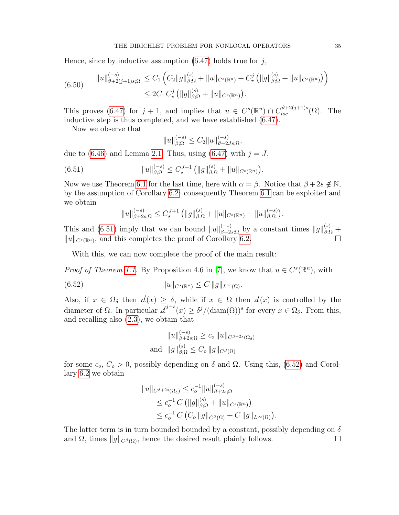Hence, since by inductive assumption  $(6.47)$  holds true for j,

$$
(6.50) \t\t ||u||_{\vartheta+2(j+1)s;\Omega}^{(-s)} \leq C_1 \left( C_2 ||g||_{\beta;\Omega}^{(s)} + ||u||_{C^s(\mathbb{R}^n)} + C^j_{\star} (||g||_{\beta;\Omega}^{(s)} + ||u||_{C^s(\mathbb{R}^n)}) \right)
$$
  

$$
\leq 2C_1 C^j_{\star} (||g||_{\beta;\Omega}^{(s)} + ||u||_{C^s(\mathbb{R}^n)}).
$$

This proves [\(6.47\)](#page-33-3) for  $j + 1$ , and implies that  $u \in C^{s}(\mathbb{R}^{n}) \cap C^{\vartheta+2(j+1)s}_{loc}(\Omega)$ . The inductive step is thus completed, and we have established [\(6.47\)](#page-33-3).

Now we observe that

<span id="page-34-0"></span>
$$
||u||_{\beta;\Omega}^{(-s)} \le C_2 ||u||_{\vartheta+2Js;\Omega}^{(-s)},
$$

due to  $(6.46)$  and Lemma [2.1.](#page-6-3) Thus, using  $(6.47)$  with  $j = J$ ,

(6.51) 
$$
||u||_{\beta;\Omega}^{(-s)} \leq C_{\star}^{J+1} (||g||_{\beta;\Omega}^{(s)} + ||u||_{C^{s}(\mathbb{R}^{n})}).
$$

Now we use Theorem [6.1](#page-23-0) for the last time, here with  $\alpha = \beta$ . Notice that  $\beta + 2s \notin \mathbb{N}$ , by the assumption of Corollary [6.2:](#page-32-0) consequently Theorem [6.1](#page-23-0) can be exploited and we obtain

 $||u||_{\beta+2s;\Omega}^{(-s)} \leq C_{\star}^{J+1} (||g||_{\beta;\Omega}^{(s)} + ||u||_{C^{s}(\mathbb{R}^{n})} + ||u||_{\beta;\Omega}^{(-s)}).$ 

This and [\(6.51\)](#page-34-0) imply that we can bound  $||u||_{\beta+2s;\Omega}^{(-s)}$  by a constant times  $||g||_{\beta;\Omega}^{(s)}$  +  $||u||_{C^{s}(\mathbb{R}^n)}$ , and this completes the proof of Corollary [6.2.](#page-32-0)

With this, we can now complete the proof of the main result:

*Proof of Theorem [1.1.](#page-3-1)* By Proposition 4.6 in [\[7\]](#page-51-3), we know that  $u \in C^{s}(\mathbb{R}^{n})$ , with

(6.52) 
$$
||u||_{C^{s}(\mathbb{R}^{n})} \leq C ||g||_{L^{\infty}(\Omega)}.
$$

Also, if  $x \in \Omega_{\delta}$  then  $d(x) \geq \delta$ , while if  $x \in \Omega$  then  $d(x)$  is controlled by the diameter of  $\Omega$ . In particular  $d^{j-s}(x) \geq \delta^j/(\text{diam}(\Omega))^s$  for every  $x \in \Omega_\delta$ . From this, and recalling also [\(2.3\)](#page-6-4), we obtain that

<span id="page-34-1"></span>
$$
||u||_{\beta+2s;\Omega}^{(-s)} \ge c_o ||u||_{C^{\beta+2s}(\Omega_\delta)}
$$
  
and 
$$
||g||_{\beta;\Omega}^{(s)} \le C_o ||g||_{C^\beta(\Omega)}
$$

for some  $c_o$ ,  $C_o > 0$ , possibly depending on  $\delta$  and  $\Omega$ . Using this, [\(6.52\)](#page-34-1) and Corollary [6.2](#page-32-0) we obtain

$$
||u||_{C^{\beta+2s}(\Omega_{\delta})} \leq c_o^{-1} ||u||_{\beta+2s;\Omega}^{(-s)}
$$
  
\n
$$
\leq c_o^{-1} C \left( ||g||_{\beta;\Omega}^{(s)} + ||u||_{C^s(\mathbb{R}^n)} \right)
$$
  
\n
$$
\leq c_o^{-1} C \left( C_o ||g||_{C^{\beta}(\Omega)} + C ||g||_{L^{\infty}(\Omega)} \right).
$$

The latter term is in turn bounded bounded by a constant, possibly depending on  $\delta$ and  $\Omega$ , times  $||g||_{C^{\beta}(\Omega)}$ , hence the desired result plainly follows.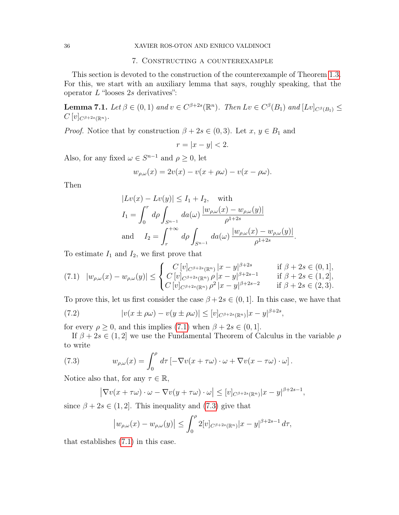## 7. Constructing a counterexample

<span id="page-35-0"></span>This section is devoted to the construction of the counterexample of Theorem [1.3.](#page-4-0) For this, we start with an auxiliary lemma that says, roughly speaking, that the operator  $L$  "looses  $2s$  derivatives":

<span id="page-35-4"></span>**Lemma 7.1.** Let  $\beta \in (0,1)$  and  $v \in C^{\beta+2s}(\mathbb{R}^n)$ . Then  $Lv \in C^{\beta}(B_1)$  and  $[Lv]_{C^{\beta}(B_1)} \leq$  $C\left[v\right]_{C^{\beta+2s}(\mathbb{R}^{n})}.$ 

*Proof.* Notice that by construction  $\beta + 2s \in (0, 3)$ . Let  $x, y \in B_1$  and

$$
r = |x - y| < 2.
$$

Also, for any fixed  $\omega \in S^{n-1}$  and  $\rho \geq 0$ , let

$$
w_{\rho,\omega}(x) = 2v(x) - v(x + \rho\omega) - v(x - \rho\omega).
$$

Then

$$
|Lv(x) - Lv(y)| \le I_1 + I_2, \quad \text{with}
$$
  
\n
$$
I_1 = \int_0^r d\rho \int_{S^{n-1}} da(\omega) \frac{|w_{\rho,\omega}(x) - w_{\rho,\omega}(y)|}{\rho^{1+2s}}
$$
  
\nand 
$$
I_2 = \int_r^{+\infty} d\rho \int_{S^{n-1}} da(\omega) \frac{|w_{\rho,\omega}(x) - w_{\rho,\omega}(y)|}{\rho^{1+2s}}.
$$

To estimate  $I_1$  and  $I_2$ , we first prove that

<span id="page-35-1"></span>
$$
(7.1) \quad |w_{\rho,\omega}(x) - w_{\rho,\omega}(y)| \leq \begin{cases} C\left[v\right]_{C^{\beta+2s}(\mathbb{R}^n)} |x-y|^{\beta+2s} & \text{if } \beta+2s \in (0,1],\\ C\left[v\right]_{C^{\beta+2s}(\mathbb{R}^n)} \rho |x-y|^{\beta+2s-1} & \text{if } \beta+2s \in (1,2],\\ C\left[v\right]_{C^{\beta+2s}(\mathbb{R}^n)} \rho^2 |x-y|^{\beta+2s-2} & \text{if } \beta+2s \in (2,3). \end{cases}
$$

To prove this, let us first consider the case  $\beta + 2s \in (0, 1]$ . In this case, we have that

<span id="page-35-3"></span>(7.2) 
$$
|v(x \pm \rho \omega) - v(y \pm \rho \omega)| \le [v]_{C^{\beta+2s}(\mathbb{R}^n)} |x - y|^{\beta+2s},
$$

for every  $\rho \geq 0$ , and this implies [\(7.1\)](#page-35-1) when  $\beta + 2s \in (0, 1]$ .

If  $\beta + 2s \in (1, 2]$  we use the Fundamental Theorem of Calculus in the variable  $\rho$ to write

(7.3) 
$$
w_{\rho,\omega}(x) = \int_0^{\rho} d\tau \left[ -\nabla v(x + \tau \omega) \cdot \omega + \nabla v(x - \tau \omega) \cdot \omega \right].
$$

Notice also that, for any  $\tau \in \mathbb{R}$ ,

<span id="page-35-2"></span>
$$
\left|\nabla v(x+\tau\omega)\cdot\omega-\nabla v(y+\tau\omega)\cdot\omega\right|\leq [v]_{C^{\beta+2s}(\mathbb{R}^n)}|x-y|^{\beta+2s-1},
$$

since  $\beta + 2s \in (1, 2]$ . This inequality and [\(7.3\)](#page-35-2) give that

$$
\left|w_{\rho,\omega}(x)-w_{\rho,\omega}(y)\right| \leq \int_0^{\rho} 2[v]_{C^{\beta+2s}(\mathbb{R}^n)}|x-y|^{\beta+2s-1} d\tau,
$$

that establishes [\(7.1\)](#page-35-1) in this case.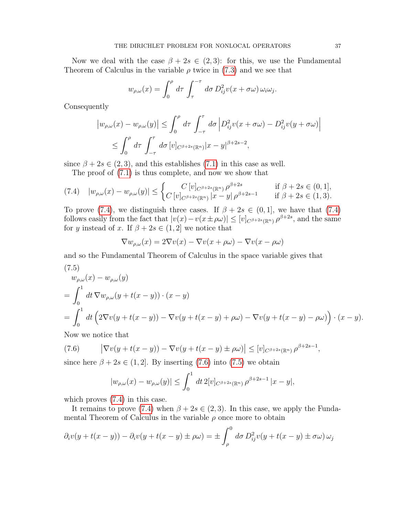Now we deal with the case  $\beta + 2s \in (2,3)$ : for this, we use the Fundamental Theorem of Calculus in the variable  $\rho$  twice in [\(7.3\)](#page-35-2) and we see that

$$
w_{\rho,\omega}(x) = \int_0^{\rho} d\tau \int_{\tau}^{-\tau} d\sigma D_{ij}^2 v(x + \sigma \omega) \, \omega_i \omega_j.
$$

Consequently

$$
\left| w_{\rho,\omega}(x) - w_{\rho,\omega}(y) \right| \leq \int_0^{\rho} d\tau \int_{-\tau}^{\tau} d\sigma \left| D_{ij}^2 v(x + \sigma \omega) - D_{ij}^2 v(y + \sigma \omega) \right|
$$
  

$$
\leq \int_0^{\rho} d\tau \int_{-\tau}^{\tau} d\sigma \left[ v \right]_{C^{\beta+2s}(\mathbb{R}^n)} |x - y|^{\beta+2s-2},
$$

since  $\beta + 2s \in (2, 3)$ , and this establishes [\(7.1\)](#page-35-1) in this case as well.

<span id="page-36-0"></span>The proof of [\(7.1\)](#page-35-1) is thus complete, and now we show that

$$
(7.4) \quad |w_{\rho,\omega}(x) - w_{\rho,\omega}(y)| \leq \begin{cases} C\left[v\right]_{C^{\beta+2s}(\mathbb{R}^n)} \rho^{\beta+2s} & \text{if } \beta+2s \in (0,1],\\ C\left[v\right]_{C^{\beta+2s}(\mathbb{R}^n)} |x-y| \rho^{\beta+2s-1} & \text{if } \beta+2s \in (1,3). \end{cases}
$$

To prove [\(7.4\)](#page-36-0), we distinguish three cases. If  $\beta + 2s \in (0, 1]$ , we have that (7.4) follows easily from the fact that  $|v(x) - v(x \pm \rho \omega)| \leq [v]_{C^{\beta+2s}(\mathbb{R}^n)} \rho^{\beta+2s}$ , and the same for y instead of x. If  $\beta + 2s \in (1, 2]$  we notice that

$$
\nabla w_{\rho,\omega}(x) = 2\nabla v(x) - \nabla v(x + \rho\omega) - \nabla v(x - \rho\omega)
$$

and so the Fundamental Theorem of Calculus in the space variable gives that (7.5)

<span id="page-36-2"></span>
$$
w_{\rho,\omega}(x) - w_{\rho,\omega}(y)
$$
  
=  $\int_0^1 dt \nabla w_{\rho,\omega}(y + t(x - y)) \cdot (x - y)$   
=  $\int_0^1 dt \left(2\nabla v(y + t(x - y)) - \nabla v(y + t(x - y) + \rho\omega) - \nabla v(y + t(x - y) - \rho\omega)\right) \cdot (x - y).$ 

Now we notice that

(7.6) 
$$
\left| \nabla v(y + t(x - y)) - \nabla v(y + t(x - y) \pm \rho \omega) \right| \leq [v]_{C^{\beta + 2s}(\mathbb{R}^n)} \rho^{\beta + 2s - 1},
$$

since here  $\beta + 2s \in (1, 2]$ . By inserting [\(7.6\)](#page-36-1) into [\(7.5\)](#page-36-2) we obtain

<span id="page-36-1"></span>
$$
|w_{\rho,\omega}(x) - w_{\rho,\omega}(y)| \le \int_0^1 dt \, 2[v]_{C^{\beta+2s}(\mathbb{R}^n)} \, \rho^{\beta+2s-1} |x-y|,
$$

which proves  $(7.4)$  in this case.

It remains to prove [\(7.4\)](#page-36-0) when  $\beta + 2s \in (2,3)$ . In this case, we apply the Fundamental Theorem of Calculus in the variable  $\rho$  once more to obtain

$$
\partial_i v(y+t(x-y)) - \partial_i v(y+t(x-y) \pm \rho \omega) = \pm \int_{\rho}^0 d\sigma D_{ij}^2 v(y+t(x-y) \pm \sigma \omega) \omega_j
$$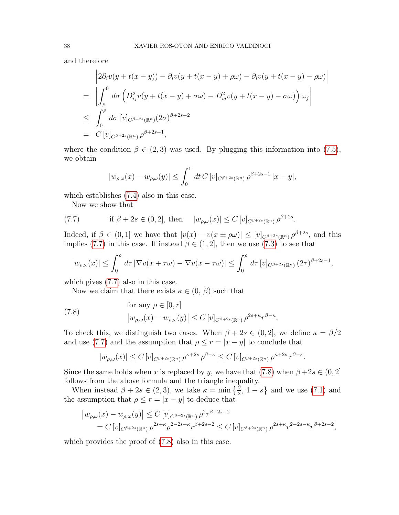and therefore

$$
\begin{aligned}\n\left| 2\partial_i v(y+t(x-y)) - \partial_i v(y+t(x-y) + \rho \omega) - \partial_i v(y+t(x-y) - \rho \omega) \right| \\
&= \left| \int_{\rho}^{0} d\sigma \left( D_{ij}^2 v(y+t(x-y) + \sigma \omega) - D_{ij}^2 v(y+t(x-y) - \sigma \omega) \right) \omega_j \right| \\
&\leq \int_{0}^{\rho} d\sigma \left[ v|_{C^{\beta+2s}(\mathbb{R}^n)} (2\sigma)^{\beta+2s-2} \\
&= C \left[ v|_{C^{\beta+2s}(\mathbb{R}^n)} \rho^{\beta+2s-1},\n\end{aligned}
$$

where the condition  $\beta \in (2,3)$  was used. By plugging this information into [\(7.5\)](#page-36-2), we obtain

$$
|w_{\rho,\omega}(x) - w_{\rho,\omega}(y)| \le \int_0^1 dt \, C \, [v]_{C^{\beta+2s}(\mathbb{R}^n)} \, \rho^{\beta+2s-1} \, |x-y|,
$$

which establishes  $(7.4)$  also in this case.

<span id="page-37-0"></span>Now we show that

(7.7) if 
$$
\beta + 2s \in (0, 2]
$$
, then  $|w_{\rho,\omega}(x)| \le C [v]_{C^{\beta+2s}(\mathbb{R}^n)} \rho^{\beta+2s}$ .

Indeed, if  $\beta \in (0,1]$  we have that  $|v(x) - v(x \pm \rho \omega)| \leq [v]_{C^{\beta+2s}(\mathbb{R}^n)} \rho^{\beta+2s}$ , and this implies [\(7.7\)](#page-37-0) in this case. If instead  $\beta \in (1, 2]$ , then we use [\(7.3\)](#page-35-2) to see that

$$
|w_{\rho,\omega}(x)| \leq \int_0^{\rho} d\tau \left| \nabla v(x + \tau \omega) - \nabla v(x - \tau \omega) \right| \leq \int_0^{\rho} d\tau \left[ v \right]_{C^{\beta+2s}(\mathbb{R}^n)} (2\tau)^{\beta+2s-1},
$$

which gives  $(7.7)$  also in this case.

Now we claim that there exists  $\kappa \in (0, \beta)$  such that

<span id="page-37-1"></span>(7.8)   
for any 
$$
\rho \in [0, r]
$$
  

$$
\left| w_{\rho,\omega}(x) - w_{\rho,\omega}(y) \right| \le C \left[ v \right]_{C^{\beta+2s}(\mathbb{R}^n)} \rho^{2s+\kappa} r^{\beta-\kappa}.
$$

To check this, we distinguish two cases. When  $\beta + 2s \in (0, 2]$ , we define  $\kappa = \beta/2$ and use [\(7.7\)](#page-37-0) and the assumption that  $\rho \le r = |x - y|$  to conclude that

$$
|w_{\rho,\omega}(x)| \le C \left[ v \right]_{C^{\beta+2s}(\mathbb{R}^n)} \rho^{\kappa+2s} \rho^{\beta-\kappa} \le C \left[ v \right]_{C^{\beta+2s}(\mathbb{R}^n)} \rho^{\kappa+2s} r^{\beta-\kappa}.
$$

Since the same holds when x is replaced by y, we have that [\(7.8\)](#page-37-1) when  $\beta + 2s \in (0, 2]$ follows from the above formula and the triangle inequality.

When instead  $\beta + 2s \in (2, 3)$ , we take  $\kappa = \min\left\{\frac{\beta}{2}, 1-s\right\}$  and we use [\(7.1\)](#page-35-1) and the assumption that  $\rho \leq r = |x - y|$  to deduce that

$$
\begin{aligned} \left| w_{\rho,\omega}(x) - w_{\rho,\omega}(y) \right| &\le C \left[ v \right]_{C^{\beta+2s}(\mathbb{R}^n)} \rho^2 r^{\beta+2s-2} \\ &= C \left[ v \right]_{C^{\beta+2s}(\mathbb{R}^n)} \rho^{2s+\kappa} \rho^{2-2s-\kappa} r^{\beta+2s-2} \le C \left[ v \right]_{C^{\beta+2s}(\mathbb{R}^n)} \rho^{2s+\kappa} r^{2-2s-\kappa} r^{\beta+2s-2}, \end{aligned}
$$

which provides the proof of [\(7.8\)](#page-37-1) also in this case.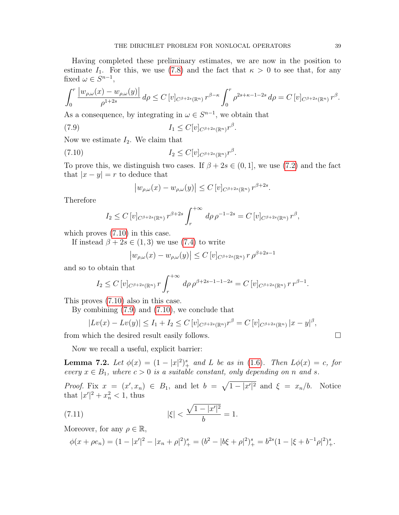Having completed these preliminary estimates, we are now in the position to estimate  $I_1$ . For this, we use [\(7.8\)](#page-37-1) and the fact that  $\kappa > 0$  to see that, for any fixed  $\omega \in S^{n-1}$ ,

$$
\int_0^r \frac{|w_{\rho,\omega}(x) - w_{\rho,\omega}(y)|}{\rho^{1+2s}} d\rho \le C \left[ v \right]_{C^{\beta+2s}(\mathbb{R}^n)} r^{\beta-\kappa} \int_0^r \rho^{2s+\kappa-1-2s} d\rho = C \left[ v \right]_{C^{\beta+2s}(\mathbb{R}^n)} r^{\beta}.
$$

As a consequence, by integrating in  $\omega \in S^{n-1}$ , we obtain that

$$
(7.9) \t\t I_1 \leq C[v]_{C^{\beta+2s}(\mathbb{R}^n)} r^{\beta}.
$$

Now we estimate  $I_2$ . We claim that

$$
(7.10)\t\t I_2 \le C[v]_{C^{\beta+2s}(\mathbb{R}^n)} r^{\beta}
$$

To prove this, we distinguish two cases. If  $\beta + 2s \in (0, 1]$ , we use [\(7.2\)](#page-35-3) and the fact that  $|x - y| = r$  to deduce that

.

<span id="page-38-2"></span><span id="page-38-1"></span>
$$
\left|w_{\rho,\omega}(x)-w_{\rho,\omega}(y)\right| \leq C\left[v\right]_{C^{\beta+2s}(\mathbb{R}^n)} r^{\beta+2s}.
$$

Therefore

$$
I_2 \leq C \left[ v \right]_{C^{\beta+2s}(\mathbb{R}^n)} r^{\beta+2s} \int_r^{+\infty} d\rho \, \rho^{-1-2s} = C \left[ v \right]_{C^{\beta+2s}(\mathbb{R}^n)} r^{\beta},
$$

which proves [\(7.10\)](#page-38-1) in this case.

If instead  $\beta + 2s \in (1,3)$  we use [\(7.4\)](#page-36-0) to write

$$
\left|w_{\rho,\omega}(x) - w_{\rho,\omega}(y)\right| \le C \left[v\right]_{C^{\beta+2s}(\mathbb{R}^n)} r \rho^{\beta+2s-1}
$$

and so to obtain that

$$
I_2 \leq C \left[ v \right]_{C^{\beta+2s}(\mathbb{R}^n)} r \int_r^{+\infty} d\rho \, \rho^{\beta+2s-1-1-2s} = C \left[ v \right]_{C^{\beta+2s}(\mathbb{R}^n)} r \, r^{\beta-1}.
$$

This proves [\(7.10\)](#page-38-1) also in this case.

By combining [\(7.9\)](#page-38-2) and [\(7.10\)](#page-38-1), we conclude that

$$
|Lv(x) - Lv(y)| \le I_1 + I_2 \le C [v]_{C^{\beta+2s}(\mathbb{R}^n)} r^{\beta} = C [v]_{C^{\beta+2s}(\mathbb{R}^n)} |x - y|^{\beta},
$$

from which the desired result easily follows.

Now we recall a useful, explicit barrier:

<span id="page-38-0"></span>**Lemma 7.2.** Let  $\phi(x) = (1 - |x|^2)^s_+$  and L be as in [\(1.6\)](#page-1-3). Then  $L\phi(x) = c$ , for every  $x \in B_1$ , where  $c > 0$  is a suitable constant, only depending on n and s.

*Proof.* Fix  $x = (x', x_n) \in B_1$ , and let  $b = \sqrt{1 - |x'|^2}$  and  $\xi = x_n/b$ . Notice that  $|x'|^2 + x_n^2 < 1$ , thus

(7.11) 
$$
|\xi| < \frac{\sqrt{1 - |x'|^2}}{b} = 1.
$$

Moreover, for any  $\rho \in \mathbb{R}$ ,

<span id="page-38-3"></span>
$$
\phi(x+\rho e_n) = (1-|x'|^2-|x_n+\rho|^2)_+^s = (b^2-|b\xi+\rho|^2)_+^s = b^{2s}(1-|\xi+b^{-1}\rho|^2)_+^s.
$$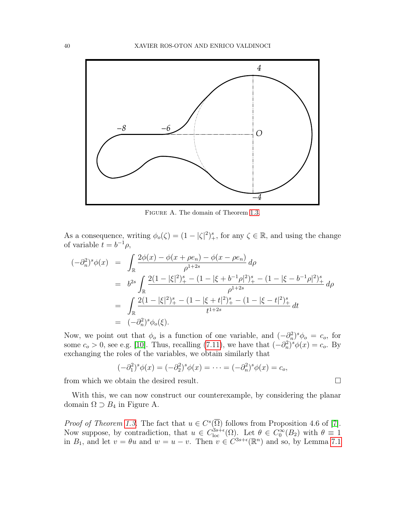

Figure A. The domain of Theorem [1.3.](#page-4-0)

As a consequence, writing  $\phi_o(\zeta) = (1 - |\zeta|^2)^s_+$ , for any  $\zeta \in \mathbb{R}$ , and using the change of variable  $t = b^{-1} \rho$ ,

$$
(-\partial_n^2)^s \phi(x) = \int_{\mathbb{R}} \frac{2\phi(x) - \phi(x + \rho e_n) - \phi(x - \rho e_n)}{\rho^{1+2s}} d\rho
$$
  
\n
$$
= b^{2s} \int_{\mathbb{R}} \frac{2(1 - |\xi|^2)_+^s - (1 - |\xi + b^{-1}\rho|^2)_+^s - (1 - |\xi - b^{-1}\rho|^2)_+^s}{\rho^{1+2s}} d\rho
$$
  
\n
$$
= \int_{\mathbb{R}} \frac{2(1 - |\xi|^2)_+^s - (1 - |\xi + t|^2)_+^s - (1 - |\xi - t|^2)_+^s}{t^{1+2s}} dt
$$
  
\n
$$
= (-\partial_n^2)^s \phi_o(\xi).
$$

Now, we point out that  $\phi_o$  is a function of one variable, and  $(-\partial_n^2)^s \phi_o = c_o$ , for some  $c_o > 0$ , see e.g. [\[10\]](#page-52-0). Thus, recalling [\(7.11\)](#page-38-3), we have that  $(-\partial_n^2)^s \phi(x) = c_o$ . By exchanging the roles of the variables, we obtain similarly that

$$
(-\partial_1^2)^s \phi(x) = (-\partial_2^2)^s \phi(x) = \cdots = (-\partial_n^2)^s \phi(x) = c_o,
$$

from which we obtain the desired result.

With this, we can now construct our counterexample, by considering the planar domain  $\Omega \supset B_4$  in Figure A.

*Proof of Theorem [1.3.](#page-4-0)* The fact that  $u \in C^{s}(\overline{\Omega})$  follows from Proposition 4.6 of [\[7\]](#page-51-3). Now suppose, by contradiction, that  $u \in C^{3s+\epsilon}_{loc}(\Omega)$ . Let  $\theta \in C^{\infty}_0(B_2)$  with  $\theta \equiv 1$ in  $B_1$ , and let  $v = \theta u$  and  $w = u - v$ . Then  $v \in C^{3s+\epsilon}(\mathbb{R}^n)$  and so, by Lemma [7.1](#page-35-4)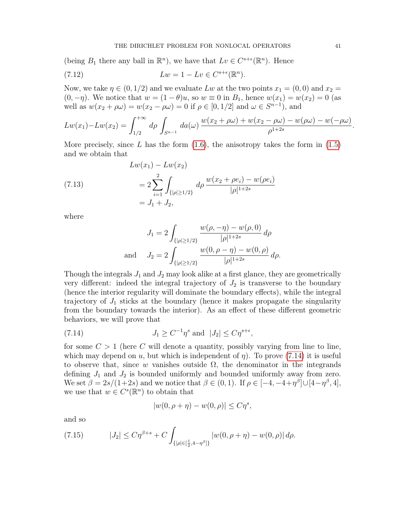(being  $B_1$  there any ball in  $\mathbb{R}^n$ ), we have that  $Lv \in C^{s+\epsilon}(\mathbb{R}^n)$ . Hence

<span id="page-40-1"></span>(7.12) 
$$
Lw = 1 - Lv \in C^{s+\epsilon}(\mathbb{R}^n).
$$

Now, we take  $\eta \in (0, 1/2)$  and we evaluate Lw at the two points  $x_1 = (0, 0)$  and  $x_2 =$  $(0, -\eta)$ . We notice that  $w = (1 - \theta)u$ , so  $w \equiv 0$  in  $B_1$ , hence  $w(x_1) = w(x_2) = 0$  (as well as  $w(x_2 + \rho \omega) = w(x_2 - \rho \omega) = 0$  if  $\rho \in [0, 1/2]$  and  $\omega \in S^{n-1}$ , and

$$
Lw(x_1) - Lw(x_2) = \int_{1/2}^{+\infty} d\rho \int_{S^{n-1}} da(\omega) \frac{w(x_2 + \rho \omega) + w(x_2 - \rho \omega) - w(\rho \omega) - w(-\rho \omega)}{\rho^{1+2s}}.
$$

More precisely, since L has the form  $(1.6)$ , the anisotropy takes the form in  $(1.5)$ and we obtain that

(7.13)  
\n
$$
Lw(x_1) - Lw(x_2)
$$
\n
$$
= 2 \sum_{i=1}^{2} \int_{\{|\rho| \ge 1/2\}} d\rho \frac{w(x_2 + \rho e_i) - w(\rho e_i)}{|\rho|^{1+2s}}
$$
\n
$$
= J_1 + J_2,
$$

where

$$
J_1 = 2 \int_{\{|\rho| \ge 1/2\}} \frac{w(\rho, -\eta) - w(\rho, 0)}{|\rho|^{1+2s}} d\rho
$$
  
and 
$$
J_2 = 2 \int_{\{|\rho| \ge 1/2\}} \frac{w(0, \rho - \eta) - w(0, \rho)}{|\rho|^{1+2s}} d\rho.
$$

Though the integrals  $J_1$  and  $J_2$  may look alike at a first glance, they are geometrically very different: indeed the integral trajectory of  $J_2$  is transverse to the boundary (hence the interior regularity will dominate the boundary effects), while the integral trajectory of  $J_1$  sticks at the boundary (hence it makes propagate the singularity from the boundary towards the interior). As an effect of these different geometric behaviors, we will prove that

(7.14) 
$$
J_1 \geq C^{-1} \eta^s \text{ and } |J_2| \leq C \eta^{s+\epsilon},
$$

for some  $C > 1$  (here C will denote a quantity, possibly varying from line to line, which may depend on u, but which is independent of  $\eta$ ). To prove [\(7.14\)](#page-40-0) it is useful to observe that, since w vanishes outside  $\Omega$ , the denominator in the integrands defining  $J_1$  and  $J_2$  is bounded uniformly and bounded uniformly away from zero. We set  $\beta = 2s/(1+2s)$  and we notice that  $\beta \in (0,1)$ . If  $\rho \in [-4, -4+\eta^{\beta}] \cup [4-\eta^{\beta}, 4]$ , we use that  $w \in C^{s}(\mathbb{R}^{n})$  to obtain that

<span id="page-40-0"></span>
$$
|w(0, \rho + \eta) - w(0, \rho)| \le C\eta^s,
$$

and so

<span id="page-40-2"></span>(7.15) 
$$
|J_2| \leq C\eta^{\beta+s} + C \int_{\{|\rho| \in [\frac{1}{2}, 4-\eta^{\beta}]\}} |w(0, \rho + \eta) - w(0, \rho)| d\rho.
$$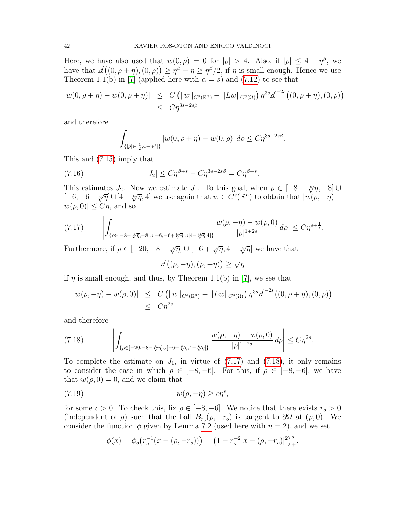Here, we have also used that  $w(0, \rho) = 0$  for  $|\rho| > 4$ . Also, if  $|\rho| \leq 4 - \eta^{\beta}$ , we have that  $d((0, \rho + \eta), (0, \rho)) \ge \eta^{\beta} - \eta \ge \eta^{\beta}/2$ , if  $\eta$  is small enough. Hence we use Theorem 1.1(b) in [\[7\]](#page-51-3) (applied here with  $\alpha = s$ ) and [\(7.12\)](#page-40-1) to see that

$$
|w(0, \rho + \eta) - w(0, \rho + \eta)| \leq C (||w||_{C^{s}(\mathbb{R}^n)} + ||Lw||_{C^{s}(\Omega)}) \eta^{3s} d^{-2s} ((0, \rho + \eta), (0, \rho))
$$
  
 
$$
\leq C \eta^{3s - 2s\beta}
$$

and therefore

<span id="page-41-3"></span>
$$
\int_{\{|\rho| \in [\frac{1}{2}, 4 - \eta^{\beta}]\}} |w(0, \rho + \eta) - w(0, \rho)| d\rho \leq C \eta^{3s - 2s\beta}.
$$

This and [\(7.15\)](#page-40-2) imply that

(7.16) 
$$
|J_2| \leq C \eta^{\beta+s} + C \eta^{3s-2s\beta} = C \eta^{\beta+s}.
$$

This estimates  $J_2$ . Now we estimate  $J_1$ . To this goal, when  $\rho \in [-8 - \sqrt[8]{\eta}, -8] \cup$ This estimates  $\Im_2$ . Now we estimate  $\Im_1$ . To this goal, when  $p \in [-\infty - \sqrt[3]{\eta}, -\infty]$  $w(\rho, 0) \leq C\eta$ , and so

<span id="page-41-0"></span>
$$
(7.17) \qquad \left| \int_{\{\rho \in [-8-\sqrt[8]{\eta}, -8] \cup [-6, -6+\sqrt[8]{\eta}] \cup [4-\sqrt[8]{\eta}, 4]\}} \frac{w(\rho, -\eta) - w(\rho, 0)}{|\rho|^{1+2s}} d\rho \right| \leq C \eta^{s + \frac{1}{8}}.
$$

Furthermore, if  $\rho \in [-20, -8 - \sqrt[8]{\eta}] \cup [-6 + \sqrt[8]{\eta}, 4 - \sqrt[8]{\eta}]$  we have that

$$
d((\rho, -\eta), (\rho, -\eta)) \ge \sqrt{\eta}
$$

if  $\eta$  is small enough, and thus, by Theorem 1.1(b) in [\[7\]](#page-51-3), we see that

$$
|w(\rho, -\eta) - w(\rho, 0)| \leq C (||w||_{C^{s}(\mathbb{R}^n)} + ||Lw||_{C^{s}(\Omega)}) \eta^{3s} d^{-2s} ((0, \rho + \eta), (0, \rho))
$$
  
 
$$
\leq C \eta^{2s}
$$

and therefore

<span id="page-41-1"></span>(7.18) 
$$
\left| \int_{\{\rho \in [-20, -8 - \sqrt[8]{\eta}] \cup [-6 + \sqrt[8]{\eta}, 4 - \sqrt[8]{\eta}]\}} \frac{w(\rho, -\eta) - w(\rho, 0)}{|\rho|^{1+2s}} d\rho \right| \leq C \eta^{2s}.
$$

To complete the estimate on  $J_1$ , in virtue of  $(7.17)$  and  $(7.18)$ , it only remains to consider the case in which  $\rho \in [-8, -6]$ . For this, if  $\rho \in [-8, -6]$ , we have that  $w(\rho, 0) = 0$ , and we claim that

$$
(7.19) \t\t\t w(\rho, -\eta) \ge c\eta^s,
$$

for some  $c > 0$ . To check this, fix  $\rho \in [-8, -6]$ . We notice that there exists  $r_o > 0$ (independent of  $\rho$ ) such that the ball  $B_{r_o}(\rho, -r_o)$  is tangent to  $\partial\Omega$  at  $(\rho, 0)$ . We consider the function  $\phi$  given by Lemma [7.2](#page-38-0) (used here with  $n = 2$ ), and we set

<span id="page-41-2"></span>
$$
\underline{\phi}(x) = \phi_o(r_o^{-1}(x - (\rho, -r_o))) = (1 - r_o^{-2}|x - (\rho, -r_o)|^2)^s_+.
$$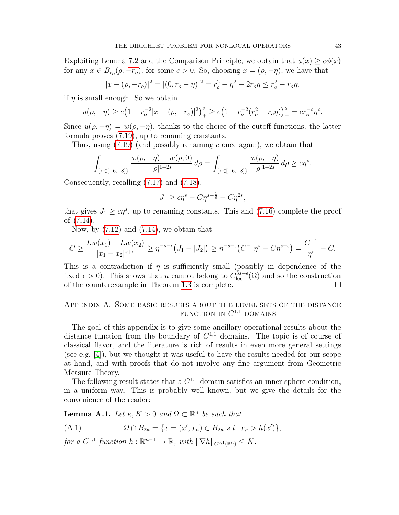Exploiting Lemma [7.2](#page-38-0) and the Comparison Principle, we obtain that  $u(x) \geq c\phi(x)$ for any  $x \in B_{r_o}(\rho, -r_o)$ , for some  $c > 0$ . So, choosing  $x = (\rho, -\eta)$ , we have that

$$
|x - (\rho, -r_o)|^2 = |(0, r_o - \eta)|^2 = r_o^2 + \eta^2 - 2r_o\eta \le r_o^2 - r_o\eta,
$$

if  $\eta$  is small enough. So we obtain

$$
u(\rho, -\eta) \ge c\left(1 - r_o^{-2}|x - (\rho, -r_o)|^2\right)_+^s \ge c\left(1 - r_o^{-2}(r_o^2 - r_o\eta)\right)_+^s = cr_o^{-s}\eta^s.
$$

Since  $u(\rho, -\eta) = w(\rho, -\eta)$ , thanks to the choice of the cutoff functions, the latter formula proves [\(7.19\)](#page-41-2), up to renaming constants.

Thus, using  $(7.19)$  (and possibly renaming c once again), we obtain that

$$
\int_{\{\rho \in [-6,-8]\}} \frac{w(\rho, -\eta) - w(\rho, 0)}{|\rho|^{1+2s}} d\rho = \int_{\{\rho \in [-6,-8]\}} \frac{w(\rho, -\eta)}{|\rho|^{1+2s}} d\rho \geq c\eta^s.
$$

Consequently, recalling [\(7.17\)](#page-41-0) and [\(7.18\)](#page-41-1),

$$
J_1 \geq c\eta^s - C\eta^{s+\frac{1}{8}} - C\eta^{2s},
$$

that gives  $J_1 \geq c\eta^s$ , up to renaming constants. This and [\(7.16\)](#page-41-3) complete the proof of [\(7.14\)](#page-40-0).

Now, by  $(7.12)$  and  $(7.14)$ , we obtain that

$$
C \ge \frac{Lw(x_1) - Lw(x_2)}{|x_1 - x_2|^{s+\epsilon}} \ge \eta^{-s-\epsilon} \big( J_1 - |J_2| \big) \ge \eta^{-s-\epsilon} \big( C^{-1} \eta^s - C \eta^{s+\epsilon} \big) = \frac{C^{-1}}{\eta^{\epsilon}} - C.
$$

This is a contradiction if  $\eta$  is sufficiently small (possibly in dependence of the fixed  $\epsilon > 0$ ). This shows that u cannot belong to  $C^{3s+\epsilon}_{loc}(\Omega)$  and so the construction of the counterexample in Theorem [1.3](#page-4-0) is complete.  $\Box$ 

# Appendix A. Some basic results about the level sets of the distance FUNCTION IN  $C^{1,1}$  DOMAINS

The goal of this appendix is to give some ancillary operational results about the distance function from the boundary of  $C^{1,1}$  domains. The topic is of course of classical flavor, and the literature is rich of results in even more general settings (see e.g. [\[4\]](#page-51-7)), but we thought it was useful to have the results needed for our scope at hand, and with proofs that do not involve any fine argument from Geometric Measure Theory.

The following result states that a  $C^{1,1}$  domain satisfies an inner sphere condition, in a uniform way. This is probably well known, but we give the details for the convenience of the reader:

<span id="page-42-1"></span>**Lemma A.1.** Let  $\kappa, K > 0$  and  $\Omega \subset \mathbb{R}^n$  be such that

<span id="page-42-0"></span>(A.1) 
$$
\Omega \cap B_{2\kappa} = \{x = (x', x_n) \in B_{2\kappa} \text{ s.t. } x_n > h(x')\},
$$

for a  $C^{1,1}$  function  $h: \mathbb{R}^{n-1} \to \mathbb{R}$ , with  $\|\nabla h\|_{C^{0,1}(\mathbb{R}^n)} \leq K$ .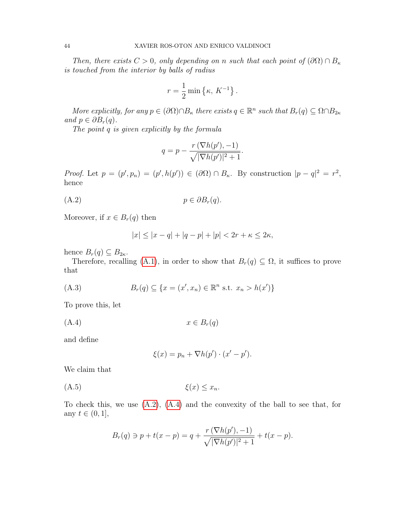Then, there exists  $C > 0$ , only depending on n such that each point of  $(\partial\Omega) \cap B_{\kappa}$ is touched from the interior by balls of radius

$$
r = \frac{1}{2} \min \left\{ \kappa, K^{-1} \right\}.
$$

More explicitly, for any  $p \in (\partial \Omega) \cap B_{\kappa}$  there exists  $q \in \mathbb{R}^n$  such that  $B_r(q) \subseteq \Omega \cap B_{2\kappa}$ and  $p \in \partial B_r(q)$ .

The point q is given explicitly by the formula

<span id="page-43-0"></span>
$$
q = p - \frac{r(\nabla h(p'), -1)}{\sqrt{|\nabla h(p')|^2 + 1}}.
$$

Proof. Let  $p = (p', p_n) = (p', h(p')) \in (\partial \Omega) \cap B_{\kappa}$ . By construction  $|p - q|^2 = r^2$ , hence

$$
(A.2) \t\t\t p \in \partial B_r(q).
$$

Moreover, if  $x \in B_r(q)$  then

<span id="page-43-3"></span>
$$
|x| \le |x - q| + |q - p| + |p| < 2r + \kappa \le 2\kappa,
$$

hence  $B_r(q) \subseteq B_{2\kappa}$ .

Therefore, recalling [\(A.1\)](#page-42-0), in order to show that  $B_r(q) \subseteq \Omega$ , it suffices to prove that

(A.3) 
$$
B_r(q) \subseteq \{x = (x', x_n) \in \mathbb{R}^n \text{ s.t. } x_n > h(x')\}
$$

To prove this, let

$$
(A.4) \t x \in B_r(q)
$$

and define

<span id="page-43-2"></span><span id="page-43-1"></span>
$$
\xi(x) = p_n + \nabla h(p') \cdot (x' - p').
$$

We claim that

(A.5)  $\xi(x) \leq x_n$ .

To check this, we use [\(A.2\)](#page-43-0), [\(A.4\)](#page-43-1) and the convexity of the ball to see that, for any  $t \in (0, 1]$ ,

$$
B_r(q) \ni p + t(x - p) = q + \frac{r(\nabla h(p'), -1)}{\sqrt{|\nabla h(p')|^2 + 1}} + t(x - p).
$$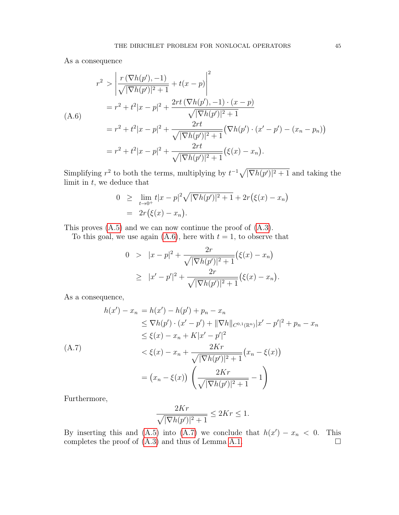As a consequence

<span id="page-44-0"></span>
$$
r^{2} > \left| \frac{r(\nabla h(p'), -1)}{\sqrt{|\nabla h(p')|^{2} + 1}} + t(x - p) \right|^{2}
$$
  
=  $r^{2} + t^{2}|x - p|^{2} + \frac{2rt(\nabla h(p'), -1) \cdot (x - p)}{\sqrt{|\nabla h(p')|^{2} + 1}}$   
=  $r^{2} + t^{2}|x - p|^{2} + \frac{2rt}{\sqrt{|\nabla h(p')|^{2} + 1}} (\nabla h(p') \cdot (x' - p') - (x_{n} - p_{n}))$   
=  $r^{2} + t^{2}|x - p|^{2} + \frac{2rt}{\sqrt{|\nabla h(p')|^{2} + 1}} (\xi(x) - x_{n}).$ 

Simplifying  $r^2$  to both the terms, multiplying by  $t^{-1}\sqrt{|\nabla h(p')|^2+1}$  and taking the limit in  $t$ , we deduce that

$$
0 \geq \lim_{t \to 0^+} t|x - p|^2 \sqrt{|\nabla h(p')|^2 + 1} + 2r(\xi(x) - x_n)
$$
  
=  $2r(\xi(x) - x_n).$ 

This proves [\(A.5\)](#page-43-2) and we can now continue the proof of [\(A.3\)](#page-43-3).

To this goal, we use again  $(A.6)$ , here with  $t = 1$ , to observe that

$$
0 > |x - p|^2 + \frac{2r}{\sqrt{|\nabla h(p')|^2 + 1}} (\xi(x) - x_n)
$$
  
\n
$$
\geq |x' - p'|^2 + \frac{2r}{\sqrt{|\nabla h(p')|^2 + 1}} (\xi(x) - x_n).
$$

As a consequence,

<span id="page-44-1"></span>
$$
h(x') - x_n = h(x') - h(p') + p_n - x_n
$$
  
\n
$$
\leq \nabla h(p') \cdot (x' - p') + ||\nabla h||_{C^{0,1}(\mathbb{R}^n)} |x' - p'|^2 + p_n - x_n
$$
  
\n
$$
\leq \xi(x) - x_n + K|x' - p'|^2
$$
  
\n(A.7)  
\n
$$
< \xi(x) - x_n + \frac{2Kr}{\sqrt{|\nabla h(p')|^2 + 1}} (x_n - \xi(x))
$$
  
\n
$$
= (x_n - \xi(x)) \left( \frac{2Kr}{\sqrt{|\nabla h(p')|^2 + 1}} - 1 \right)
$$

Furthermore,

$$
\frac{2Kr}{\sqrt{|\nabla h(p')|^2+1}} \le 2Kr \le 1.
$$

By inserting this and [\(A.5\)](#page-43-2) into [\(A.7\)](#page-44-1) we conclude that  $h(x') - x_n < 0$ . This completes the proof of  $(A.3)$  and thus of Lemma [A.1.](#page-42-1)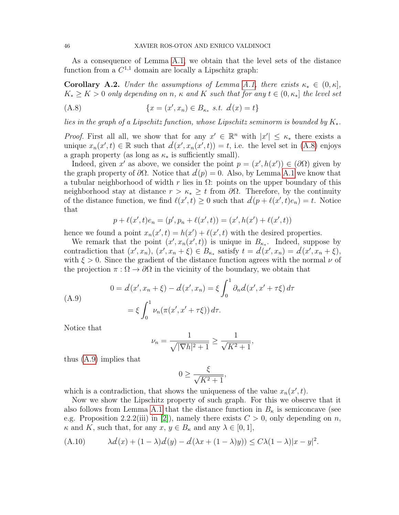As a consequence of Lemma [A.1,](#page-42-1) we obtain that the level sets of the distance function from a  $C^{1,1}$  domain are locally a Lipschitz graph:

<span id="page-45-0"></span>**Corollary A.2.** Under the assumptions of Lemma [A.1,](#page-42-1) there exists  $\kappa_* \in (0, \kappa]$ ,  $K_* \geq K > 0$  only depending on n,  $\kappa$  and K such that for any  $t \in (0, \kappa_*]$  the level set

<span id="page-45-1"></span>(A.8) 
$$
\{x = (x', x_n) \in B_{\kappa_*} \text{ s.t. } d(x) = t\}
$$

lies in the graph of a Lipschitz function, whose Lipschitz seminorm is bounded by  $K_*$ .

*Proof.* First all all, we show that for any  $x' \in \mathbb{R}^n$  with  $|x'| \leq \kappa_*$  there exists a unique  $x_n(x',t) \in \mathbb{R}$  such that  $d(x', x_n(x', t)) = t$ , i.e. the level set in [\(A.8\)](#page-45-1) enjoys a graph property (as long as  $\kappa_*$  is sufficiently small).

Indeed, given x' as above, we consider the point  $p = (x', h(x')) \in (\partial \Omega)$  given by the graph property of  $\partial\Omega$ . Notice that  $d(p) = 0$ . Also, by Lemma [A.1](#page-42-1) we know that a tubular neighborhood of width r lies in  $\Omega$ : points on the upper boundary of this neighborhood stay at distance  $r > \kappa_* \geq t$  from  $\partial\Omega$ . Therefore, by the continuity of the distance function, we find  $\ell(x', t) \geq 0$  such that  $d(p + \ell(x', t)e_n) = t$ . Notice that

$$
p + \ell(x',t)e_n = (p', p_n + \ell(x',t)) = (x', h(x') + \ell(x',t))
$$

hence we found a point  $x_n(x', t) = h(x') + \ell(x', t)$  with the desired properties.

We remark that the point  $(x', x_n(x', t))$  is unique in  $B_{\kappa_*}$ . Indeed, suppose by contradiction that  $(x', x_n), (x', x_n + \xi) \in B_{\kappa_*}$  satisfy  $t = d(x', x_n) = d(x', x_n + \xi),$ with  $\xi > 0$ . Since the gradient of the distance function agrees with the normal  $\nu$  of the projection  $\pi : \Omega \to \partial\Omega$  in the vicinity of the boundary, we obtain that

<span id="page-45-2"></span>(A.9)  
\n
$$
0 = d(x', x_n + \xi) - d(x', x_n) = \xi \int_0^1 \partial_n d(x', x' + \tau \xi) d\tau
$$
\n
$$
= \xi \int_0^1 \nu_n(\pi(x', x' + \tau \xi)) d\tau.
$$

Notice that

$$
\nu_n = \frac{1}{\sqrt{|\nabla h|^2 + 1}} \ge \frac{1}{\sqrt{K^2 + 1}},
$$

thus [\(A.9\)](#page-45-2) implies that

$$
0 \ge \frac{\xi}{\sqrt{K^2 + 1}},
$$

which is a contradiction, that shows the uniqueness of the value  $x_n(x', t)$ .

Now we show the Lipschitz property of such graph. For this we observe that it also follows from Lemma [A.1](#page-42-1) that the distance function in  $B_{\kappa}$  is semiconcave (see e.g. Proposition 2.2.2(iii) in [\[2\]](#page-51-8)), namely there exists  $C > 0$ , only depending on n,  $\kappa$  and K, such that, for any  $x, y \in B_{\kappa}$  and any  $\lambda \in [0, 1],$ 

<span id="page-45-3"></span>(A.10) 
$$
\lambda d(x) + (1 - \lambda)d(y) - d(\lambda x + (1 - \lambda)y)) \le C\lambda(1 - \lambda)|x - y|^2.
$$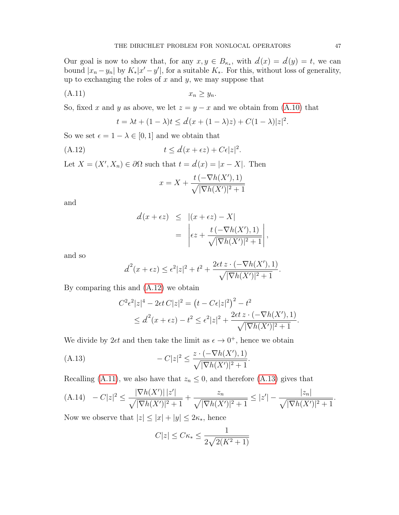Our goal is now to show that, for any  $x, y \in B_{\kappa_*}$ , with  $d(x) = d(y) = t$ , we can bound  $|x_n - y_n|$  by  $K_*|x' - y'|$ , for a suitable  $K_*$ . For this, without loss of generality, up to exchanging the roles of  $x$  and  $y$ , we may suppose that

$$
(A.11) \t\t x_n \ge y_n.
$$

So, fixed x and y as above, we let  $z = y - x$  and we obtain from [\(A.10\)](#page-45-3) that

$$
t = \lambda t + (1 - \lambda)t \le d(x + (1 - \lambda)z) + C(1 - \lambda)|z|^2.
$$

<span id="page-46-1"></span>.

So we set  $\epsilon = 1 - \lambda \in [0, 1]$  and we obtain that

$$
(A.12) \t t \le d(x + \epsilon z) + C\epsilon |z|^2
$$

Let  $X = (X', X_n) \in \partial \Omega$  such that  $t = d(x) = |x - X|$ . Then

<span id="page-46-0"></span>
$$
x = X + \frac{t\left(-\nabla h(X'), 1\right)}{\sqrt{|\nabla h(X')|^2 + 1}}
$$

and

$$
\begin{array}{rcl} d(x+\epsilon z) & \leq & |(x+\epsilon z)-X| \\ & = & \left| \epsilon z + \frac{t\left(-\nabla h(X'), 1\right)}{\sqrt{|\nabla h(X')|^2+1}} \right|, \end{array}
$$

and so

$$
d^{2}(x+\epsilon z) \leq \epsilon^{2}|z|^{2} + t^{2} + \frac{2\epsilon t z \cdot (-\nabla h(X'), 1)}{\sqrt{|\nabla h(X')|^{2} + 1}}.
$$

By comparing this and [\(A.12\)](#page-46-0) we obtain

<span id="page-46-2"></span>
$$
C^{2} \epsilon^{2} |z|^{4} - 2\epsilon t C |z|^{2} = (t - C\epsilon |z|^{2})^{2} - t^{2}
$$
  
 
$$
\leq d^{2} (x + \epsilon z) - t^{2} \leq \epsilon^{2} |z|^{2} + \frac{2\epsilon t z \cdot (-\nabla h(X'), 1)}{\sqrt{|\nabla h(X')|^{2} + 1}}.
$$

We divide by  $2\epsilon t$  and then take the limit as  $\epsilon \to 0^+$ , hence we obtain

(A.13) 
$$
-C|z|^2 \le \frac{z \cdot (-\nabla h(X'), 1)}{\sqrt{|\nabla h(X')|^2 + 1}}.
$$

Recalling [\(A.11\)](#page-46-1), we also have that  $z_n \leq 0$ , and therefore [\(A.13\)](#page-46-2) gives that

<span id="page-46-3"></span>(A.14) 
$$
-C|z|^2 \le \frac{|\nabla h(X')| |z'|}{\sqrt{|\nabla h(X')|^2 + 1}} + \frac{z_n}{\sqrt{|\nabla h(X')|^2 + 1}} \le |z'| - \frac{|z_n|}{\sqrt{|\nabla h(X')|^2 + 1}}.
$$

Now we observe that  $|z| \leq |x| + |y| \leq 2\kappa_*$ , hence

$$
C|z| \leq C\kappa_* \leq \frac{1}{2\sqrt{2(K^2+1)}}
$$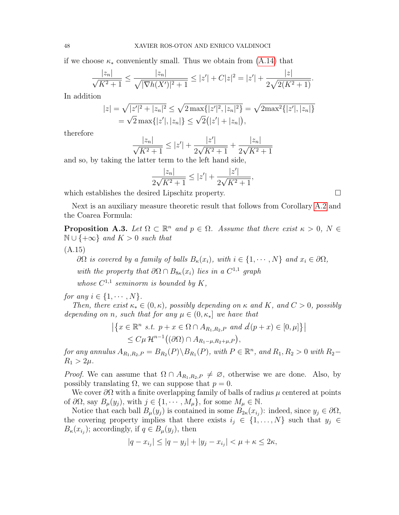if we choose  $\kappa_*$  conveniently small. Thus we obtain from [\(A.14\)](#page-46-3) that

$$
\frac{|z_n|}{\sqrt{K^2+1}} \le \frac{|z_n|}{\sqrt{|\nabla h(X')|^2+1}} \le |z'| + C|z|^2 = |z'| + \frac{|z|}{2\sqrt{2(K^2+1)}}.
$$

In addition

$$
|z| = \sqrt{|z'|^2 + |z_n|^2} \le \sqrt{2 \max\{|z'|^2, |z_n|^2\}} = \sqrt{2 \max^2\{|z'|, |z_n|\}}
$$
  
=  $\sqrt{2} \max\{|z'|, |z_n|\} \le \sqrt{2}(|z'| + |z_n|),$ 

therefore

$$
\frac{|z_n|}{\sqrt{K^2+1}} \le |z'| + \frac{|z'|}{2\sqrt{K^2+1}} + \frac{|z_n|}{2\sqrt{K^2+1}}
$$

and so, by taking the latter term to the left hand side,

$$
\frac{|z_n|}{2\sqrt{K^2+1}} \le |z'| + \frac{|z'|}{2\sqrt{K^2+1}},
$$

which establishes the desired Lipschitz property.

Next is an auxiliary measure theoretic result that follows from Corollary [A.2](#page-45-0) and the Coarea Formula:

<span id="page-47-0"></span>**Proposition A.3.** Let  $\Omega \subset \mathbb{R}^n$  and  $p \in \Omega$ . Assume that there exist  $\kappa > 0$ ,  $N \in$  $\mathbb{N} \cup \{+\infty\}$  and  $K > 0$  such that

(A.15)

<span id="page-47-1"></span> $\partial\Omega$  is covered by a family of balls  $B_{\kappa}(x_i)$ , with  $i \in \{1, \cdots, N\}$  and  $x_i \in \partial\Omega$ , with the property that  $\partial\Omega \cap B_{8\kappa}(x_i)$  lies in a  $C^{1,1}$  graph

whose  $C^{1,1}$  seminorm is bounded by K,

for any  $i \in \{1, \cdots, N\}$ .

Then, there exist  $\kappa_* \in (0, \kappa)$ , possibly depending on  $\kappa$  and  $K$ , and  $C > 0$ , possibly depending on n, such that for any  $\mu \in (0, \kappa_*]$  we have that

$$
\left| \left\{ x \in \mathbb{R}^n \ s.t. \ p + x \in \Omega \cap A_{R_1, R_2, P} \ and \ d(p + x) \in [0, \mu] \right\} \right|
$$
  

$$
\leq C\mu \mathcal{H}^{n-1}((\partial \Omega) \cap A_{R_1 - \mu, R_2 + \mu, P}),
$$

for any annulus  $A_{R_1,R_2,P} = B_{R_2}(P) \backslash B_{R_1}(P)$ , with  $P \in \mathbb{R}^n$ , and  $R_1, R_2 > 0$  with  $R_2 R_1 > 2\mu$ .

*Proof.* We can assume that  $\Omega \cap A_{R_1,R_2,P} \neq \emptyset$ , otherwise we are done. Also, by possibly translating  $\Omega$ , we can suppose that  $p = 0$ .

We cover  $\partial\Omega$  with a finite overlapping family of balls of radius  $\mu$  centered at points of  $\partial\Omega$ , say  $B_\mu(y_i)$ , with  $j \in \{1, \cdots, M_\mu\}$ , for some  $M_\mu \in \mathbb{N}$ .

Notice that each ball  $B_{\mu}(y_j)$  is contained in some  $B_{2\kappa}(x_{i_j})$ : indeed, since  $y_j \in \partial\Omega$ , the covering property implies that there exists  $i_j \in \{1, \ldots, N\}$  such that  $y_j \in$  $B_{\kappa}(x_{i_j});$  accordingly, if  $q \in B_{\mu}(y_j)$ , then

$$
|q - x_{i_j}| \le |q - y_j| + |y_j - x_{i_j}| < \mu + \kappa \le 2\kappa,
$$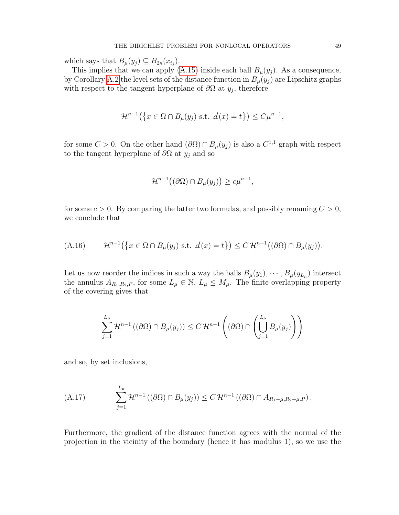which says that  $B_{\mu}(y_j) \subseteq B_{2\kappa}(x_{i_j}).$ 

This implies that we can apply [\(A.15\)](#page-47-1) inside each ball  $B_{\mu}(y_j)$ . As a consequence, by Corollary [A.2](#page-45-0) the level sets of the distance function in  $B_{\mu}(y_i)$  are Lipschitz graphs with respect to the tangent hyperplane of  $\partial\Omega$  at  $y_j$ , therefore

$$
\mathcal{H}^{n-1}(\left\{x \in \Omega \cap B_{\mu}(y_j) \text{ s.t. } d(x) = t\right\}) \le C\mu^{n-1},
$$

for some  $C > 0$ . On the other hand  $(\partial \Omega) \cap B_{\mu}(y_j)$  is also a  $C^{1,1}$  graph with respect to the tangent hyperplane of  $\partial\Omega$  at  $y_j$  and so

$$
\mathcal{H}^{n-1}((\partial\Omega)\cap B_{\mu}(y_j))\geq c\mu^{n-1},
$$

for some  $c > 0$ . By comparing the latter two formulas, and possibly renaming  $C > 0$ , we conclude that

<span id="page-48-0"></span>(A.16) 
$$
\mathcal{H}^{n-1}(\lbrace x \in \Omega \cap B_{\mu}(y_j) \text{ s.t. } d(x) = t \rbrace) \leq C \mathcal{H}^{n-1}((\partial \Omega) \cap B_{\mu}(y_j)).
$$

Let us now reorder the indices in such a way the balls  $B_{\mu}(y_1), \cdots, B_{\mu}(y_{L_{\mu}})$  intersect the annulus  $A_{R_1,R_2,P}$ , for some  $L_\mu \in \mathbb{N}$ ,  $L_\mu \leq M_\mu$ . The finite overlapping property of the covering gives that

$$
\sum_{j=1}^{L_{\mu}} \mathcal{H}^{n-1} \left( (\partial \Omega) \cap B_{\mu}(y_j) \right) \leq C \, \mathcal{H}^{n-1} \left( (\partial \Omega) \cap \left( \bigcup_{j=1}^{L_{\mu}} B_{\mu}(y_j) \right) \right)
$$

and so, by set inclusions,

<span id="page-48-1"></span>(A.17) 
$$
\sum_{j=1}^{L_{\mu}} \mathcal{H}^{n-1} \left( (\partial \Omega) \cap B_{\mu}(y_j) \right) \leq C \, \mathcal{H}^{n-1} \left( (\partial \Omega) \cap A_{R_1-\mu,R_2+\mu,P} \right).
$$

Furthermore, the gradient of the distance function agrees with the normal of the projection in the vicinity of the boundary (hence it has modulus 1), so we use the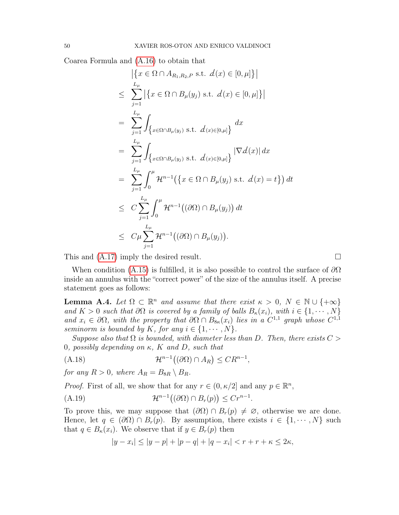Coarea Formula and [\(A.16\)](#page-48-0) to obtain that

$$
\left| \left\{ x \in \Omega \cap A_{R_1, R_2, P} \text{ s.t. } d(x) \in [0, \mu] \right\} \right|
$$
\n
$$
\leq \sum_{j=1}^{L_{\mu}} \left| \left\{ x \in \Omega \cap B_{\mu}(y_j) \text{ s.t. } d(x) \in [0, \mu] \right\} \right|
$$
\n
$$
= \sum_{j=1}^{L_{\mu}} \int_{\left\{ x \in \Omega \cap B_{\mu}(y_j) \text{ s.t. } d(x) \in [0, \mu] \right\}} dx
$$
\n
$$
= \sum_{j=1}^{L_{\mu}} \int_{\left\{ x \in \Omega \cap B_{\mu}(y_j) \text{ s.t. } d(x) \in [0, \mu] \right\}} |\nabla d(x)| dx
$$
\n
$$
= \sum_{j=1}^{L_{\mu}} \int_{0}^{\mu} \mathcal{H}^{n-1}(\left\{ x \in \Omega \cap B_{\mu}(y_j) \text{ s.t. } d(x) = t \right\}) dt
$$
\n
$$
\leq C \sum_{j=1}^{L_{\mu}} \int_{0}^{\mu} \mathcal{H}^{n-1}((\partial \Omega) \cap B_{\mu}(y_j)) dt
$$
\n
$$
\leq C \mu \sum_{j=1}^{L_{\mu}} \mathcal{H}^{n-1}((\partial \Omega) \cap B_{\mu}(y_j)).
$$

This and  $(A.17)$  imply the desired result.

When condition [\(A.15\)](#page-47-1) is fulfilled, it is also possible to control the surface of  $\partial\Omega$ inside an annulus with the "correct power" of the size of the annulus itself. A precise statement goes as follows:

<span id="page-49-0"></span>**Lemma A.4.** Let  $\Omega \subset \mathbb{R}^n$  and assume that there exist  $\kappa > 0$ ,  $N \in \mathbb{N} \cup \{+\infty\}$ and  $K > 0$  such that  $\partial\Omega$  is covered by a family of balls  $B_{\kappa}(x_i)$ , with  $i \in \{1, \cdots, N\}$ and  $x_i \in \partial\Omega$ , with the property that  $\partial\Omega \cap B_{8\kappa}(x_i)$  lies in a  $C^{1,1}$  graph whose  $C^{1,1}$ seminorm is bounded by K, for any  $i \in \{1, \dots, N\}$ .

Suppose also that  $\Omega$  is bounded, with diameter less than D. Then, there exists  $C >$ 0, possibly depending on  $\kappa$ , K and D, such that

<span id="page-49-2"></span>
$$
(A.18)\qquad \mathcal{H}^{n-1}((\partial\Omega)\cap A_R)\leq CR^{n-1},
$$

for any  $R > 0$ , where  $A_R = B_{8R} \setminus B_R$ .

*Proof.* First of all, we show that for any  $r \in (0, \kappa/2]$  and any  $p \in \mathbb{R}^n$ ,

(A.19) 
$$
\mathcal{H}^{n-1}((\partial \Omega) \cap B_r(p)) \leq Cr^{n-1}.
$$

To prove this, we may suppose that  $(\partial \Omega) \cap B_r(p) \neq \emptyset$ , otherwise we are done. Hence, let  $q \in (\partial \Omega) \cap B_r(p)$ . By assumption, there exists  $i \in \{1, \dots, N\}$  such that  $q \in B_{\kappa}(x_i)$ . We observe that if  $y \in B_r(p)$  then

<span id="page-49-1"></span>
$$
|y - x_i| \le |y - p| + |p - q| + |q - x_i| < r + r + \kappa \le 2\kappa,
$$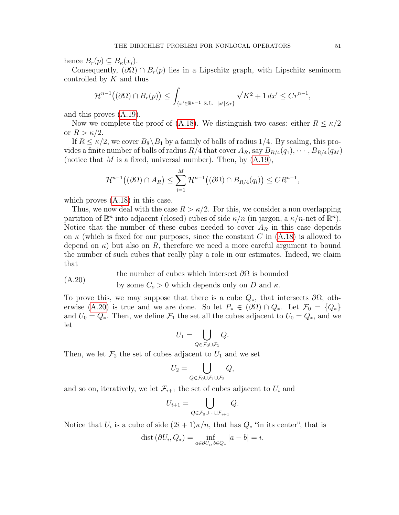hence  $B_r(p) \subseteq B_\kappa(x_i)$ .

Consequently,  $(\partial \Omega) \cap B_r(p)$  lies in a Lipschitz graph, with Lipschitz seminorm controlled by  $K$  and thus

$$
\mathcal{H}^{n-1}((\partial\Omega)\cap B_r(p))\leq \int_{\{x'\in\mathbb{R}^{n-1}\text{ s.t. }|x'|\leq r\}}\sqrt{K^2+1}\,dx'\leq Cr^{n-1},
$$

and this proves [\(A.19\)](#page-49-1).

Now we complete the proof of [\(A.18\)](#page-49-2). We distinguish two cases: either  $R \leq \kappa/2$ or  $R > \kappa/2$ .

If  $R \leq \kappa/2$ , we cover  $B_8 \backslash B_1$  by a family of balls of radius 1/4. By scaling, this provides a finite number of balls of radius  $R/4$  that cover  $A_R$ , say  $B_{R/4}(q_1), \cdots, B_{R/4}(q_M)$ (notice that M is a fixed, universal number). Then, by  $(A.19)$ ,

$$
\mathcal{H}^{n-1}((\partial\Omega)\cap A_R)\leq \sum_{i=1}^M\mathcal{H}^{n-1}((\partial\Omega)\cap B_{R/4}(q_i))\leq CR^{n-1},
$$

which proves [\(A.18\)](#page-49-2) in this case.

Thus, we now deal with the case  $R > \kappa/2$ . For this, we consider a non overlapping partition of  $\mathbb{R}^n$  into adjacent (closed) cubes of side  $\kappa/n$  (in jargon, a  $\kappa/n$ -net of  $\mathbb{R}^n$ ). Notice that the number of these cubes needed to cover  $A_R$  in this case depends on  $\kappa$  (which is fixed for our purposes, since the constant C in [\(A.18\)](#page-49-2) is allowed to depend on  $\kappa$ ) but also on R, therefore we need a more careful argument to bound the number of such cubes that really play a role in our estimates. Indeed, we claim that

<span id="page-50-0"></span>the number of cubes which intersect  $\partial\Omega$  is bounded  $(A, 20)$ 

by some 
$$
C_o > 0
$$
 which depends only on  $D$  and  $\kappa$ .

To prove this, we may suppose that there is a cube  $Q_*,$  that intersects  $\partial\Omega$ , oth-erwise [\(A.20\)](#page-50-0) is true and we are done. So let  $P_* \in (\partial \Omega) \cap Q_*$ . Let  $\mathcal{F}_0 = \{Q_*\}$ and  $U_0 = Q_*$ . Then, we define  $\mathcal{F}_1$  the set all the cubes adjacent to  $U_0 = Q_*$ , and we let

$$
U_1 = \bigcup_{Q \in \mathcal{F}_0 \cup \mathcal{F}_1} Q.
$$

Then, we let  $\mathcal{F}_2$  the set of cubes adjacent to  $U_1$  and we set

$$
U_2 = \bigcup_{Q \in \mathcal{F}_0 \cup \mathcal{F}_1 \cup \mathcal{F}_2} Q,
$$

and so on, iteratively, we let  $\mathcal{F}_{i+1}$  the set of cubes adjacent to  $U_i$  and

$$
U_{i+1} = \bigcup_{Q \in \mathcal{F}_0 \cup \dots \cup \mathcal{F}_{i+1}} Q.
$$

Notice that  $U_i$  is a cube of side  $(2i+1)\kappa/n$ , that has  $Q_*$  "in its center", that is

$$
dist(\partial U_i, Q_*) = \inf_{a \in \partial U_i, b \in Q_*} |a - b| = i.
$$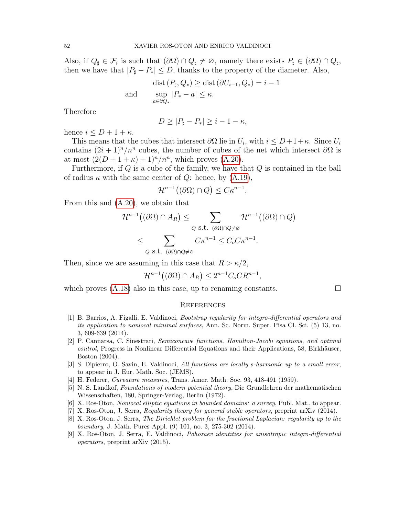Also, if  $Q_{\sharp} \in \mathcal{F}_i$  is such that  $(\partial \Omega) \cap Q_{\sharp} \neq \emptyset$ , namely there exists  $P_{\sharp} \in (\partial \Omega) \cap Q_{\sharp}$ , then we have that  $|P_{\sharp} - P_{*}| \leq D$ , thanks to the property of the diameter. Also,

$$
\text{dist}\left(P_{\sharp}, Q_{*}\right) \ge \text{dist}\left(\partial U_{i-1}, Q_{*}\right) = i - 1
$$
\n
$$
\sup_{a \in \partial Q_{*}} |P_{*} - a| \le \kappa.
$$

Therefore

$$
D \ge |P_{\sharp} - P_{*}| \ge i - 1 - \kappa,
$$

hence  $i \leq D+1+\kappa$ .

This means that the cubes that intersect  $\partial\Omega$  lie in  $U_i$ , with  $i \leq D+1+\kappa$ . Since  $U_i$ contains  $(2i + 1)^n/n^n$  cubes, the number of cubes of the net which intersect  $\partial\Omega$  is at most  $(2(D+1+\kappa) + 1)^n/n^n$ , which proves [\(A.20\)](#page-50-0).

Furthermore, if  $Q$  is a cube of the family, we have that  $Q$  is contained in the ball of radius  $\kappa$  with the same center of  $Q$ : hence, by  $(A.19)$ ,

$$
\mathcal{H}^{n-1}((\partial\Omega)\cap Q)\leq C\kappa^{n-1}.
$$

From this and [\(A.20\)](#page-50-0), we obtain that

$$
\mathcal{H}^{n-1}((\partial\Omega) \cap A_R) \leq \sum_{Q \text{ s.t. } (\partial\Omega) \cap Q \neq \varnothing} \mathcal{H}^{n-1}((\partial\Omega) \cap Q)
$$
  

$$
\leq \sum_{Q \text{ s.t. } (\partial\Omega) \cap Q \neq \varnothing} C\kappa^{n-1} \leq C_o C \kappa^{n-1}.
$$

Then, since we are assuming in this case that  $R > \kappa/2$ ,

$$
\mathcal{H}^{n-1}((\partial\Omega)\cap A_R) \le 2^{n-1}C_oCR^{n-1},
$$

which proves  $(A.18)$  also in this case, up to renaming constants.  $\Box$ 

#### **REFERENCES**

- <span id="page-51-4"></span>[1] B. Barrios, A. Figalli, E. Valdinoci, Bootstrap regularity for integro-differential operators and its application to nonlocal minimal surfaces, Ann. Sc. Norm. Super. Pisa Cl. Sci. (5) 13, no. 3, 609-639 (2014).
- <span id="page-51-8"></span>[2] P. Cannarsa, C. Sinestrari, Semiconcave functions, Hamilton-Jacobi equations, and optimal control, Progress in Nonlinear Differential Equations and their Applications, 58, Birkhäuser, Boston (2004).
- <span id="page-51-2"></span>[3] S. Dipierro, O. Savin, E. Valdinoci, All functions are locally s-harmonic up to a small error, to appear in J. Eur. Math. Soc. (JEMS).
- <span id="page-51-7"></span>[4] H. Federer, Curvature measures, Trans. Amer. Math. Soc. 93, 418-491 (1959).
- <span id="page-51-0"></span>[5] N. S. Landkof, Foundations of modern potential theory, Die Grundlehren der mathematischen Wissenschaften, 180, Springer-Verlag, Berlin (1972).
- <span id="page-51-5"></span>[6] X. Ros-Oton, Nonlocal elliptic equations in bounded domains: a survey, Publ. Mat., to appear.
- <span id="page-51-3"></span>[7] X. Ros-Oton, J. Serra, Regularity theory for general stable operators, preprint arXiv (2014).
- <span id="page-51-1"></span>[8] X. Ros-Oton, J. Serra, The Dirichlet problem for the fractional Laplacian: regularity up to the boundary, J. Math. Pures Appl. (9) 101, no. 3, 275-302 (2014).
- <span id="page-51-6"></span>[9] X. Ros-Oton, J. Serra, E. Valdinoci, Pohozaev identities for anisotropic integro-differential operators, preprint arXiv (2015).